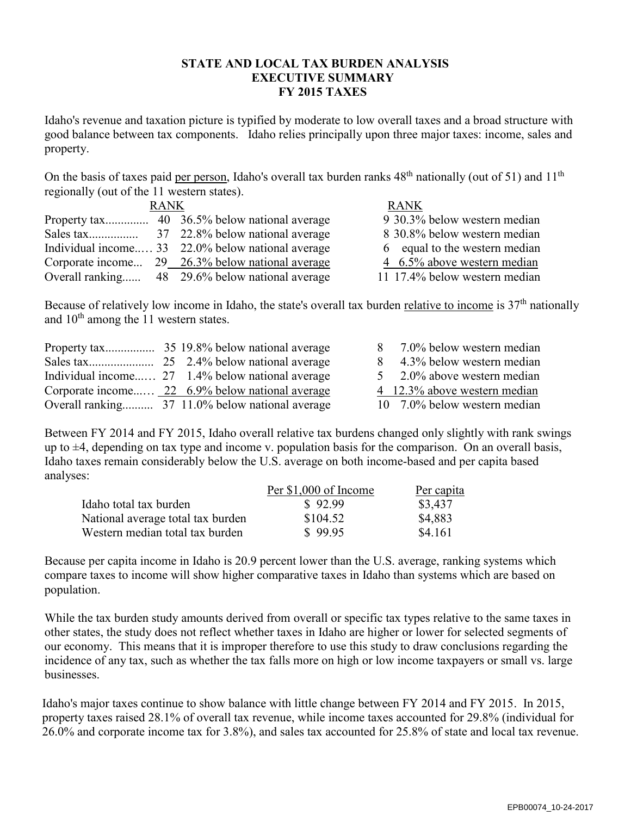### **STATE AND LOCAL TAX BURDEN ANALYSIS EXECUTIVE SUMMARY FY 2015 TAXES**

Idaho's revenue and taxation picture is typified by moderate to low overall taxes and a broad structure with good balance between tax components. Idaho relies principally upon three major taxes: income, sales and property.

On the basis of taxes paid per person, Idaho's overall tax burden ranks 48<sup>th</sup> nationally (out of 51) and 11<sup>th</sup> regionally (out of the 11 western states).

| <b>RANK</b> |  |                                                   | <b>RANK</b>                   |
|-------------|--|---------------------------------------------------|-------------------------------|
|             |  |                                                   | 9 30.3% below western median  |
|             |  |                                                   | 8 30.8% below western median  |
|             |  | Individual income 33 22.0% below national average | 6 equal to the western median |
|             |  | Corporate income 29 26.3% below national average  | 4 6.5% above western median   |
|             |  | Overall ranking 48 29.6% below national average   | 11 17.4% below western median |

Because of relatively low income in Idaho, the state's overall tax burden relative to income is  $37<sup>th</sup>$  nationally and 10<sup>th</sup> among the 11 western states.

|  |                                                  | 7.0% below western median    |
|--|--------------------------------------------------|------------------------------|
|  |                                                  | 4.3% below western median    |
|  | Individual income 27 1.4% below national average | 5 2.0% above western median  |
|  | Corporate income 22 6.9% below national average  | 4 12.3% above western median |
|  |                                                  | 10 7.0% below western median |

Between FY 2014 and FY 2015, Idaho overall relative tax burdens changed only slightly with rank swings up to  $\pm 4$ , depending on tax type and income v. population basis for the comparison. On an overall basis, Idaho taxes remain considerably below the U.S. average on both income-based and per capita based analyses:

|                                   | Per \$1,000 of Income | Per capita |
|-----------------------------------|-----------------------|------------|
| Idaho total tax burden            | \$92.99               | \$3,437    |
| National average total tax burden | \$104.52              | \$4,883    |
| Western median total tax burden   | \$99.95               | \$4.161    |

Because per capita income in Idaho is 20.9 percent lower than the U.S. average, ranking systems which compare taxes to income will show higher comparative taxes in Idaho than systems which are based on population.

While the tax burden study amounts derived from overall or specific tax types relative to the same taxes in other states, the study does not reflect whether taxes in Idaho are higher or lower for selected segments of our economy. This means that it is improper therefore to use this study to draw conclusions regarding the incidence of any tax, such as whether the tax falls more on high or low income taxpayers or small vs. large businesses.

Idaho's major taxes continue to show balance with little change between FY 2014 and FY 2015. In 2015, property taxes raised 28.1% of overall tax revenue, while income taxes accounted for 29.8% (individual for 26.0% and corporate income tax for 3.8%), and sales tax accounted for 25.8% of state and local tax revenue.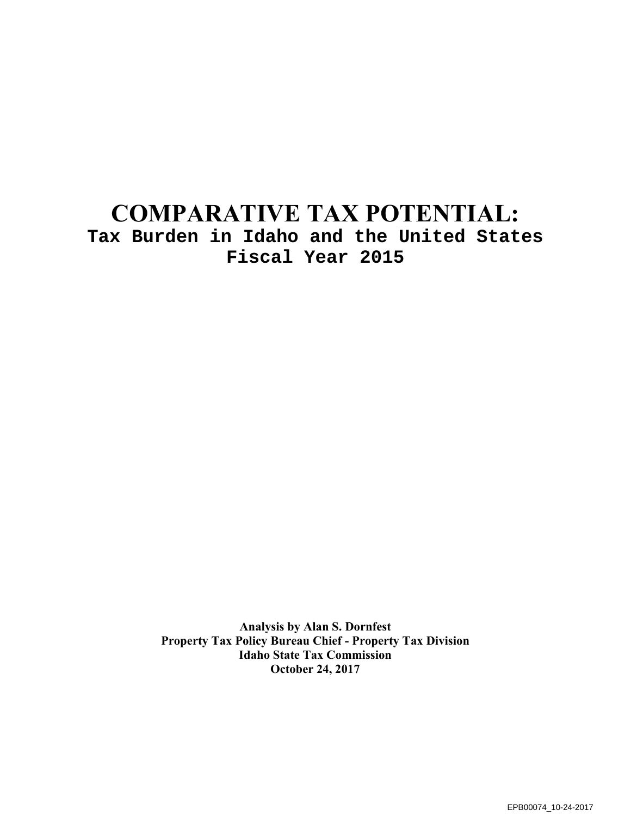# **COMPARATIVE TAX POTENTIAL: Tax Burden in Idaho and the United States Fiscal Year 2015**

**Analysis by Alan S. Dornfest Property Tax Policy Bureau Chief - Property Tax Division Idaho State Tax Commission October 24, 2017**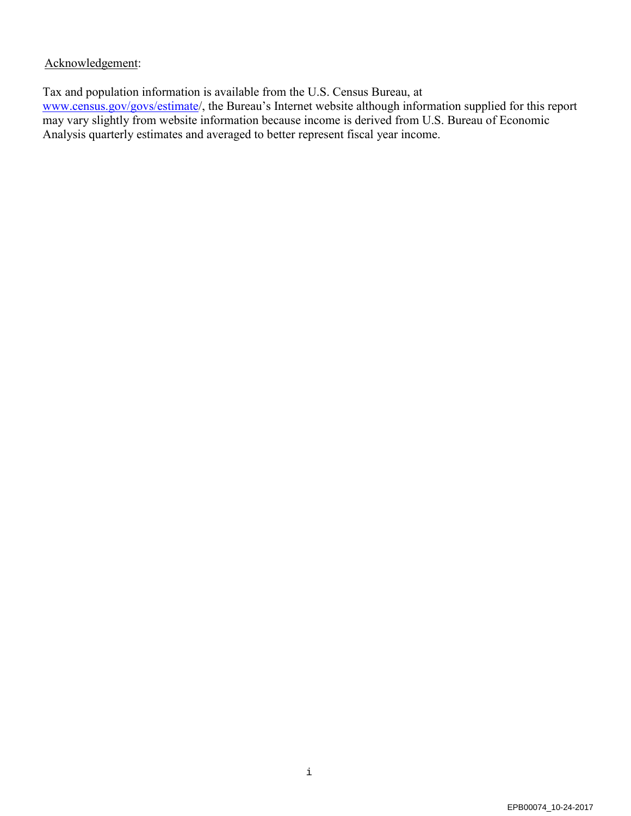### Acknowledgement:

Tax and population information is available from the U.S. Census Bureau, at [www.census.gov/govs/estimate/](http://www.census.gov/govs/estimate), the Bureau's Internet website although information supplied for this report may vary slightly from website information because income is derived from U.S. Bureau of Economic Analysis quarterly estimates and averaged to better represent fiscal year income.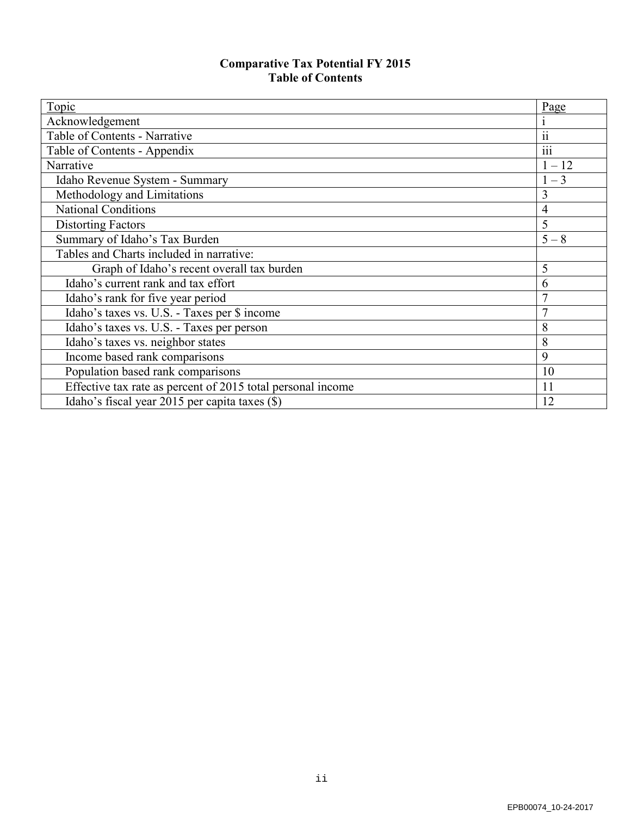### **Comparative Tax Potential FY 2015 Table of Contents**

| Topic                                                       | Page                       |
|-------------------------------------------------------------|----------------------------|
| Acknowledgement                                             |                            |
| Table of Contents - Narrative                               | $\ddot{\phantom{0}}$<br>11 |
| Table of Contents - Appendix                                | $\ddots$<br>111            |
| Narrative                                                   | $1 - 12$                   |
| Idaho Revenue System - Summary                              | $1 - 3$                    |
| Methodology and Limitations                                 | 3                          |
| <b>National Conditions</b>                                  | $\overline{4}$             |
| <b>Distorting Factors</b>                                   | 5                          |
| Summary of Idaho's Tax Burden                               | $5 - 8$                    |
| Tables and Charts included in narrative:                    |                            |
| Graph of Idaho's recent overall tax burden                  | 5                          |
| Idaho's current rank and tax effort                         | 6                          |
| Idaho's rank for five year period                           | 7                          |
| Idaho's taxes vs. U.S. - Taxes per \$ income                | $\overline{7}$             |
| Idaho's taxes vs. U.S. - Taxes per person                   | 8                          |
| Idaho's taxes vs. neighbor states                           | 8                          |
| Income based rank comparisons                               | 9                          |
| Population based rank comparisons                           | 10                         |
| Effective tax rate as percent of 2015 total personal income | 11                         |
| Idaho's fiscal year 2015 per capita taxes (\$)              | 12                         |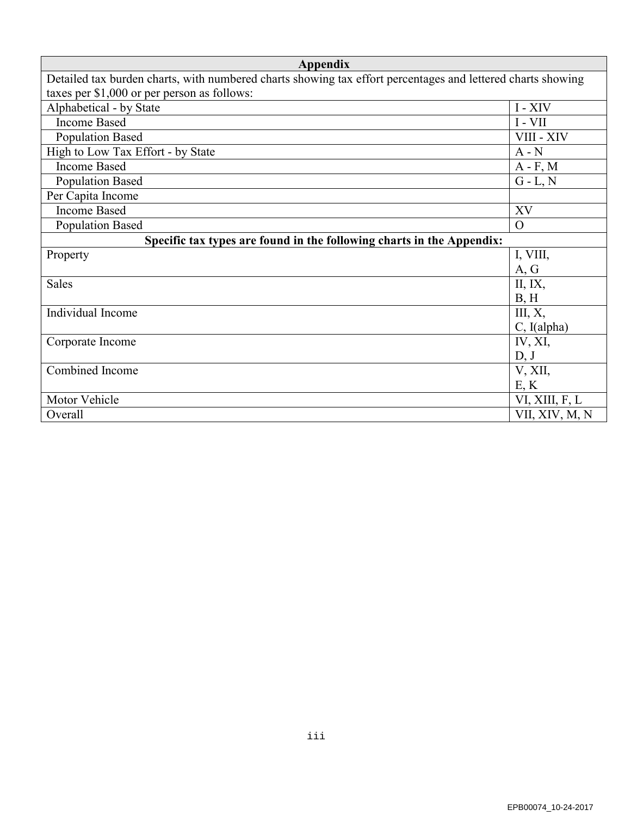| Appendix                                                                                                    |                |  |  |  |  |  |
|-------------------------------------------------------------------------------------------------------------|----------------|--|--|--|--|--|
| Detailed tax burden charts, with numbered charts showing tax effort percentages and lettered charts showing |                |  |  |  |  |  |
| taxes per \$1,000 or per person as follows:                                                                 |                |  |  |  |  |  |
| Alphabetical - by State                                                                                     | I - XIV        |  |  |  |  |  |
| <b>Income Based</b>                                                                                         | $I - VII$      |  |  |  |  |  |
| <b>Population Based</b>                                                                                     | VIII - XIV     |  |  |  |  |  |
| High to Low Tax Effort - by State                                                                           | $A - N$        |  |  |  |  |  |
| <b>Income Based</b>                                                                                         | $A - F$ , M    |  |  |  |  |  |
| <b>Population Based</b>                                                                                     | $G - L, N$     |  |  |  |  |  |
| Per Capita Income                                                                                           |                |  |  |  |  |  |
| <b>Income Based</b>                                                                                         | XV             |  |  |  |  |  |
| <b>Population Based</b>                                                                                     | $\Omega$       |  |  |  |  |  |
| Specific tax types are found in the following charts in the Appendix:                                       |                |  |  |  |  |  |
| Property                                                                                                    | I, VIII,       |  |  |  |  |  |
|                                                                                                             | A, G           |  |  |  |  |  |
| <b>Sales</b>                                                                                                | II, IX,        |  |  |  |  |  |
|                                                                                                             | B, H           |  |  |  |  |  |
| Individual Income                                                                                           | III, X,        |  |  |  |  |  |
|                                                                                                             | C, I(alpha)    |  |  |  |  |  |
| Corporate Income                                                                                            | IV, XI,        |  |  |  |  |  |
|                                                                                                             | D, J           |  |  |  |  |  |
| Combined Income                                                                                             | V, XII,        |  |  |  |  |  |
|                                                                                                             | E, K           |  |  |  |  |  |
| Motor Vehicle                                                                                               | VI, XIII, F, L |  |  |  |  |  |
| Overall                                                                                                     | VII, XIV, M, N |  |  |  |  |  |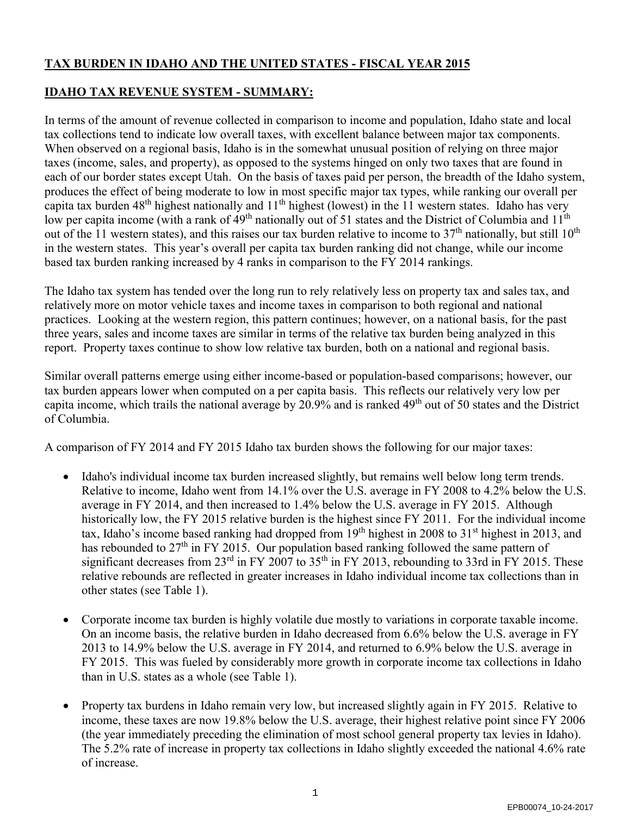# **TAX BURDEN IN IDAHO AND THE UNITED STATES - FISCAL YEAR 2015**

### **IDAHO TAX REVENUE SYSTEM - SUMMARY:**

In terms of the amount of revenue collected in comparison to income and population, Idaho state and local tax collections tend to indicate low overall taxes, with excellent balance between major tax components. When observed on a regional basis, Idaho is in the somewhat unusual position of relying on three major taxes (income, sales, and property), as opposed to the systems hinged on only two taxes that are found in each of our border states except Utah. On the basis of taxes paid per person, the breadth of the Idaho system, produces the effect of being moderate to low in most specific major tax types, while ranking our overall per capita tax burden 48<sup>th</sup> highest nationally and 11<sup>th</sup> highest (lowest) in the 11 western states. Idaho has very low per capita income (with a rank of 49<sup>th</sup> nationally out of 51 states and the District of Columbia and 11<sup>th</sup> out of the 11 western states), and this raises our tax burden relative to income to  $37<sup>th</sup>$  nationally, but still  $10<sup>th</sup>$ in the western states. This year's overall per capita tax burden ranking did not change, while our income based tax burden ranking increased by 4 ranks in comparison to the FY 2014 rankings.

The Idaho tax system has tended over the long run to rely relatively less on property tax and sales tax, and relatively more on motor vehicle taxes and income taxes in comparison to both regional and national practices. Looking at the western region, this pattern continues; however, on a national basis, for the past three years, sales and income taxes are similar in terms of the relative tax burden being analyzed in this report. Property taxes continue to show low relative tax burden, both on a national and regional basis.

Similar overall patterns emerge using either income-based or population-based comparisons; however, our tax burden appears lower when computed on a per capita basis. This reflects our relatively very low per capita income, which trails the national average by 20.9% and is ranked 49<sup>th</sup> out of 50 states and the District of Columbia.

A comparison of FY 2014 and FY 2015 Idaho tax burden shows the following for our major taxes:

- Idaho's individual income tax burden increased slightly, but remains well below long term trends. Relative to income, Idaho went from 14.1% over the U.S. average in FY 2008 to 4.2% below the U.S. average in FY 2014, and then increased to 1.4% below the U.S. average in FY 2015. Although historically low, the FY 2015 relative burden is the highest since FY 2011. For the individual income tax, Idaho's income based ranking had dropped from 19<sup>th</sup> highest in 2008 to 31<sup>st</sup> highest in 2013, and has rebounded to  $27<sup>th</sup>$  in FY 2015. Our population based ranking followed the same pattern of significant decreases from  $23<sup>rd</sup>$  in FY  $2007$  to  $35<sup>th</sup>$  in FY 2013, rebounding to 33rd in FY 2015. These relative rebounds are reflected in greater increases in Idaho individual income tax collections than in other states (see Table 1).
- Corporate income tax burden is highly volatile due mostly to variations in corporate taxable income. On an income basis, the relative burden in Idaho decreased from 6.6% below the U.S. average in FY 2013 to 14.9% below the U.S. average in FY 2014, and returned to 6.9% below the U.S. average in FY 2015. This was fueled by considerably more growth in corporate income tax collections in Idaho than in U.S. states as a whole (see Table 1).
- Property tax burdens in Idaho remain very low, but increased slightly again in FY 2015. Relative to income, these taxes are now 19.8% below the U.S. average, their highest relative point since FY 2006 (the year immediately preceding the elimination of most school general property tax levies in Idaho). The 5.2% rate of increase in property tax collections in Idaho slightly exceeded the national 4.6% rate of increase.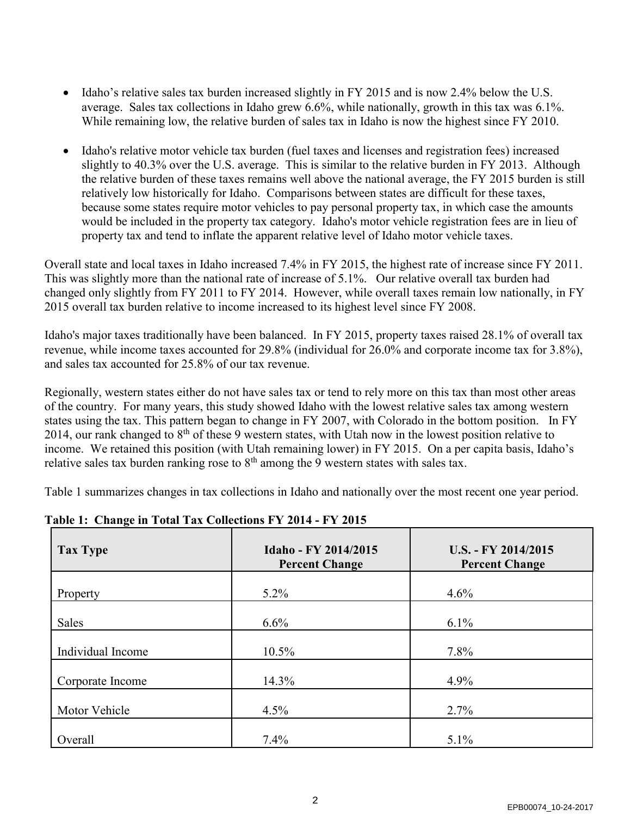- Idaho's relative sales tax burden increased slightly in FY 2015 and is now 2.4% below the U.S. average. Sales tax collections in Idaho grew 6.6%, while nationally, growth in this tax was 6.1%. While remaining low, the relative burden of sales tax in Idaho is now the highest since FY 2010.
- Idaho's relative motor vehicle tax burden (fuel taxes and licenses and registration fees) increased slightly to 40.3% over the U.S. average. This is similar to the relative burden in FY 2013. Although the relative burden of these taxes remains well above the national average, the FY 2015 burden is still relatively low historically for Idaho. Comparisons between states are difficult for these taxes, because some states require motor vehicles to pay personal property tax, in which case the amounts would be included in the property tax category. Idaho's motor vehicle registration fees are in lieu of property tax and tend to inflate the apparent relative level of Idaho motor vehicle taxes.

Overall state and local taxes in Idaho increased 7.4% in FY 2015, the highest rate of increase since FY 2011. This was slightly more than the national rate of increase of 5.1%. Our relative overall tax burden had changed only slightly from FY 2011 to FY 2014. However, while overall taxes remain low nationally, in FY 2015 overall tax burden relative to income increased to its highest level since FY 2008.

Idaho's major taxes traditionally have been balanced. In FY 2015, property taxes raised 28.1% of overall tax revenue, while income taxes accounted for 29.8% (individual for 26.0% and corporate income tax for 3.8%), and sales tax accounted for 25.8% of our tax revenue.

Regionally, western states either do not have sales tax or tend to rely more on this tax than most other areas of the country. For many years, this study showed Idaho with the lowest relative sales tax among western states using the tax. This pattern began to change in FY 2007, with Colorado in the bottom position. In FY 2014, our rank changed to  $8<sup>th</sup>$  of these 9 western states, with Utah now in the lowest position relative to income. We retained this position (with Utah remaining lower) in FY 2015. On a per capita basis, Idaho's relative sales tax burden ranking rose to  $8<sup>th</sup>$  among the 9 western states with sales tax.

Table 1 summarizes changes in tax collections in Idaho and nationally over the most recent one year period.

| 0<br><b>Tax Type</b> | Idaho - FY 2014/2015<br><b>Percent Change</b> | U.S. - FY 2014/2015<br><b>Percent Change</b> |
|----------------------|-----------------------------------------------|----------------------------------------------|
| Property             | 5.2%                                          | 4.6%                                         |
| <b>Sales</b>         | 6.6%                                          | 6.1%                                         |
| Individual Income    | 10.5%                                         | 7.8%                                         |
| Corporate Income     | 14.3%                                         | 4.9%                                         |
| Motor Vehicle        | 4.5%                                          | 2.7%                                         |
| Overall              | 7.4%                                          | 5.1%                                         |

### **Table 1: Change in Total Tax Collections FY 2014 - FY 2015**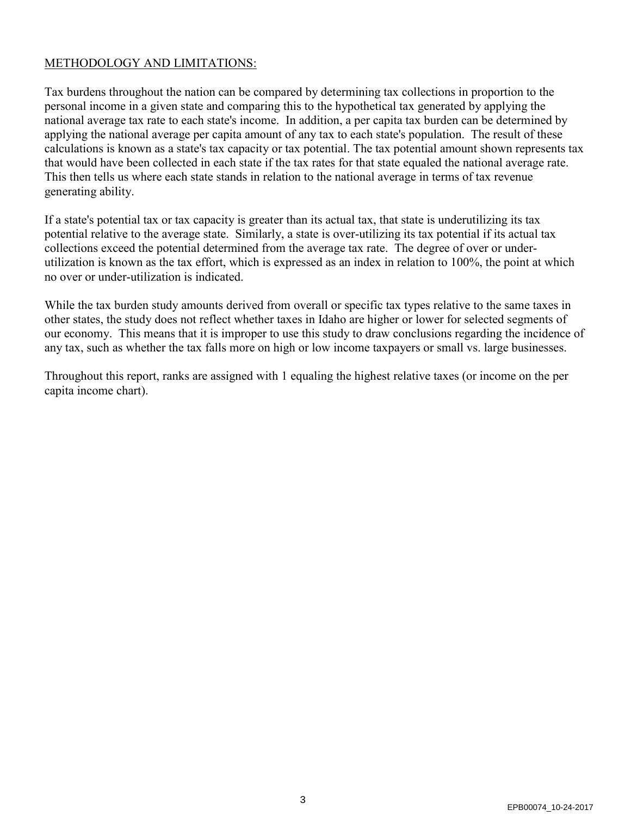### METHODOLOGY AND LIMITATIONS:

Tax burdens throughout the nation can be compared by determining tax collections in proportion to the personal income in a given state and comparing this to the hypothetical tax generated by applying the national average tax rate to each state's income. In addition, a per capita tax burden can be determined by applying the national average per capita amount of any tax to each state's population. The result of these calculations is known as a state's tax capacity or tax potential. The tax potential amount shown represents tax that would have been collected in each state if the tax rates for that state equaled the national average rate. This then tells us where each state stands in relation to the national average in terms of tax revenue generating ability.

If a state's potential tax or tax capacity is greater than its actual tax, that state is underutilizing its tax potential relative to the average state. Similarly, a state is over-utilizing its tax potential if its actual tax collections exceed the potential determined from the average tax rate. The degree of over or underutilization is known as the tax effort, which is expressed as an index in relation to 100%, the point at which no over or under-utilization is indicated.

While the tax burden study amounts derived from overall or specific tax types relative to the same taxes in other states, the study does not reflect whether taxes in Idaho are higher or lower for selected segments of our economy. This means that it is improper to use this study to draw conclusions regarding the incidence of any tax, such as whether the tax falls more on high or low income taxpayers or small vs. large businesses.

Throughout this report, ranks are assigned with 1 equaling the highest relative taxes (or income on the per capita income chart).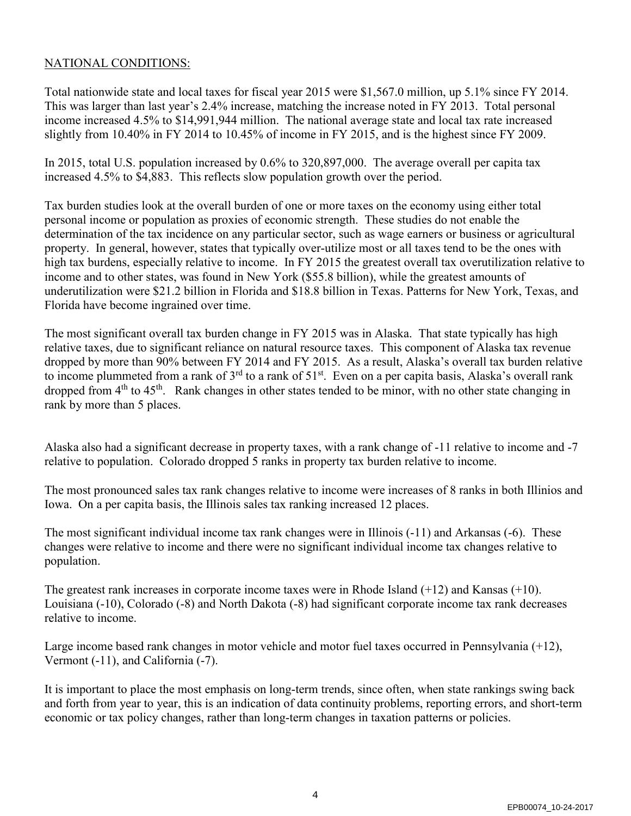### NATIONAL CONDITIONS:

Total nationwide state and local taxes for fiscal year 2015 were \$1,567.0 million, up 5.1% since FY 2014. This was larger than last year's 2.4% increase, matching the increase noted in FY 2013. Total personal income increased 4.5% to \$14,991,944 million. The national average state and local tax rate increased slightly from 10.40% in FY 2014 to 10.45% of income in FY 2015, and is the highest since FY 2009.

In 2015, total U.S. population increased by 0.6% to 320,897,000. The average overall per capita tax increased 4.5% to \$4,883. This reflects slow population growth over the period.

Tax burden studies look at the overall burden of one or more taxes on the economy using either total personal income or population as proxies of economic strength. These studies do not enable the determination of the tax incidence on any particular sector, such as wage earners or business or agricultural property. In general, however, states that typically over-utilize most or all taxes tend to be the ones with high tax burdens, especially relative to income. In FY 2015 the greatest overall tax overutilization relative to income and to other states, was found in New York (\$55.8 billion), while the greatest amounts of underutilization were \$21.2 billion in Florida and \$18.8 billion in Texas. Patterns for New York, Texas, and Florida have become ingrained over time.

The most significant overall tax burden change in FY 2015 was in Alaska. That state typically has high relative taxes, due to significant reliance on natural resource taxes. This component of Alaska tax revenue dropped by more than 90% between FY 2014 and FY 2015. As a result, Alaska's overall tax burden relative to income plummeted from a rank of 3<sup>rd</sup> to a rank of 51<sup>st</sup>. Even on a per capita basis, Alaska's overall rank dropped from 4<sup>th</sup> to 45<sup>th</sup>. Rank changes in other states tended to be minor, with no other state changing in rank by more than 5 places.

Alaska also had a significant decrease in property taxes, with a rank change of -11 relative to income and -7 relative to population. Colorado dropped 5 ranks in property tax burden relative to income.

The most pronounced sales tax rank changes relative to income were increases of 8 ranks in both Illinios and Iowa. On a per capita basis, the Illinois sales tax ranking increased 12 places.

The most significant individual income tax rank changes were in Illinois (-11) and Arkansas (-6). These changes were relative to income and there were no significant individual income tax changes relative to population.

The greatest rank increases in corporate income taxes were in Rhode Island (+12) and Kansas (+10). Louisiana (-10), Colorado (-8) and North Dakota (-8) had significant corporate income tax rank decreases relative to income.

Large income based rank changes in motor vehicle and motor fuel taxes occurred in Pennsylvania (+12), Vermont (-11), and California (-7).

It is important to place the most emphasis on long-term trends, since often, when state rankings swing back and forth from year to year, this is an indication of data continuity problems, reporting errors, and short-term economic or tax policy changes, rather than long-term changes in taxation patterns or policies.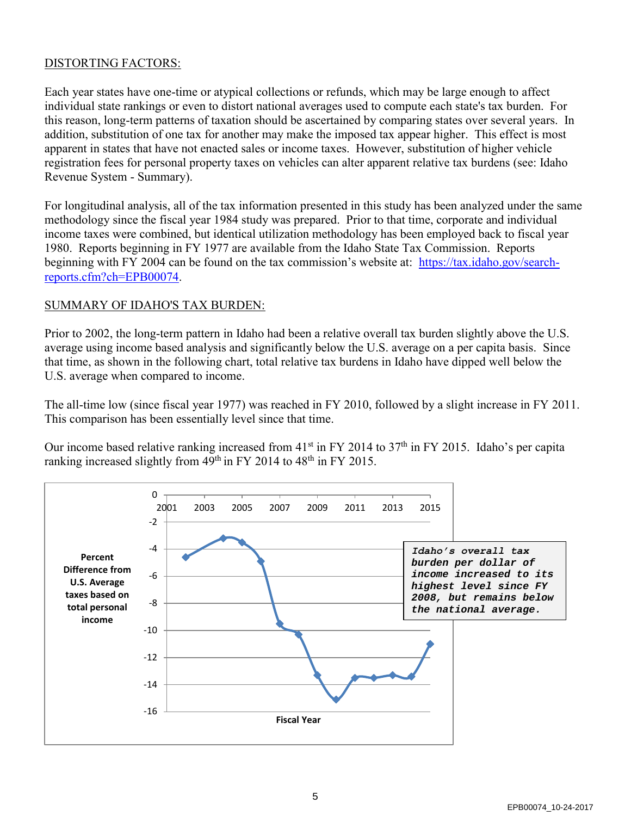### DISTORTING FACTORS:

Each year states have one-time or atypical collections or refunds, which may be large enough to affect individual state rankings or even to distort national averages used to compute each state's tax burden. For this reason, long-term patterns of taxation should be ascertained by comparing states over several years. In addition, substitution of one tax for another may make the imposed tax appear higher. This effect is most apparent in states that have not enacted sales or income taxes. However, substitution of higher vehicle registration fees for personal property taxes on vehicles can alter apparent relative tax burdens (see: Idaho Revenue System - Summary).

For longitudinal analysis, all of the tax information presented in this study has been analyzed under the same methodology since the fiscal year 1984 study was prepared. Prior to that time, corporate and individual income taxes were combined, but identical utilization methodology has been employed back to fiscal year 1980. Reports beginning in FY 1977 are available from the Idaho State Tax Commission. Reports beginning with FY 2004 can be found on the tax commission's website at: [https://tax.idaho.gov/search](https://tax.idaho.gov/search-reports.cfm?ch=EPB00074)[reports.cfm?ch=EPB00074.](https://tax.idaho.gov/search-reports.cfm?ch=EPB00074)

### SUMMARY OF IDAHO'S TAX BURDEN:

Prior to 2002, the long-term pattern in Idaho had been a relative overall tax burden slightly above the U.S. average using income based analysis and significantly below the U.S. average on a per capita basis. Since that time, as shown in the following chart, total relative tax burdens in Idaho have dipped well below the U.S. average when compared to income.

The all-time low (since fiscal year 1977) was reached in FY 2010, followed by a slight increase in FY 2011. This comparison has been essentially level since that time.

Our income based relative ranking increased from  $41<sup>st</sup>$  in FY 2014 to 37<sup>th</sup> in FY 2015. Idaho's per capita ranking increased slightly from  $49^{th}$  in FY 2014 to  $48^{th}$  in FY 2015.

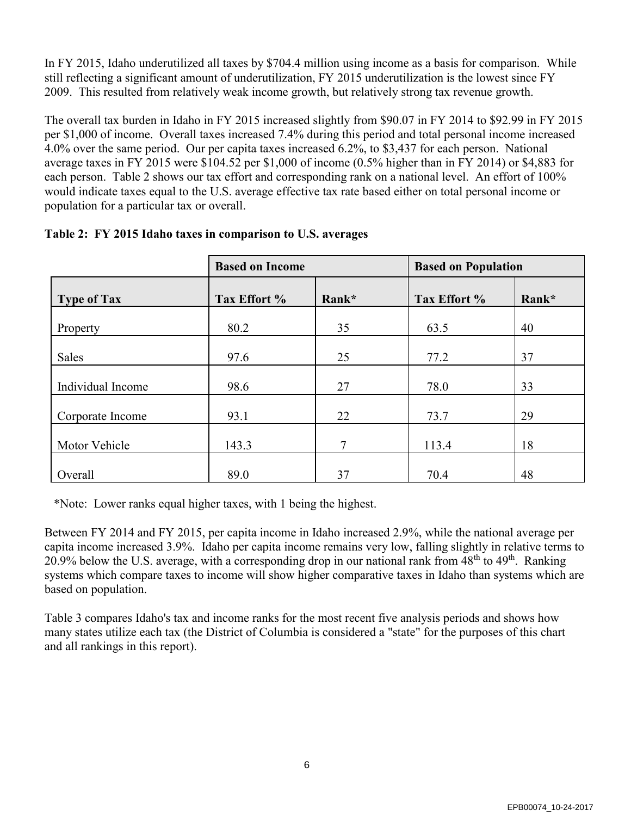In FY 2015, Idaho underutilized all taxes by \$704.4 million using income as a basis for comparison. While still reflecting a significant amount of underutilization, FY 2015 underutilization is the lowest since FY 2009. This resulted from relatively weak income growth, but relatively strong tax revenue growth.

The overall tax burden in Idaho in FY 2015 increased slightly from \$90.07 in FY 2014 to \$92.99 in FY 2015 per \$1,000 of income. Overall taxes increased 7.4% during this period and total personal income increased 4.0% over the same period. Our per capita taxes increased 6.2%, to \$3,437 for each person. National average taxes in FY 2015 were \$104.52 per \$1,000 of income (0.5% higher than in FY 2014) or \$4,883 for each person. Table 2 shows our tax effort and corresponding rank on a national level. An effort of 100% would indicate taxes equal to the U.S. average effective tax rate based either on total personal income or population for a particular tax or overall.

|                    | <b>Based on Income</b> |       | <b>Based on Population</b> |       |
|--------------------|------------------------|-------|----------------------------|-------|
| <b>Type of Tax</b> | Tax Effort %           | Rank* | Tax Effort %               | Rank* |
| Property           | 80.2                   | 35    | 63.5                       | 40    |
| Sales              | 97.6                   | 25    | 77.2                       | 37    |
| Individual Income  | 98.6                   | 27    | 78.0                       | 33    |
| Corporate Income   | 93.1                   | 22    | 73.7                       | 29    |
| Motor Vehicle      | 143.3                  | 7     | 113.4                      | 18    |
| Overall            | 89.0                   | 37    | 70.4                       | 48    |

|  |  | Table 2: FY 2015 Idaho taxes in comparison to U.S. averages |
|--|--|-------------------------------------------------------------|
|  |  |                                                             |

\*Note: Lower ranks equal higher taxes, with 1 being the highest.

Between FY 2014 and FY 2015, per capita income in Idaho increased 2.9%, while the national average per capita income increased 3.9%. Idaho per capita income remains very low, falling slightly in relative terms to 20.9% below the U.S. average, with a corresponding drop in our national rank from 48<sup>th</sup> to 49<sup>th</sup>. Ranking systems which compare taxes to income will show higher comparative taxes in Idaho than systems which are based on population.

Table 3 compares Idaho's tax and income ranks for the most recent five analysis periods and shows how many states utilize each tax (the District of Columbia is considered a "state" for the purposes of this chart and all rankings in this report).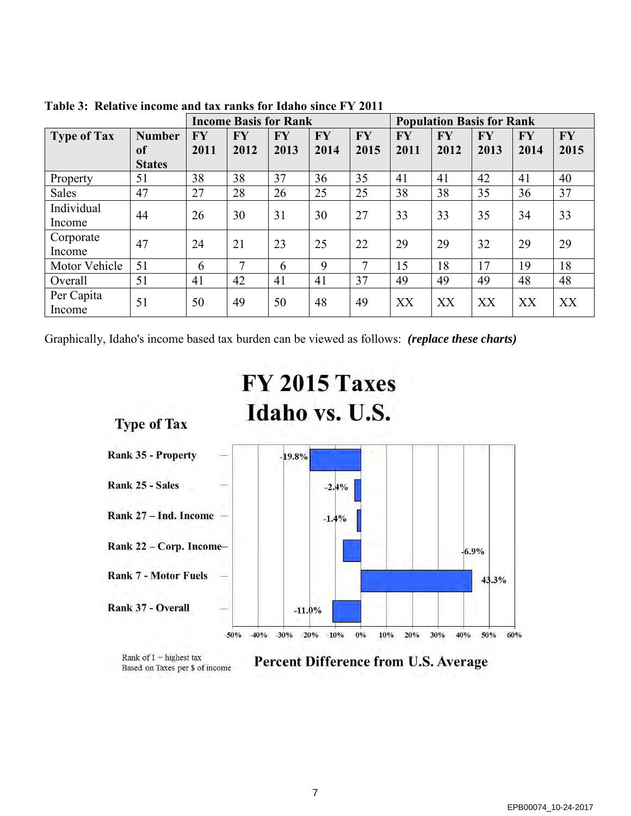|                      |                                      |                   | <b>Income Basis for Rank</b> |                   |                   |                   | <b>Population Basis for Rank</b> |                   |                   |                   |                   |
|----------------------|--------------------------------------|-------------------|------------------------------|-------------------|-------------------|-------------------|----------------------------------|-------------------|-------------------|-------------------|-------------------|
| <b>Type of Tax</b>   | <b>Number</b><br>of<br><b>States</b> | <b>FY</b><br>2011 | <b>FY</b><br>2012            | <b>FY</b><br>2013 | <b>FY</b><br>2014 | <b>FY</b><br>2015 | <b>FY</b><br>2011                | <b>FY</b><br>2012 | <b>FY</b><br>2013 | <b>FY</b><br>2014 | <b>FY</b><br>2015 |
| Property             | 51                                   | 38                | 38                           | 37                | 36                | 35                | 41                               | 41                | 42                | 41                | 40                |
| Sales                | 47                                   | 27                | 28                           | 26                | 25                | 25                | 38                               | 38                | 35                | 36                | 37                |
| Individual<br>Income | 44                                   | 26                | 30                           | 31                | 30                | 27                | 33                               | 33                | 35                | 34                | 33                |
| Corporate<br>Income  | 47                                   | 24                | 21                           | 23                | 25                | 22                | 29                               | 29                | 32                | 29                | 29                |
| Motor Vehicle        | 51                                   | 6                 | 7                            | 6                 | 9                 | 7                 | 15                               | 18                | 17                | 19                | 18                |
| Overall              | 51                                   | 41                | 42                           | 41                | 41                | 37                | 49                               | 49                | 49                | 48                | 48                |
| Per Capita<br>Income | 51                                   | 50                | 49                           | 50                | 48                | 49                | XX                               | XX                | XX                | XX                | XX                |

**Table 3: Relative income and tax ranks for Idaho since FY 2011**

Graphically, Idaho's income based tax burden can be viewed as follows: *(replace these charts)*



Rank of  $1 =$  highest tax Based on Taxes per \$ of income Percent Difference from U.S. Average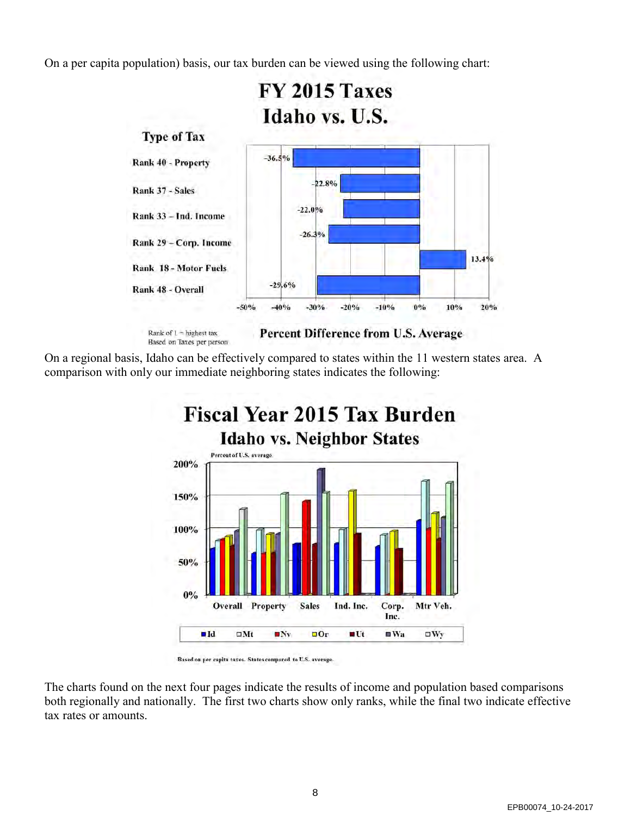On a per capita population) basis, our tax burden can be viewed using the following chart:



On a regional basis, Idaho can be effectively compared to states within the 11 western states area. A comparison with only our immediate neighboring states indicates the following:



Based on per capita taxes. States compared to U.S. average.

The charts found on the next four pages indicate the results of income and population based comparisons both regionally and nationally. The first two charts show only ranks, while the final two indicate effective tax rates or amounts.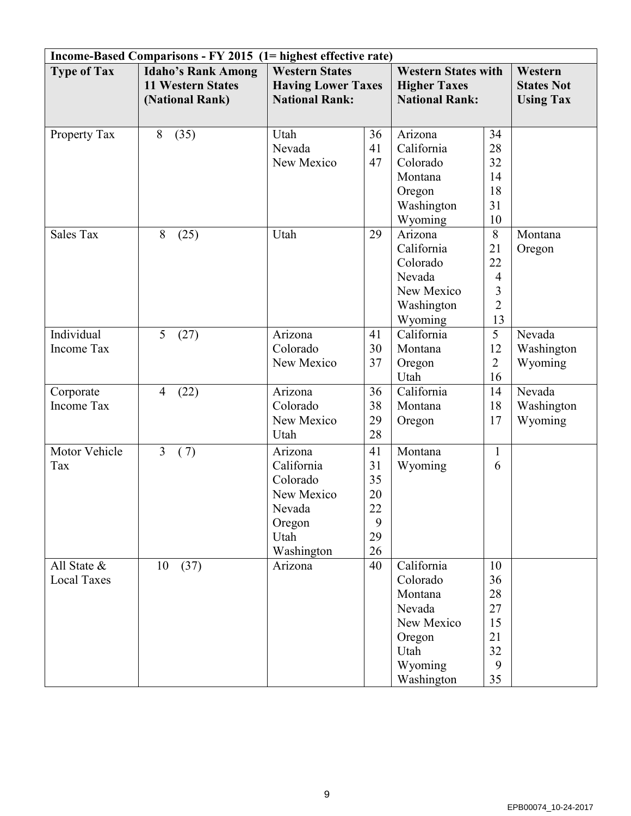| Income-Based Comparisons - FY 2015 (1= highest effective rate) |                                                                          |                                                                                           |                                             |                                                                                                      |                                                              |                                 |  |  |  |
|----------------------------------------------------------------|--------------------------------------------------------------------------|-------------------------------------------------------------------------------------------|---------------------------------------------|------------------------------------------------------------------------------------------------------|--------------------------------------------------------------|---------------------------------|--|--|--|
| <b>Type of Tax</b>                                             | <b>Idaho's Rank Among</b><br><b>11 Western States</b><br>(National Rank) | <b>Western States</b><br><b>Having Lower Taxes</b><br><b>National Rank:</b>               |                                             | <b>Western States with</b><br><b>Higher Taxes</b><br><b>National Rank:</b>                           | Western<br><b>States Not</b><br><b>Using Tax</b>             |                                 |  |  |  |
| Property Tax                                                   | (35)<br>8                                                                | Utah<br>Nevada<br>New Mexico                                                              | 36<br>41<br>47                              | Arizona<br>California<br>Colorado<br>Montana<br>Oregon<br>Washington<br>Wyoming                      | 34<br>28<br>32<br>14<br>18<br>31<br>10                       |                                 |  |  |  |
| Sales Tax                                                      | (25)<br>8                                                                | Utah                                                                                      | 29                                          | Arizona<br>California<br>Colorado<br>Nevada<br>New Mexico<br>Washington<br>Wyoming                   | 8<br>21<br>22<br>$\overline{4}$<br>3<br>$\overline{2}$<br>13 | Montana<br>Oregon               |  |  |  |
| Individual<br><b>Income Tax</b>                                | 5<br>(27)                                                                | Arizona<br>Colorado<br>New Mexico                                                         | 41<br>30<br>37                              | California<br>Montana<br>Oregon<br>Utah                                                              | 5<br>12<br>$\overline{2}$<br>16                              | Nevada<br>Washington<br>Wyoming |  |  |  |
| Corporate<br><b>Income Tax</b>                                 | (22)<br>$\overline{4}$                                                   | Arizona<br>Colorado<br>New Mexico<br>Utah                                                 | 36<br>38<br>29<br>28                        | California<br>Montana<br>Oregon                                                                      | 14<br>18<br>17                                               | Nevada<br>Washington<br>Wyoming |  |  |  |
| Motor Vehicle<br>Tax                                           | $\overline{3}$<br>(7)                                                    | Arizona<br>California<br>Colorado<br>New Mexico<br>Nevada<br>Oregon<br>Utah<br>Washington | 41<br>31<br>35<br>20<br>22<br>9<br>29<br>26 | Montana<br>Wyoming                                                                                   | 1<br>6                                                       |                                 |  |  |  |
| All State $\&$<br><b>Local Taxes</b>                           | (37)<br>10                                                               | Arizona                                                                                   | 40                                          | California<br>Colorado<br>Montana<br>Nevada<br>New Mexico<br>Oregon<br>Utah<br>Wyoming<br>Washington | 10<br>36<br>28<br>27<br>15<br>21<br>32<br>9<br>35            |                                 |  |  |  |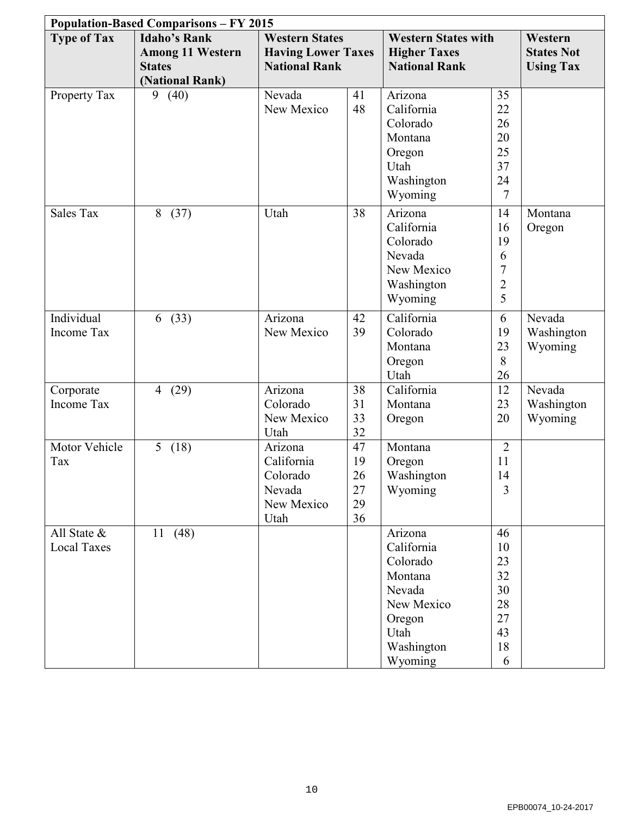| <b>Population-Based Comparisons - FY 2015</b> |                         |                           |    |                            |                     |                  |  |  |  |
|-----------------------------------------------|-------------------------|---------------------------|----|----------------------------|---------------------|------------------|--|--|--|
| <b>Type of Tax</b>                            | <b>Idaho's Rank</b>     | <b>Western States</b>     |    | <b>Western States with</b> |                     | Western          |  |  |  |
|                                               | <b>Among 11 Western</b> | <b>Having Lower Taxes</b> |    | <b>Higher Taxes</b>        | <b>States Not</b>   |                  |  |  |  |
|                                               | <b>States</b>           | <b>National Rank</b>      |    | <b>National Rank</b>       |                     | <b>Using Tax</b> |  |  |  |
|                                               | (National Rank)         |                           |    |                            |                     |                  |  |  |  |
| Property Tax                                  | (40)<br>9               | Nevada                    | 41 | Arizona                    | 35                  |                  |  |  |  |
|                                               |                         | New Mexico                | 48 | California                 | 22                  |                  |  |  |  |
|                                               |                         |                           |    | Colorado                   | 26                  |                  |  |  |  |
|                                               |                         |                           |    | Montana                    | 20<br>25            |                  |  |  |  |
|                                               |                         |                           |    | Oregon<br>Utah             | 37                  |                  |  |  |  |
|                                               |                         |                           |    | Washington                 | 24                  |                  |  |  |  |
|                                               |                         |                           |    | Wyoming                    | $\overline{7}$      |                  |  |  |  |
|                                               |                         |                           |    |                            |                     |                  |  |  |  |
| <b>Sales Tax</b>                              | 8(37)                   | Utah                      | 38 | Arizona                    | 14                  | Montana          |  |  |  |
|                                               |                         |                           |    | California                 | 16                  | Oregon           |  |  |  |
|                                               |                         |                           |    | Colorado                   | 19                  |                  |  |  |  |
|                                               |                         |                           |    | Nevada                     | 6<br>$\overline{7}$ |                  |  |  |  |
|                                               |                         |                           |    | New Mexico                 | $\overline{2}$      |                  |  |  |  |
|                                               |                         |                           |    | Washington                 | 5                   |                  |  |  |  |
|                                               |                         |                           |    | Wyoming                    |                     |                  |  |  |  |
| Individual                                    | (33)<br>6               | Arizona                   | 42 | California                 | 6                   | Nevada           |  |  |  |
| <b>Income Tax</b>                             |                         | New Mexico                | 39 | Colorado                   | 19                  | Washington       |  |  |  |
|                                               |                         |                           |    | Montana                    | 23                  | Wyoming          |  |  |  |
|                                               |                         |                           |    | Oregon                     | 8                   |                  |  |  |  |
| Corporate                                     | $\overline{4}$          | Arizona                   | 38 | Utah<br>California         | 26<br>12            | Nevada           |  |  |  |
| Income Tax                                    | (29)                    | Colorado                  | 31 | Montana                    | 23                  | Washington       |  |  |  |
|                                               |                         | New Mexico                | 33 | Oregon                     | 20                  | Wyoming          |  |  |  |
|                                               |                         | Utah                      | 32 |                            |                     |                  |  |  |  |
| Motor Vehicle                                 | 5(18)                   | Arizona                   | 47 | Montana                    | $\overline{2}$      |                  |  |  |  |
| Tax                                           |                         | California                | 19 | Oregon                     | 11                  |                  |  |  |  |
|                                               |                         | Colorado                  | 26 | Washington                 | 14                  |                  |  |  |  |
|                                               |                         | Nevada                    | 27 | Wyoming                    | 3                   |                  |  |  |  |
|                                               |                         | New Mexico                | 29 |                            |                     |                  |  |  |  |
|                                               |                         | Utah                      | 36 |                            |                     |                  |  |  |  |
| All State $\&$                                | 11(48)                  |                           |    | Arizona                    | 46                  |                  |  |  |  |
| <b>Local Taxes</b>                            |                         |                           |    | California                 | 10                  |                  |  |  |  |
|                                               |                         |                           |    | Colorado                   | 23                  |                  |  |  |  |
|                                               |                         |                           |    | Montana                    | 32                  |                  |  |  |  |
|                                               |                         |                           |    | Nevada                     | 30                  |                  |  |  |  |
|                                               |                         |                           |    | New Mexico                 | 28                  |                  |  |  |  |
|                                               |                         |                           |    | Oregon                     | 27<br>43            |                  |  |  |  |
|                                               |                         |                           |    | Utah                       | 18                  |                  |  |  |  |
|                                               |                         |                           |    | Washington                 | 6                   |                  |  |  |  |
|                                               |                         |                           |    | Wyoming                    |                     |                  |  |  |  |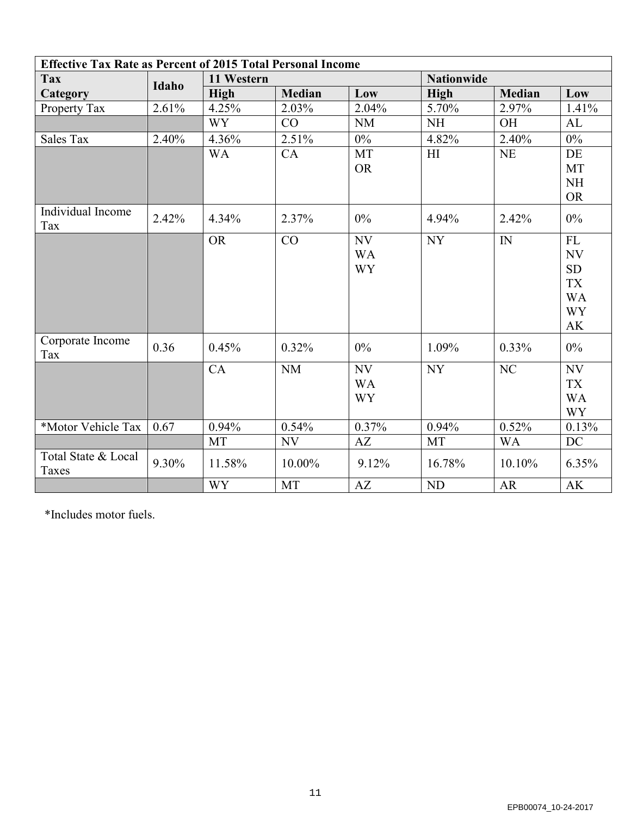| <b>Effective Tax Rate as Percent of 2015 Total Personal Income</b> |       |             |               |           |             |               |                          |  |  |
|--------------------------------------------------------------------|-------|-------------|---------------|-----------|-------------|---------------|--------------------------|--|--|
| <b>Tax</b>                                                         |       | 11 Western  |               |           |             |               |                          |  |  |
| Category                                                           | Idaho | <b>High</b> | <b>Median</b> | Low       | <b>High</b> | <b>Median</b> | Low                      |  |  |
| Property Tax                                                       | 2.61% | 4.25%       | 2.03%         | 2.04%     | 5.70%       | 2.97%         | 1.41%                    |  |  |
|                                                                    |       | <b>WY</b>   | CO            | NM        | <b>NH</b>   | OH            | AL                       |  |  |
| <b>Sales Tax</b>                                                   | 2.40% | 4.36%       | 2.51%         | $0\%$     | 4.82%       | 2.40%         | $0\%$                    |  |  |
|                                                                    |       | <b>WA</b>   | CA            | <b>MT</b> | H1          | <b>NE</b>     | DE                       |  |  |
|                                                                    |       |             |               | <b>OR</b> |             |               | <b>MT</b>                |  |  |
|                                                                    |       |             |               |           |             |               | <b>NH</b>                |  |  |
|                                                                    |       |             |               |           |             |               | <b>OR</b>                |  |  |
| Individual Income<br>Tax                                           | 2.42% | 4.34%       | 2.37%         | 0%        | 4.94%       | 2.42%         | 0%                       |  |  |
|                                                                    |       | <b>OR</b>   | CO            | NV        | NY          | $I\!N$        | ${\rm FL}$               |  |  |
|                                                                    |       |             |               | <b>WA</b> |             |               | NV                       |  |  |
|                                                                    |       |             |               | <b>WY</b> |             |               | <b>SD</b>                |  |  |
|                                                                    |       |             |               |           |             |               | <b>TX</b>                |  |  |
|                                                                    |       |             |               |           |             |               | <b>WA</b>                |  |  |
|                                                                    |       |             |               |           |             |               | <b>WY</b>                |  |  |
|                                                                    |       |             |               |           |             |               | AK                       |  |  |
| Corporate Income<br>Tax                                            | 0.36  | 0.45%       | 0.32%         | 0%        | 1.09%       | 0.33%         | $0\%$                    |  |  |
|                                                                    |       | CA          | $\rm{NM}$     | NV        | NY          | $\rm NC$      | $\ensuremath{\text{NV}}$ |  |  |
|                                                                    |       |             |               | <b>WA</b> |             |               | <b>TX</b>                |  |  |
|                                                                    |       |             |               | <b>WY</b> |             |               | <b>WA</b>                |  |  |
|                                                                    |       |             |               |           |             |               | <b>WY</b>                |  |  |
| *Motor Vehicle Tax                                                 | 0.67  | 0.94%       | 0.54%         | 0.37%     | 0.94%       | 0.52%         | 0.13%                    |  |  |
|                                                                    |       | <b>MT</b>   | <b>NV</b>     | AZ        | <b>MT</b>   | <b>WA</b>     | DC                       |  |  |
| Total State & Local<br>Taxes                                       | 9.30% | 11.58%      | 10.00%        | 9.12%     | 16.78%      | 10.10%        | 6.35%                    |  |  |
|                                                                    |       | <b>WY</b>   | <b>MT</b>     | AZ        | <b>ND</b>   | AR            | AK                       |  |  |

\*Includes motor fuels.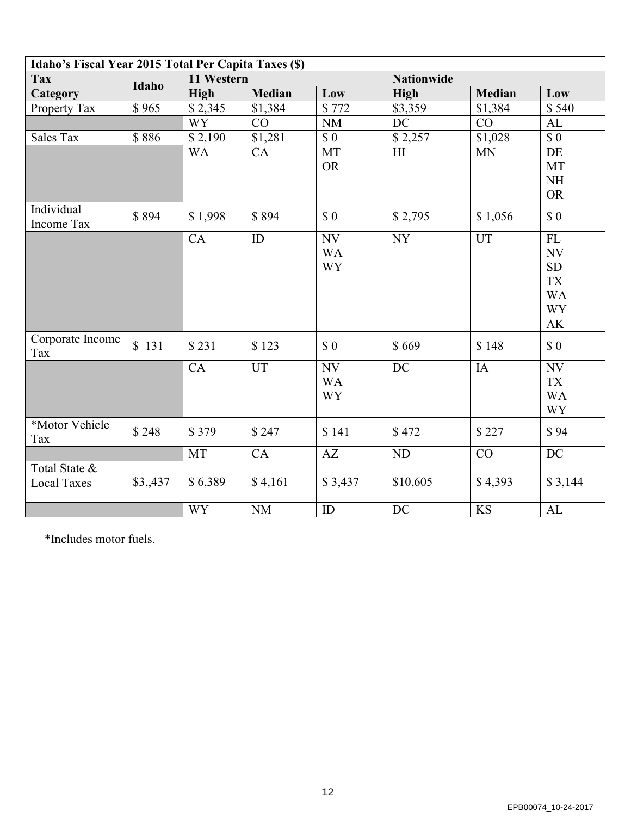| Idaho's Fiscal Year 2015 Total Per Capita Taxes (\$) |                     |            |               |                              |                   |               |                                                                    |
|------------------------------------------------------|---------------------|------------|---------------|------------------------------|-------------------|---------------|--------------------------------------------------------------------|
| <b>Tax</b>                                           | Idaho               | 11 Western |               |                              | <b>Nationwide</b> |               |                                                                    |
| <b>Category</b>                                      |                     | High       | <b>Median</b> | Low                          | <b>High</b>       | <b>Median</b> | Low                                                                |
| Property Tax                                         | $\overline{\$}$ 965 | \$2,345    | \$1,384       | \$772                        | \$3,359           | \$1,384       | \$540                                                              |
|                                                      |                     | <b>WY</b>  | CO            | NM                           | DC                | CO            | AL                                                                 |
| <b>Sales Tax</b>                                     | \$886               | \$2,190    | \$1,281       | \$0\$                        | \$2,257           | \$1,028       | \$0                                                                |
|                                                      |                     | <b>WA</b>  | CA            | MT<br><b>OR</b>              | H1                | <b>MN</b>     | DE<br>MT<br><b>NH</b><br><b>OR</b>                                 |
| Individual<br>Income Tax                             | \$894               | \$1,998    | \$894         | \$0                          | \$2,795           | \$1,056       | \$0                                                                |
|                                                      |                     | CA         | ID            | NV<br><b>WA</b><br><b>WY</b> | <b>NY</b>         | UT            | FL<br>NV<br><b>SD</b><br><b>TX</b><br><b>WA</b><br><b>WY</b><br>AK |
| Corporate Income<br>Tax                              | \$131               | \$231      | \$123         | \$0                          | \$669             | \$148         | \$0                                                                |
|                                                      |                     | CA         | <b>UT</b>     | NV<br><b>WA</b><br><b>WY</b> | DC                | IA            | NV<br><b>TX</b><br><b>WA</b><br><b>WY</b>                          |
| *Motor Vehicle<br>Tax                                | \$248               | \$379      | \$247         | \$141                        | \$472             | \$227         | \$94                                                               |
|                                                      |                     | MT         | CA            | AZ                           | <b>ND</b>         | CO            | <b>DC</b>                                                          |
| Total State &<br><b>Local Taxes</b>                  | \$3,437             | \$6,389    | \$4,161       | \$3,437                      | \$10,605          | \$4,393       | \$3,144                                                            |
|                                                      |                     | <b>WY</b>  | NM            | ID                           | <b>DC</b>         | <b>KS</b>     | AL                                                                 |

\*Includes motor fuels.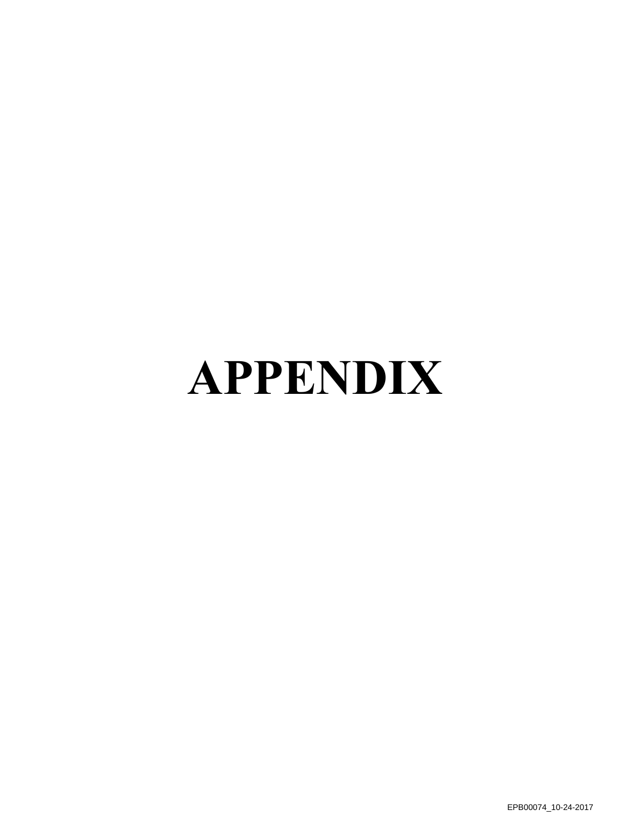# **APPENDIX**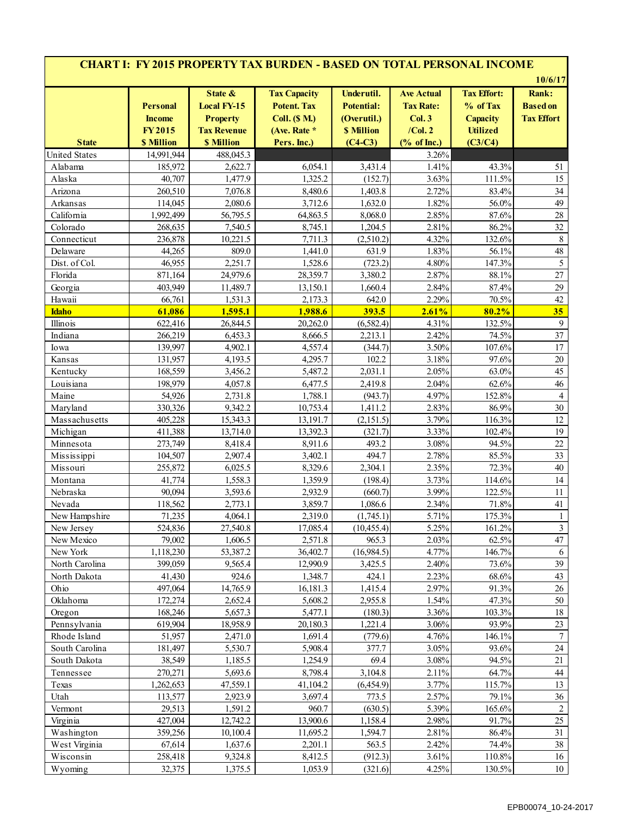| <b>CHART I: FY 2015 PROPERTY TAX BURDEN - BASED ON TOTAL PERSONAL INCOME</b> |                                                                        |                                                                                             |                                                                                                  |                                                                                  |                                                                                           |                                                                                 |                                                                 |  |  |  |  |
|------------------------------------------------------------------------------|------------------------------------------------------------------------|---------------------------------------------------------------------------------------------|--------------------------------------------------------------------------------------------------|----------------------------------------------------------------------------------|-------------------------------------------------------------------------------------------|---------------------------------------------------------------------------------|-----------------------------------------------------------------|--|--|--|--|
| <b>State</b>                                                                 | <b>Personal</b><br><b>Income</b><br><b>FY2015</b><br><b>\$ Million</b> | State &<br><b>Local FY-15</b><br><b>Property</b><br><b>Tax Revenue</b><br><b>\$ Million</b> | <b>Tax Capacity</b><br><b>Potent. Tax</b><br><b>Coll.</b> (\$ M.)<br>(Ave. Rate *<br>Pers. Inc.) | Underutil.<br><b>Potential:</b><br>(Overutil.)<br><b>\$ Million</b><br>$(C4-C3)$ | <b>Ave Actual</b><br><b>Tax Rate:</b><br>Col.3<br>$/$ Col. 2<br>$(% \mathbf{A})$ of Inc.) | <b>Tax Effort:</b><br>% of Tax<br><b>Capacity</b><br><b>Utilized</b><br>(C3/C4) | 10/6/17<br><b>Rank:</b><br><b>Based</b> on<br><b>Tax Effort</b> |  |  |  |  |
| <b>United States</b>                                                         | 14,991,944                                                             | 488,045.3                                                                                   |                                                                                                  |                                                                                  | 3.26%                                                                                     |                                                                                 |                                                                 |  |  |  |  |
| Alabama                                                                      | 185,972                                                                | 2,622.7                                                                                     | 6,054.1                                                                                          | 3,431.4                                                                          | 1.41%                                                                                     | 43.3%                                                                           | 51                                                              |  |  |  |  |
| Alaska                                                                       | 40,707                                                                 | 1,477.9                                                                                     | 1,325.2                                                                                          | (152.7)                                                                          | 3.63%                                                                                     | 111.5%                                                                          | 15                                                              |  |  |  |  |
| Arizona                                                                      | 260,510                                                                | 7,076.8                                                                                     | 8,480.6                                                                                          | 1,403.8                                                                          | 2.72%                                                                                     | 83.4%                                                                           | 34                                                              |  |  |  |  |
| Arkansas                                                                     | 114,045                                                                | 2,080.6                                                                                     | 3,712.6                                                                                          | 1,632.0                                                                          | 1.82%                                                                                     | 56.0%                                                                           | 49                                                              |  |  |  |  |
| California                                                                   | 1,992,499                                                              | 56,795.5                                                                                    | 64,863.5                                                                                         | 8,068.0                                                                          | 2.85%                                                                                     | 87.6%                                                                           | $28\,$                                                          |  |  |  |  |
| Colorado                                                                     | 268,635                                                                | 7,540.5                                                                                     | 8,745.1                                                                                          | 1,204.5                                                                          | 2.81%                                                                                     | 86.2%                                                                           | 32                                                              |  |  |  |  |
| Connecticut                                                                  | 236,878                                                                | 10,221.5                                                                                    | 7,711.3                                                                                          | (2,510.2)                                                                        | 4.32%                                                                                     | 132.6%                                                                          | 8                                                               |  |  |  |  |
| Delaware                                                                     | 44,265                                                                 | 809.0                                                                                       | 1,441.0                                                                                          | 631.9                                                                            | 1.83%                                                                                     | 56.1%                                                                           | 48                                                              |  |  |  |  |
| Dist. of Col.                                                                | 46,955                                                                 | 2,251.7                                                                                     | 1,528.6                                                                                          | (723.2)                                                                          | 4.80%                                                                                     | 147.3%                                                                          | 5                                                               |  |  |  |  |
| Florida                                                                      | 871,164                                                                | 24,979.6                                                                                    | 28,359.7                                                                                         | 3,380.2                                                                          | 2.87%                                                                                     | 88.1%                                                                           | 27                                                              |  |  |  |  |
| Georgia                                                                      | 403,949                                                                | 11,489.7                                                                                    | 13,150.1                                                                                         | 1,660.4                                                                          | 2.84%                                                                                     | 87.4%                                                                           | 29                                                              |  |  |  |  |
| Hawaii                                                                       | 66,761                                                                 | 1,531.3                                                                                     | 2,173.3                                                                                          | 642.0                                                                            | 2.29%                                                                                     | 70.5%                                                                           | 42                                                              |  |  |  |  |
| <b>Idaho</b>                                                                 | 61,086                                                                 | 1,595.1                                                                                     | 1,988.6                                                                                          | 393.5                                                                            | 2.61%                                                                                     | 80.2%                                                                           | 35                                                              |  |  |  |  |
| Illinois                                                                     | 622,416                                                                | 26,844.5                                                                                    | 20,262.0                                                                                         | (6,582.4)                                                                        | 4.31%                                                                                     | 132.5%                                                                          | 9                                                               |  |  |  |  |
| Indiana                                                                      | 266,219                                                                | 6,453.3                                                                                     | 8,666.5                                                                                          | 2,213.1                                                                          | 2.42%                                                                                     | 74.5%                                                                           | 37                                                              |  |  |  |  |
| Iowa                                                                         | 139,997                                                                | 4,902.1                                                                                     | 4,557.4                                                                                          | (344.7)                                                                          | 3.50%                                                                                     | 107.6%                                                                          | 17                                                              |  |  |  |  |
| Kansas                                                                       | 131,957                                                                | 4,193.5                                                                                     | 4,295.7                                                                                          | 102.2                                                                            | 3.18%                                                                                     | 97.6%                                                                           | $20\,$                                                          |  |  |  |  |
| Kentucky                                                                     | 168,559                                                                | 3,456.2                                                                                     | 5,487.2                                                                                          | 2,031.1                                                                          | 2.05%                                                                                     | 63.0%                                                                           | 45                                                              |  |  |  |  |
| Louisiana                                                                    | 198,979                                                                | 4,057.8                                                                                     | 6,477.5                                                                                          | 2,419.8                                                                          | 2.04%                                                                                     | 62.6%                                                                           | 46                                                              |  |  |  |  |
| Maine                                                                        | 54,926                                                                 | 2,731.8                                                                                     | 1,788.1                                                                                          | (943.7)                                                                          | 4.97%                                                                                     | 152.8%                                                                          | $\overline{4}$                                                  |  |  |  |  |
| Maryland                                                                     | 330,326                                                                | 9,342.2                                                                                     | 10,753.4                                                                                         | 1,411.2                                                                          | 2.83%                                                                                     | 86.9%                                                                           | 30                                                              |  |  |  |  |
| Massachusetts                                                                | 405,228                                                                | 15,343.3                                                                                    | 13,191.7                                                                                         | (2, 151.5)                                                                       | 3.79%                                                                                     | 116.3%                                                                          | 12                                                              |  |  |  |  |
| Michigan                                                                     | 411,388                                                                | 13,714.0                                                                                    | 13,392.3                                                                                         | (321.7)                                                                          | 3.33%                                                                                     | 102.4%                                                                          | 19                                                              |  |  |  |  |
| Minnesota                                                                    | 273,749                                                                | 8,418.4                                                                                     | 8,911.6                                                                                          | 493.2                                                                            | 3.08%                                                                                     | 94.5%                                                                           | $22\,$                                                          |  |  |  |  |
| Mississippi                                                                  | 104,507                                                                | 2,907.4                                                                                     | 3,402.1                                                                                          | 494.7                                                                            | 2.78%                                                                                     | 85.5%                                                                           | 33                                                              |  |  |  |  |
| Missouri                                                                     | 255,872                                                                | 6,025.5                                                                                     | 8,329.6                                                                                          | 2,304.1                                                                          | 2.35%                                                                                     | 72.3%                                                                           | 40                                                              |  |  |  |  |
| Montana                                                                      | 41,774                                                                 | 1,558.3                                                                                     | 1,359.9                                                                                          | (198.4)                                                                          | 3.73%                                                                                     | 114.6%                                                                          | 14                                                              |  |  |  |  |
| Nebraska                                                                     | 90,094                                                                 | 3,593.6                                                                                     | 2,932.9                                                                                          | (660.7)                                                                          | 3.99%                                                                                     | 122.5%                                                                          | 11                                                              |  |  |  |  |
| Nevada                                                                       | 118,562                                                                | 2,773.1                                                                                     | 3,859.7                                                                                          | 1,086.6                                                                          | 2.34%                                                                                     | $71.8\%$                                                                        | 41                                                              |  |  |  |  |
| New Hampshire                                                                | 71,235                                                                 | 4,064.1                                                                                     | 2,319.0                                                                                          | (1,745.1)                                                                        | 5.71%                                                                                     | 175.3%                                                                          | $\mathbf{1}$                                                    |  |  |  |  |
| New Jersey                                                                   | 524,836                                                                | 27,540.8                                                                                    | 17,085.4                                                                                         | (10, 455.4)                                                                      | 5.25%                                                                                     | 161.2%                                                                          | $\overline{\mathbf{3}}$                                         |  |  |  |  |
| New Mexico                                                                   | 79,002                                                                 | 1,606.5                                                                                     | 2,571.8                                                                                          | 965.3                                                                            | 2.03%                                                                                     | 62.5%                                                                           | 47                                                              |  |  |  |  |
| New York                                                                     | 1,118,230                                                              | 53,387.2                                                                                    | 36,402.7                                                                                         | (16,984.5)                                                                       | 4.77%                                                                                     | 146.7%                                                                          | 6                                                               |  |  |  |  |
| North Carolina                                                               | 399,059                                                                | 9,565.4                                                                                     | 12,990.9                                                                                         | 3,425.5                                                                          | 2.40%                                                                                     | 73.6%                                                                           | 39                                                              |  |  |  |  |
| North Dakota                                                                 | 41,430                                                                 | 924.6                                                                                       | 1,348.7                                                                                          | 424.1                                                                            | 2.23%                                                                                     | 68.6%                                                                           | 43                                                              |  |  |  |  |
| Ohio                                                                         | 497,064                                                                | 14,765.9                                                                                    | 16,181.3                                                                                         | 1,415.4                                                                          | 2.97%                                                                                     | 91.3%                                                                           | 26                                                              |  |  |  |  |
| Oklahoma                                                                     | 172,274                                                                | 2,652.4                                                                                     | 5,608.2                                                                                          | 2,955.8                                                                          | 1.54%                                                                                     | 47.3%                                                                           | 50                                                              |  |  |  |  |
| Oregon                                                                       | 168,246                                                                | 5,657.3                                                                                     | 5,477.1                                                                                          | (180.3)                                                                          | 3.36%                                                                                     | 103.3%                                                                          | 18                                                              |  |  |  |  |
| Pennsylvania                                                                 | 619,904                                                                | 18,958.9                                                                                    | 20,180.3                                                                                         | 1,221.4                                                                          | 3.06%                                                                                     | 93.9%                                                                           | 23                                                              |  |  |  |  |
| Rhode Island                                                                 | 51,957                                                                 | 2,471.0                                                                                     | 1,691.4                                                                                          | (779.6)                                                                          | 4.76%                                                                                     | 146.1%                                                                          | $\boldsymbol{7}$                                                |  |  |  |  |
| South Carolina                                                               | 181,497                                                                | 5,530.7                                                                                     | 5,908.4                                                                                          | 377.7                                                                            | 3.05%                                                                                     | 93.6%                                                                           | 24                                                              |  |  |  |  |
| South Dakota                                                                 | 38,549                                                                 | 1,185.5                                                                                     | 1,254.9                                                                                          | 69.4                                                                             | 3.08%                                                                                     | 94.5%                                                                           | 21                                                              |  |  |  |  |
| Tennessee                                                                    | 270,271                                                                | 5,693.6                                                                                     | 8,798.4                                                                                          | 3,104.8                                                                          | 2.11%                                                                                     | 64.7%                                                                           | 44                                                              |  |  |  |  |
| Texas                                                                        | 1,262,653                                                              | 47,559.1                                                                                    | 41,104.2                                                                                         | (6,454.9)                                                                        | 3.77%                                                                                     | 115.7%                                                                          | 13                                                              |  |  |  |  |
| Utah                                                                         | 113,577                                                                | 2,923.9                                                                                     | 3,697.4                                                                                          | 773.5                                                                            | 2.57%                                                                                     | 79.1%                                                                           | 36                                                              |  |  |  |  |
| Vermont                                                                      | 29,513                                                                 | 1,591.2                                                                                     | 960.7                                                                                            | (630.5)                                                                          | 5.39%                                                                                     | 165.6%                                                                          | $\overline{c}$                                                  |  |  |  |  |
| Virginia                                                                     | 427,004                                                                | 12,742.2                                                                                    | 13,900.6                                                                                         | 1,158.4                                                                          | 2.98%                                                                                     | 91.7%                                                                           | 25                                                              |  |  |  |  |
| Washington                                                                   | 359,256                                                                | 10,100.4                                                                                    | 11,695.2                                                                                         | 1,594.7                                                                          | 2.81%                                                                                     | 86.4%                                                                           | 31                                                              |  |  |  |  |
| West Virginia                                                                | 67,614                                                                 | 1,637.6                                                                                     | 2,201.1                                                                                          | 563.5                                                                            | 2.42%                                                                                     | 74.4%                                                                           | 38                                                              |  |  |  |  |
| Wisconsin                                                                    | 258,418                                                                | 9,324.8                                                                                     | 8,412.5                                                                                          | (912.3)                                                                          | 3.61%                                                                                     | 110.8%                                                                          | 16                                                              |  |  |  |  |
|                                                                              |                                                                        |                                                                                             |                                                                                                  |                                                                                  | 4.25%                                                                                     |                                                                                 |                                                                 |  |  |  |  |
| Wyoming                                                                      | 32,375                                                                 | 1,375.5                                                                                     | 1,053.9                                                                                          | (321.6)                                                                          |                                                                                           | 130.5%                                                                          | 10                                                              |  |  |  |  |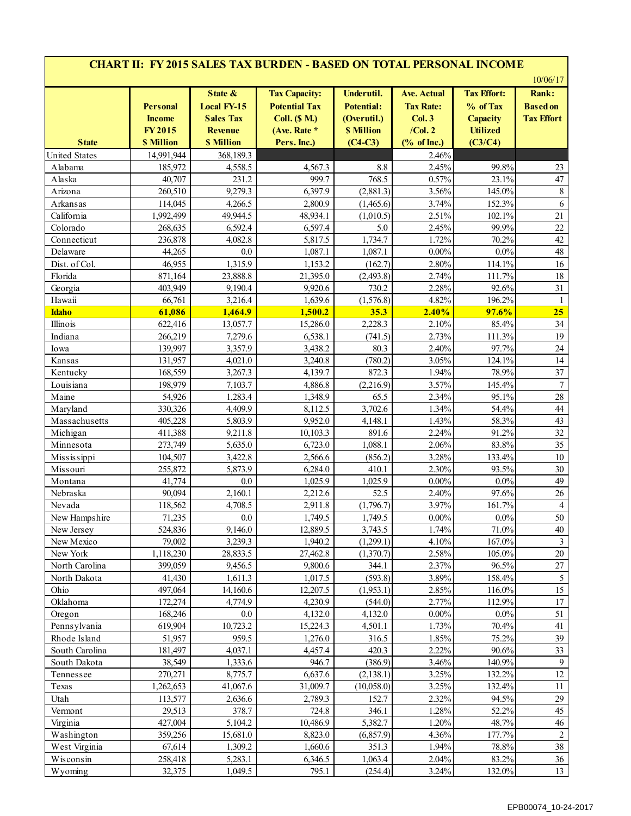| <b>CHART II: FY 2015 SALES TAX BURDEN - BASED ON TOTAL PERSONAL INCOME</b> |                                                                        |                                                                                          |                                                                                                     |                                                                                  |                                                                            |                                                                                 |                                                                  |  |  |  |  |
|----------------------------------------------------------------------------|------------------------------------------------------------------------|------------------------------------------------------------------------------------------|-----------------------------------------------------------------------------------------------------|----------------------------------------------------------------------------------|----------------------------------------------------------------------------|---------------------------------------------------------------------------------|------------------------------------------------------------------|--|--|--|--|
| <b>State</b>                                                               | <b>Personal</b><br><b>Income</b><br><b>FY2015</b><br><b>\$ Million</b> | State &<br><b>Local FY-15</b><br><b>Sales Tax</b><br><b>Revenue</b><br><b>\$ Million</b> | <b>Tax Capacity:</b><br><b>Potential Tax</b><br><b>Coll.</b> (\$ M.)<br>(Ave. Rate *<br>Pers. Inc.) | Underutil.<br><b>Potential:</b><br>(Overutil.)<br><b>\$ Million</b><br>$(C4-C3)$ | <b>Ave. Actual</b><br><b>Tax Rate:</b><br>Col.3<br>$/$ Col. 2<br>% of Inc. | <b>Tax Effort:</b><br>% of Tax<br><b>Capacity</b><br><b>Utilized</b><br>(C3/C4) | 10/06/17<br><b>Rank:</b><br><b>Based on</b><br><b>Tax Effort</b> |  |  |  |  |
| <b>United States</b>                                                       | 14,991,944                                                             | 368,189.3                                                                                |                                                                                                     |                                                                                  | 2.46%                                                                      |                                                                                 |                                                                  |  |  |  |  |
| Alabama                                                                    | 185,972                                                                | 4,558.5                                                                                  | 4,567.3                                                                                             | 8.8                                                                              | 2.45%                                                                      | 99.8%                                                                           | 23                                                               |  |  |  |  |
| Alaska                                                                     | 40,707                                                                 | 231.2                                                                                    | 999.7                                                                                               | 768.5                                                                            | 0.57%                                                                      | 23.1%                                                                           | 47                                                               |  |  |  |  |
| Arizona                                                                    | 260,510                                                                | 9,279.3                                                                                  | 6,397.9                                                                                             | (2,881.3)                                                                        | 3.56%                                                                      | 145.0%                                                                          | $\,$ 8 $\,$                                                      |  |  |  |  |
| Arkansas                                                                   | 114,045                                                                | 4,266.5                                                                                  | 2,800.9                                                                                             | (1,465.6)                                                                        | 3.74%                                                                      | 152.3%                                                                          | 6                                                                |  |  |  |  |
| California                                                                 | 1,992,499                                                              | 49,944.5                                                                                 | 48,934.1                                                                                            | (1,010.5)                                                                        | 2.51%                                                                      | 102.1%                                                                          | 21                                                               |  |  |  |  |
| Colorado                                                                   | 268,635                                                                | 6,592.4                                                                                  | 6,597.4                                                                                             | 5.0                                                                              | 2.45%                                                                      | 99.9%                                                                           | 22                                                               |  |  |  |  |
| Connecticut                                                                | 236,878                                                                | 4,082.8                                                                                  | 5,817.5                                                                                             | 1,734.7                                                                          | 1.72%                                                                      | 70.2%                                                                           | 42                                                               |  |  |  |  |
| Delaware                                                                   | 44,265                                                                 | 0.0                                                                                      | 1,087.1                                                                                             | 1,087.1                                                                          | $0.00\%$                                                                   | $0.0\%$                                                                         | 48                                                               |  |  |  |  |
| Dist. of Col.                                                              | 46,955                                                                 | 1,315.9                                                                                  | 1,153.2                                                                                             | (162.7)                                                                          | 2.80%                                                                      | 114.1%                                                                          | 16                                                               |  |  |  |  |
| Florida                                                                    | 871,164                                                                | 23,888.8                                                                                 | 21,395.0                                                                                            | (2,493.8)                                                                        | 2.74%                                                                      | 111.7%                                                                          | 18                                                               |  |  |  |  |
| Georgia                                                                    | 403,949                                                                | 9,190.4                                                                                  | 9,920.6                                                                                             | 730.2                                                                            | 2.28%                                                                      | 92.6%                                                                           | 31                                                               |  |  |  |  |
| Hawaii                                                                     | 66,761                                                                 | 3,216.4                                                                                  | 1,639.6                                                                                             | (1,576.8)                                                                        | 4.82%                                                                      | 196.2%                                                                          | $\mathbf{1}$                                                     |  |  |  |  |
| <b>Idaho</b>                                                               | 61,086                                                                 | 1,464.9                                                                                  | 1,500.2                                                                                             | 35.3                                                                             | 2.40%                                                                      | 97.6%                                                                           | 25                                                               |  |  |  |  |
| Illinois                                                                   | 622,416                                                                | 13,057.7                                                                                 | 15,286.0                                                                                            | 2,228.3                                                                          | 2.10%                                                                      | 85.4%                                                                           | 34                                                               |  |  |  |  |
| Indiana                                                                    | 266,219                                                                | 7,279.6                                                                                  | 6,538.1                                                                                             | (741.5)                                                                          | 2.73%                                                                      | 111.3%                                                                          | 19                                                               |  |  |  |  |
| Iowa                                                                       | 139,997                                                                | 3,357.9                                                                                  | 3,438.2                                                                                             | 80.3                                                                             | 2.40%                                                                      | 97.7%                                                                           | 24                                                               |  |  |  |  |
| Kansas                                                                     | 131,957                                                                | 4,021.0                                                                                  | 3,240.8                                                                                             | (780.2)                                                                          | 3.05%                                                                      | 124.1%                                                                          | 14                                                               |  |  |  |  |
|                                                                            |                                                                        |                                                                                          |                                                                                                     |                                                                                  |                                                                            |                                                                                 | 37                                                               |  |  |  |  |
| Kentucky                                                                   | 168,559                                                                | 3,267.3                                                                                  | 4,139.7                                                                                             | 872.3                                                                            | 1.94%                                                                      | 78.9%                                                                           |                                                                  |  |  |  |  |
| Louisiana                                                                  | 198,979                                                                | 7,103.7                                                                                  | 4,886.8                                                                                             | (2,216.9)                                                                        | 3.57%                                                                      | 145.4%                                                                          | $\boldsymbol{7}$                                                 |  |  |  |  |
| Maine                                                                      | 54,926                                                                 | 1,283.4                                                                                  | 1,348.9                                                                                             | 65.5                                                                             | 2.34%                                                                      | 95.1%                                                                           | 28                                                               |  |  |  |  |
| Maryland                                                                   | 330,326                                                                | 4,409.9                                                                                  | 8,112.5                                                                                             | 3,702.6                                                                          | 1.34%                                                                      | 54.4%                                                                           | 44                                                               |  |  |  |  |
| Massachusetts                                                              | 405,228                                                                | 5,803.9                                                                                  | 9,952.0                                                                                             | 4,148.1                                                                          | 1.43%                                                                      | 58.3%                                                                           | 43                                                               |  |  |  |  |
| Michigan                                                                   | 411,388                                                                | 9,211.8                                                                                  | 10,103.3                                                                                            | 891.6                                                                            | 2.24%                                                                      | 91.2%                                                                           | 32                                                               |  |  |  |  |
| Minnesota                                                                  | 273,749                                                                | 5,635.0                                                                                  | 6,723.0                                                                                             | 1,088.1                                                                          | 2.06%                                                                      | 83.8%                                                                           | 35                                                               |  |  |  |  |
| Mississippi                                                                | 104,507                                                                | 3,422.8                                                                                  | 2,566.6                                                                                             | (856.2)                                                                          | 3.28%                                                                      | 133.4%                                                                          | 10                                                               |  |  |  |  |
| Missouri                                                                   | 255,872                                                                | 5,873.9                                                                                  | 6,284.0                                                                                             | 410.1                                                                            | 2.30%                                                                      | 93.5%                                                                           | 30                                                               |  |  |  |  |
| Montana                                                                    | 41,774                                                                 | 0.0                                                                                      | 1,025.9                                                                                             | 1,025.9                                                                          | $0.00\%$                                                                   | $0.0\%$                                                                         | 49                                                               |  |  |  |  |
| Nebraska                                                                   | 90,094                                                                 | 2,160.1                                                                                  | 2,212.6                                                                                             | 52.5                                                                             | 2.40%                                                                      | 97.6%                                                                           | 26                                                               |  |  |  |  |
| Nevada                                                                     | 118,562                                                                | 4,708.5                                                                                  | 2,911.8                                                                                             | (1,796.7)                                                                        | 3.97%                                                                      | 161.7%                                                                          |                                                                  |  |  |  |  |
| New Hampshire                                                              | 71,235                                                                 | $0.0\,$                                                                                  | 1,749.5                                                                                             | 1,749.5                                                                          | $0.00\%$                                                                   | $0.0\%$                                                                         | 50                                                               |  |  |  |  |
| New Jersey                                                                 | 524,836                                                                | 9,146.0                                                                                  | 12,889.5                                                                                            | 3,743.5                                                                          | 1.74%                                                                      | 71.0%                                                                           | 40                                                               |  |  |  |  |
| New Mexico                                                                 | 79,002                                                                 | 3,239.3                                                                                  | 1,940.2                                                                                             | (1,299.1)                                                                        | 4.10%                                                                      | 167.0%                                                                          | $\mathfrak{Z}$                                                   |  |  |  |  |
| New York                                                                   | 1,118,230                                                              | 28,833.5                                                                                 | 27,462.8                                                                                            | (1,370.7)                                                                        | 2.58%                                                                      | 105.0%                                                                          | $20\,$                                                           |  |  |  |  |
| North Carolina                                                             | 399,059                                                                | 9,456.5                                                                                  | 9,800.6                                                                                             | 344.1                                                                            | 2.37%                                                                      | 96.5%                                                                           | $27\,$                                                           |  |  |  |  |
| North Dakota                                                               | 41,430                                                                 | 1,611.3                                                                                  | 1,017.5                                                                                             | (593.8)                                                                          | 3.89%                                                                      | 158.4%                                                                          | $\sqrt{5}$                                                       |  |  |  |  |
| Ohio                                                                       | 497,064                                                                | 14,160.6                                                                                 | 12,207.5                                                                                            | (1,953.1)                                                                        | 2.85%                                                                      | 116.0%                                                                          | 15                                                               |  |  |  |  |
| Oklahoma                                                                   | 172,274                                                                | 4,774.9                                                                                  | 4,230.9                                                                                             | (544.0)                                                                          | 2.77%                                                                      | 112.9%                                                                          | 17                                                               |  |  |  |  |
| Oregon                                                                     | 168,246                                                                | $0.0\,$                                                                                  | 4,132.0                                                                                             | 4,132.0                                                                          | $0.00\%$                                                                   | $0.0\%$                                                                         | 51                                                               |  |  |  |  |
| Pennsylvania                                                               | 619,904                                                                | 10,723.2                                                                                 | 15,224.3                                                                                            | 4,501.1                                                                          | 1.73%                                                                      | 70.4%                                                                           | 41                                                               |  |  |  |  |
| Rhode Island                                                               | 51,957                                                                 | 959.5                                                                                    | 1,276.0                                                                                             | 316.5                                                                            | 1.85%                                                                      | 75.2%                                                                           | 39                                                               |  |  |  |  |
| South Carolina                                                             | 181,497                                                                | 4,037.1                                                                                  | 4,457.4                                                                                             | 420.3                                                                            | 2.22%                                                                      | 90.6%                                                                           | 33                                                               |  |  |  |  |
| South Dakota                                                               | 38,549                                                                 | 1,333.6                                                                                  | 946.7                                                                                               | (386.9)                                                                          | 3.46%                                                                      | 140.9%                                                                          | $\mathbf{9}$                                                     |  |  |  |  |
| Tennessee                                                                  | 270,271                                                                | 8,775.7                                                                                  | 6,637.6                                                                                             | (2, 138.1)                                                                       | 3.25%                                                                      | 132.2%                                                                          | 12                                                               |  |  |  |  |
| Texas                                                                      | 1,262,653                                                              | 41,067.6                                                                                 | 31,009.7                                                                                            | (10,058.0)                                                                       | 3.25%                                                                      | 132.4%                                                                          | 11                                                               |  |  |  |  |
| Utah                                                                       | 113,577                                                                | 2,636.6                                                                                  | 2,789.3                                                                                             | 152.7                                                                            | 2.32%                                                                      | 94.5%                                                                           | 29                                                               |  |  |  |  |
| Vermont                                                                    | 29,513                                                                 | 378.7                                                                                    | 724.8                                                                                               | 346.1                                                                            | 1.28%                                                                      | 52.2%                                                                           | 45                                                               |  |  |  |  |
| Virginia                                                                   | 427,004                                                                | 5,104.2                                                                                  | 10,486.9                                                                                            | 5,382.7                                                                          | 1.20%                                                                      | 48.7%                                                                           | 46                                                               |  |  |  |  |
| Washington                                                                 | 359,256                                                                | 15,681.0                                                                                 | 8,823.0                                                                                             | (6, 857.9)                                                                       | 4.36%                                                                      | 177.7%                                                                          | $\overline{c}$                                                   |  |  |  |  |
| West Virginia                                                              | 67,614                                                                 | 1,309.2                                                                                  | 1,660.6                                                                                             | 351.3                                                                            | 1.94%                                                                      | 78.8%                                                                           | 38                                                               |  |  |  |  |
| Wisconsin                                                                  | 258,418                                                                | 5,283.1                                                                                  | 6,346.5                                                                                             | 1,063.4                                                                          | 2.04%                                                                      | 83.2%                                                                           | 36                                                               |  |  |  |  |
| Wyoming                                                                    | 32,375                                                                 | 1,049.5                                                                                  | 795.1                                                                                               | (254.4)                                                                          | 3.24%                                                                      | 132.0%                                                                          | 13                                                               |  |  |  |  |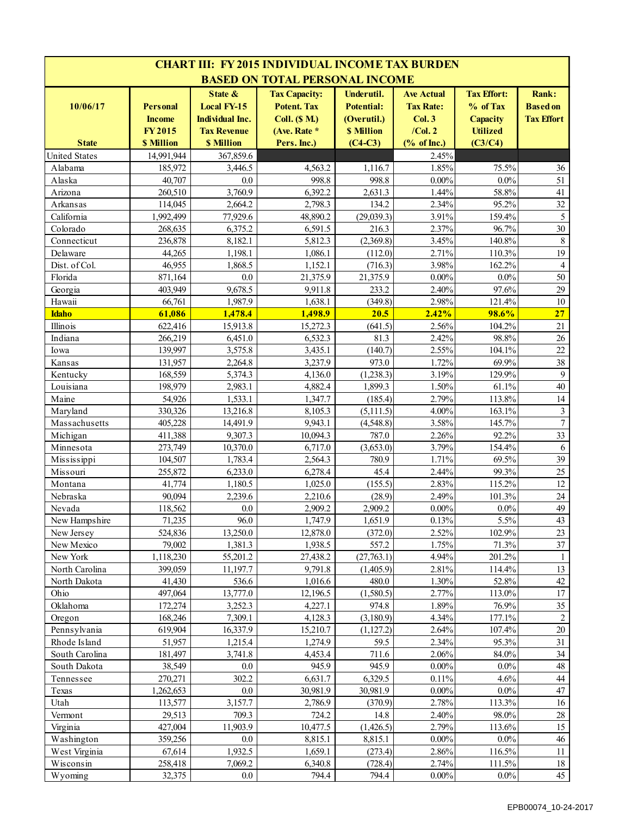| <b>CHART III: FY 2015 INDIVIDUAL INCOME TAX BURDEN</b> |                   |                        |                                       |                   |                   |                    |                   |  |  |
|--------------------------------------------------------|-------------------|------------------------|---------------------------------------|-------------------|-------------------|--------------------|-------------------|--|--|
|                                                        |                   |                        | <b>BASED ON TOTAL PERSONAL INCOME</b> |                   |                   |                    |                   |  |  |
|                                                        |                   | State &                | <b>Tax Capacity:</b>                  | Underutil.        | <b>Ave Actual</b> | <b>Tax Effort:</b> | <b>Rank:</b>      |  |  |
| 10/06/17                                               | <b>Personal</b>   | <b>Local FY-15</b>     | <b>Potent. Tax</b>                    | <b>Potential:</b> | <b>Tax Rate:</b>  | % of Tax           | <b>Based on</b>   |  |  |
|                                                        | <b>Income</b>     | <b>Individual Inc.</b> | <b>Coll.</b> (\$ M.)                  | (Overutil.)       | Col.3             | <b>Capacity</b>    | <b>Tax Effort</b> |  |  |
|                                                        | <b>FY2015</b>     | <b>Tax Revenue</b>     | (Ave. Rate *                          | <b>\$ Million</b> | $/$ Col. $2$      | <b>Utilized</b>    |                   |  |  |
| <b>State</b>                                           | <b>\$ Million</b> | <b>\$ Million</b>      | Pers. Inc.)                           | $(C4-C3)$         | % of Inc.         | (C3/C4)            |                   |  |  |
| <b>United States</b>                                   | 14.991.944        | 367,859.6              |                                       |                   | 2.45%             |                    |                   |  |  |
| Alabama                                                | 185,972           | 3.446.5                | 4,563.2                               | 1,116.7           | 1.85%             | 75.5%              | 36                |  |  |
| Alaska                                                 | 40,707            | 0.0                    | 998.8                                 | 998.8             | $0.00\%$          | $0.0\%$            | 51                |  |  |
| Arizona                                                | 260,510           | 3,760.9                | 6,392.2                               | 2,631.3           | 1.44%             | 58.8%              | 41                |  |  |
| Arkansas                                               | 114,045           | 2,664.2                | 2,798.3                               | 134.2             | 2.34%             | 95.2%              | 32                |  |  |
| California                                             | 1,992,499         | 77,929.6               | 48,890.2                              | (29,039.3)        | 3.91%             | 159.4%             | 5                 |  |  |
| Colorado                                               | 268,635           | 6,375.2                | 6,591.5                               | 216.3             | 2.37%             | 96.7%              | 30                |  |  |
| Connecticut                                            | 236,878           | 8,182.1                | 5,812.3                               | (2,369.8)         | 3.45%             | 140.8%             | $\,8\,$           |  |  |
| Delaware                                               | 44,265            | 1,198.1                | 1,086.1                               | (112.0)           | 2.71%             | 110.3%             | 19                |  |  |
| Dist. of Col.                                          | 46,955            | 1,868.5                | 1,152.1                               | (716.3)           | 3.98%             | 162.2%             | $\overline{4}$    |  |  |
| Florida                                                | 871,164           | 0.0                    | 21,375.9                              | 21,375.9          | $0.00\%$          | $0.0\%$            | 50                |  |  |
| Georgia                                                | 403,949           | 9,678.5                | 9,911.8                               | 233.2             | 2.40%             | 97.6%              | 29                |  |  |
| Hawaii                                                 | 66,761            | 1,987.9                | 1,638.1                               | (349.8)           | 2.98%             | 121.4%             | 10                |  |  |
| <b>Idaho</b>                                           | 61,086            | 1,478.4                | 1,498.9                               | 20.5              | 2.42%             | 98.6%              | 27                |  |  |
| Illinois                                               | 622,416           | 15,913.8               | 15,272.3                              | (641.5)           | 2.56%             | 104.2%             | 21                |  |  |
| Indiana                                                | 266,219           | 6,451.0                | 6,532.3                               | 81.3              | 2.42%             | 98.8%              | 26                |  |  |
| Iowa                                                   | 139,997           | 3,575.8                | 3,435.1                               | (140.7)           | 2.55%             | 104.1%             | 22                |  |  |
| Kansas                                                 | 131,957           | 2,264.8                | 3,237.9                               | 973.0             | 1.72%             | 69.9%              | 38                |  |  |
| Kentucky                                               | 168,559           | 5,374.3                | 4,136.0                               | (1,238.3)         | 3.19%             | 129.9%             | 9                 |  |  |
| Louisiana                                              | 198,979           | 2,983.1                | 4,882.4                               | 1,899.3           | 1.50%             | 61.1%              | 40                |  |  |
| Maine                                                  | 54,926            | 1,533.1                | 1,347.7                               | (185.4)           | 2.79%             | 113.8%             | 14                |  |  |
| Maryland                                               | 330,326           | 13,216.8               | 8,105.3                               | (5, 111.5)        | 4.00%             | 163.1%             | $\mathfrak{Z}$    |  |  |
| Massachusetts                                          | 405,228           | 14,491.9               | 9,943.1                               | (4,548.8)         | 3.58%             | 145.7%             | $\boldsymbol{7}$  |  |  |
| Michigan                                               | 411,388           | 9,307.3                | 10,094.3                              | 787.0             | 2.26%             | 92.2%              | 33                |  |  |
| Minnesota                                              | 273,749           | 10,370.0               | 6,717.0                               | (3,653.0)         | 3.79%             | 154.4%             | 6                 |  |  |
| Mississippi                                            | 104,507           | 1,783.4                | 2,564.3                               | 780.9             | 1.71%             | 69.5%              | 39                |  |  |
| Missouri                                               | 255,872           | 6,233.0                | 6,278.4                               | 45.4              | 2.44%             | 99.3%              | 25                |  |  |
| Montana                                                | 41,774            | 1,180.5                | 1,025.0                               | (155.5)           | 2.83%             | 115.2%             | 12                |  |  |
| Nebraska                                               | 90,094            | 2,239.6                | 2,210.6                               | (28.9)            | 2.49%             | 101.3%             | 24                |  |  |
| Nevada                                                 | 118,562           | $0.0\,$                | 2,909.2                               | 2,909.2           | $0.00\%$          | $0.0\%$            | 49                |  |  |
| New Hampshire                                          | 71,235            | 96.0                   | 1,747.9                               | 1,651.9           | 0.13%             | 5.5%               | 43                |  |  |
| New Jersey                                             | 524,836           | 13,250.0               | 12,878.0                              | (372.0)           | 2.52%             | 102.9%             | 23                |  |  |
| New Mexico                                             | 79,002            | 1,381.3                | 1,938.5                               | 557.2             | 1.75%             | 71.3%              | 37                |  |  |
| New York                                               | 1,118,230         | 55,201.2               | 27,438.2                              | (27,763.1)        | 4.94%             | 201.2%             | 1                 |  |  |
| North Carolina                                         | 399,059           | 11,197.7               | 9,791.8                               | (1,405.9)         | 2.81%             | 114.4%             | 13                |  |  |
| North Dakota                                           | 41,430            | 536.6                  | 1,016.6                               | 480.0             | 1.30%             | 52.8%              | $42\,$            |  |  |
| Ohio                                                   | 497,064           | 13,777.0               | 12,196.5                              | (1,580.5)         | 2.77%             | 113.0%             | $17\,$            |  |  |
| Oklahoma                                               | 172,274           | 3,252.3                | 4,227.1                               | 974.8             | 1.89%             | 76.9%              | 35                |  |  |
| Oregon                                                 | 168,246           | 7,309.1                | 4,128.3                               | (3,180.9)         | 4.34%             | 177.1%             | $\overline{c}$    |  |  |
| Pennsylvania                                           | 619,904           | 16,337.9               | 15,210.7                              | (1, 127.2)        | 2.64%             | 107.4%             | $20\,$            |  |  |
| Rhode Island                                           | 51,957            | 1,215.4                | 1,274.9                               | 59.5              | 2.34%             | 95.3%              | 31                |  |  |
| South Carolina                                         | 181,497           | 3,741.8                | 4,453.4                               | 711.6             | 2.06%             | 84.0%              | 34                |  |  |
| South Dakota                                           | 38,549            | 0.0                    | 945.9                                 | 945.9             | $0.00\%$          | $0.0\%$            | 48                |  |  |
| Tennessee                                              | 270,271           | 302.2                  | 6,631.7                               | 6,329.5           | 0.11%             | 4.6%               | 44                |  |  |
| Texas                                                  | 1,262,653         | 0.0                    | 30,981.9                              | 30,981.9          | $0.00\%$          | $0.0\%$            | 47                |  |  |
| Utah                                                   | 113,577           | 3,157.7                | 2,786.9                               | (370.9)           | 2.78%             | 113.3%             | 16                |  |  |
| Vermont                                                | 29,513            | 709.3                  | 724.2                                 | 14.8              | 2.40%             | 98.0%              | $28\,$            |  |  |
| Virginia                                               | 427,004           | 11,903.9               | 10,477.5                              | (1,426.5)         | 2.79%             | 113.6%             | 15                |  |  |
| Washington                                             | 359,256           | $0.0\,$                | 8,815.1                               | 8,815.1           | $0.00\%$          | $0.0\%$            | 46                |  |  |
| West Virginia                                          | 67,614            | 1,932.5                | 1,659.1                               | (273.4)           | 2.86%             | 116.5%             | 11                |  |  |
| Wisconsin                                              | 258,418           | 7,069.2                | 6,340.8                               | (728.4)           | 2.74%             | 111.5%             | $18\,$            |  |  |
| Wyoming                                                | 32,375            | $0.0\,$                | 794.4                                 | 794.4             | $0.00\%$          | $0.0\%$            | 45                |  |  |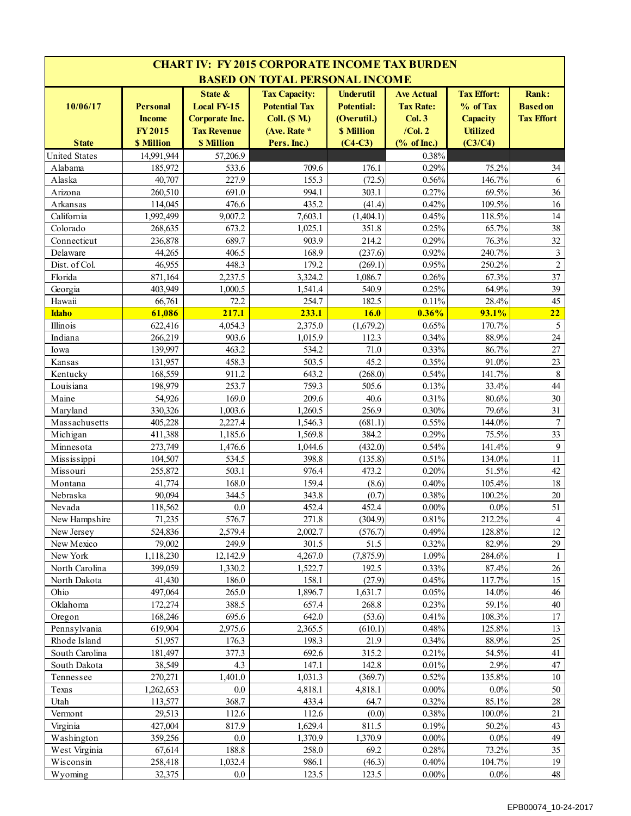|                      |                                                   |                                                                              | <b>CHART IV: FY 2015 CORPORATE INCOME TAX BURDEN</b>                                 |                                                                           |                                                                      |                                                               |                                                      |
|----------------------|---------------------------------------------------|------------------------------------------------------------------------------|--------------------------------------------------------------------------------------|---------------------------------------------------------------------------|----------------------------------------------------------------------|---------------------------------------------------------------|------------------------------------------------------|
|                      |                                                   |                                                                              | <b>BASED ON TOTAL PERSONAL INCOME</b>                                                |                                                                           |                                                                      |                                                               |                                                      |
| 10/06/17             | <b>Personal</b><br><b>Income</b><br><b>FY2015</b> | State &<br><b>Local FY-15</b><br><b>Corporate Inc.</b><br><b>Tax Revenue</b> | <b>Tax Capacity:</b><br><b>Potential Tax</b><br><b>Coll.</b> (\$ M.)<br>(Ave. Rate * | <b>Underutil</b><br><b>Potential:</b><br>(Overutil.)<br><b>\$ Million</b> | <b>Ave Actual</b><br><b>Tax Rate:</b><br><b>Col. 3</b><br>$/$ Col. 2 | <b>Tax Effort:</b><br>% of Tax<br>Capacity<br><b>Utilized</b> | <b>Rank:</b><br><b>Based on</b><br><b>Tax Effort</b> |
| <b>State</b>         | <b>\$ Million</b>                                 | <b>\$ Million</b>                                                            | Pers. Inc.)                                                                          | $(C4-C3)$                                                                 | % of Inc.                                                            | (C3/C4)                                                       |                                                      |
| <b>United States</b> | 14.991.944                                        | 57,206.9                                                                     |                                                                                      |                                                                           | 0.38%                                                                |                                                               |                                                      |
| Alabama              | 185,972                                           | 533.6                                                                        | 709.6                                                                                | 176.1                                                                     | 0.29%                                                                | 75.2%                                                         | 34                                                   |
| Alaska               | 40,707                                            | 227.9                                                                        | 155.3                                                                                | (72.5)                                                                    | 0.56%                                                                | 146.7%                                                        | 6                                                    |
| Arizona<br>Arkansas  | 260,510<br>114,045                                | 691.0<br>476.6                                                               | 994.1<br>435.2                                                                       | 303.1<br>(41.4)                                                           | 0.27%<br>0.42%                                                       | 69.5%<br>109.5%                                               | 36<br>16                                             |
| California           | 1,992,499                                         | 9,007.2                                                                      | 7,603.1                                                                              | (1,404.1)                                                                 | 0.45%                                                                | 118.5%                                                        | 14                                                   |
| Colorado             | 268,635                                           | 673.2                                                                        | 1,025.1                                                                              | 351.8                                                                     | 0.25%                                                                | 65.7%                                                         | 38                                                   |
| Connecticut          | 236,878                                           | 689.7                                                                        | 903.9                                                                                | 214.2                                                                     | 0.29%                                                                | 76.3%                                                         | 32                                                   |
| Delaware             | 44,265                                            | 406.5                                                                        | 168.9                                                                                | (237.6)                                                                   | 0.92%                                                                | 240.7%                                                        | $\mathfrak{Z}$                                       |
| Dist. of Col.        | 46,955                                            | 448.3                                                                        | 179.2                                                                                | (269.1)                                                                   | 0.95%                                                                | 250.2%                                                        | $\overline{c}$                                       |
| Florida              | 871,164                                           | 2,237.5                                                                      | 3,324.2                                                                              | 1,086.7                                                                   | 0.26%                                                                | 67.3%                                                         | 37                                                   |
| Georgia              | 403,949                                           | 1,000.5                                                                      | 1,541.4                                                                              | 540.9                                                                     | 0.25%                                                                | 64.9%                                                         | 39                                                   |
| Hawaii               | 66,761                                            | 72.2                                                                         | 254.7                                                                                | 182.5                                                                     | 0.11%                                                                | 28.4%                                                         | 45                                                   |
| <b>Idaho</b>         | 61,086                                            | 217.1                                                                        | 233.1                                                                                | 16.0                                                                      | 0.36%                                                                | 93.1%                                                         | 22                                                   |
| Illinois             | 622,416                                           | 4,054.3                                                                      | 2,375.0                                                                              | (1,679.2)                                                                 | 0.65%                                                                | 170.7%                                                        | 5                                                    |
| Indiana              | 266,219                                           | 903.6                                                                        | 1,015.9                                                                              | 112.3                                                                     | 0.34%                                                                | 88.9%                                                         | 24                                                   |
| Iowa                 | 139,997                                           | 463.2                                                                        | 534.2                                                                                | 71.0                                                                      | 0.33%                                                                | 86.7%                                                         | 27                                                   |
| Kansas               | 131,957                                           | 458.3                                                                        | 503.5                                                                                | 45.2                                                                      | 0.35%                                                                | 91.0%                                                         | 23                                                   |
| Kentucky             | 168,559                                           | 911.2                                                                        | 643.2                                                                                | (268.0)                                                                   | 0.54%                                                                | 141.7%                                                        | $8\,$                                                |
| Louisiana            | 198,979                                           | 253.7                                                                        | 759.3                                                                                | 505.6                                                                     | 0.13%                                                                | 33.4%                                                         | 44                                                   |
| Maine                | 54,926                                            | 169.0                                                                        | 209.6                                                                                | 40.6                                                                      | 0.31%                                                                | 80.6%                                                         | 30                                                   |
| Maryland             | 330,326                                           | 1,003.6                                                                      | 1,260.5                                                                              | 256.9                                                                     | 0.30%                                                                | 79.6%                                                         | 31                                                   |
| Massachusetts        | 405,228                                           | 2,227.4                                                                      | 1,546.3                                                                              | (681.1)                                                                   | 0.55%                                                                | 144.0%                                                        | $\tau$                                               |
| Michigan             | 411,388                                           | 1,185.6                                                                      | 1,569.8                                                                              | 384.2                                                                     | 0.29%                                                                | 75.5%                                                         | 33                                                   |
| Minnesota            | 273,749                                           | 1,476.6                                                                      | 1,044.6                                                                              | (432.0)                                                                   | 0.54%                                                                | 141.4%                                                        | 9                                                    |
| Mississippi          | 104,507                                           | 534.5                                                                        | 398.8                                                                                | (135.8)                                                                   | 0.51%                                                                | 134.0%                                                        | 11                                                   |
| Missouri             | 255,872                                           | 503.1                                                                        | 976.4                                                                                | 473.2                                                                     | 0.20%                                                                | 51.5%                                                         | 42                                                   |
| Montana              | 41,774                                            | 168.0                                                                        | 159.4                                                                                | (8.6)                                                                     | 0.40%                                                                | 105.4%                                                        | 18                                                   |
| Nebraska             | 90,094                                            | 344.5                                                                        | 343.8                                                                                | (0.7)                                                                     | 0.38%                                                                | 100.2%                                                        | 20                                                   |
| Nevada               | 118,562                                           | $0.0\,$                                                                      | 452.4                                                                                | 452.4                                                                     | $0.00\%$                                                             | $0.0\%$                                                       | 51                                                   |
| New Hampshire        | 71,235                                            | 576.7                                                                        | 271.8                                                                                | (304.9)                                                                   | 0.81%                                                                | 212.2%                                                        | 4                                                    |
| New Jersey           | 524,836                                           | 2,579.4                                                                      | 2,002.7                                                                              | (576.7)                                                                   | 0.49%                                                                | 128.8%                                                        | $12 \,$                                              |
| New Mexico           | 79,002                                            | 249.9                                                                        | 301.5                                                                                | 51.5                                                                      | 0.32%                                                                | 82.9%                                                         | 29                                                   |
| New York             | 1,118,230                                         | 12,142.9                                                                     | 4,267.0                                                                              | (7,875.9)                                                                 | 1.09%                                                                | 284.6%                                                        | 1                                                    |
| North Carolina       | 399,059                                           | 1,330.2                                                                      | 1,522.7                                                                              | 192.5                                                                     | 0.33%                                                                | 87.4%                                                         | 26                                                   |
| North Dakota         | 41,430                                            | 186.0                                                                        | 158.1                                                                                | (27.9)                                                                    | 0.45%                                                                | 117.7%                                                        | 15                                                   |
| Ohio                 | 497,064                                           | 265.0                                                                        | 1,896.7                                                                              | 1,631.7                                                                   | 0.05%                                                                | 14.0%                                                         | 46                                                   |
| Oklahoma             | 172,274                                           | 388.5                                                                        | 657.4                                                                                | 268.8                                                                     | 0.23%                                                                | 59.1%                                                         | 40                                                   |
| Oregon               | 168,246                                           | 695.6                                                                        | 642.0                                                                                | (53.6)                                                                    | 0.41%                                                                | 108.3%                                                        | 17                                                   |
| Pennsylvania         | 619,904                                           | 2,975.6                                                                      | 2,365.5                                                                              | (610.1)                                                                   | 0.48%                                                                | 125.8%                                                        | 13                                                   |
| Rhode Island         | 51,957                                            | 176.3                                                                        | 198.3                                                                                | 21.9                                                                      | 0.34%                                                                | 88.9%                                                         | 25                                                   |
| South Carolina       | 181,497                                           | 377.3                                                                        | 692.6                                                                                | 315.2                                                                     | 0.21%                                                                | 54.5%                                                         | 41                                                   |
| South Dakota         | 38,549                                            | 4.3                                                                          | 147.1                                                                                | 142.8                                                                     | 0.01%                                                                | 2.9%                                                          | 47                                                   |
| Tennessee            | 270,271                                           | 1,401.0                                                                      | 1,031.3                                                                              | (369.7)                                                                   | 0.52%                                                                | 135.8%                                                        | $10\,$                                               |
| Texas                | 1,262,653                                         | $0.0\,$                                                                      | 4,818.1                                                                              | 4,818.1                                                                   | $0.00\%$                                                             | $0.0\%$                                                       | 50                                                   |
| Utah                 | 113,577                                           | 368.7                                                                        | 433.4                                                                                | 64.7                                                                      | 0.32%                                                                | 85.1%                                                         | 28                                                   |
| Vermont              | 29,513                                            | 112.6                                                                        | 112.6                                                                                | (0.0)                                                                     | 0.38%                                                                | 100.0%                                                        | 21                                                   |
| Virginia             | 427,004                                           | 817.9                                                                        | 1,629.4                                                                              | 811.5                                                                     | 0.19%                                                                | 50.2%                                                         | 43                                                   |
| Washington           | 359,256                                           | $0.0\,$                                                                      | 1,370.9                                                                              | 1,370.9                                                                   | $0.00\%$                                                             | $0.0\%$                                                       | 49                                                   |
| West Virginia        | 67,614                                            | 188.8                                                                        | 258.0                                                                                | 69.2                                                                      | 0.28%                                                                | 73.2%                                                         | 35                                                   |
| Wisconsin            | 258,418                                           | 1,032.4                                                                      | 986.1                                                                                | (46.3)                                                                    | 0.40%                                                                | 104.7%                                                        | 19                                                   |
| Wyoming              | 32,375                                            | $0.0\,$                                                                      | 123.5                                                                                | 123.5                                                                     | $0.00\%$                                                             | $0.0\%$                                                       | 48                                                   |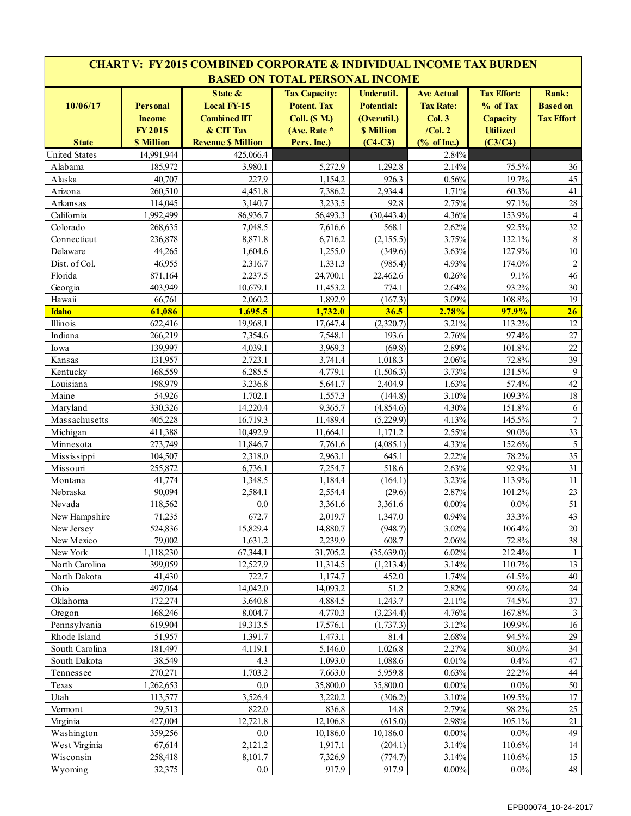|                          |                                                                 | <b>CHART V: FY 2015 COMBINED CORPORATE &amp; INDIVIDUAL INCOME TAX BURDEN</b>                  |                                                                                                   |                                                                           |                                                                       |                                                                                 |                                                      |
|--------------------------|-----------------------------------------------------------------|------------------------------------------------------------------------------------------------|---------------------------------------------------------------------------------------------------|---------------------------------------------------------------------------|-----------------------------------------------------------------------|---------------------------------------------------------------------------------|------------------------------------------------------|
|                          |                                                                 |                                                                                                | <b>BASED ON TOTAL PERSONAL INCOME</b>                                                             |                                                                           |                                                                       |                                                                                 |                                                      |
| 10/06/17<br><b>State</b> | <b>Personal</b><br><b>Income</b><br><b>FY2015</b><br>\$ Million | State &<br><b>Local FY-15</b><br><b>Combined IIT</b><br>& CIT Tax<br><b>Revenue \$ Million</b> | <b>Tax Capacity:</b><br><b>Potent. Tax</b><br><b>Coll.</b> (\$ M.)<br>(Ave. Rate *<br>Pers. Inc.) | Underutil.<br><b>Potential:</b><br>(Overutil.)<br>\$ Million<br>$(C4-C3)$ | <b>Ave Actual</b><br><b>Tax Rate:</b><br>Col.3<br>/Col.2<br>% of Inc. | <b>Tax Effort:</b><br>% of Tax<br><b>Capacity</b><br><b>Utilized</b><br>(C3/C4) | <b>Rank:</b><br><b>Based</b> on<br><b>Tax Effort</b> |
| <b>United States</b>     | 14,991,944                                                      | 425.066.4                                                                                      |                                                                                                   |                                                                           | 2.84%                                                                 |                                                                                 |                                                      |
| Alabama                  | 185,972                                                         | 3,980.1                                                                                        | 5,272.9                                                                                           | 1,292.8                                                                   | 2.14%                                                                 | 75.5%                                                                           | 36                                                   |
| Alaska                   | 40,707                                                          | 227.9                                                                                          | 1,154.2                                                                                           | 926.3                                                                     | 0.56%                                                                 | 19.7%                                                                           | 45                                                   |
| Arizona                  | 260.510                                                         | 4,451.8                                                                                        | 7.386.2                                                                                           | 2,934.4                                                                   | 1.71%                                                                 | 60.3%                                                                           | 41                                                   |
| Arkansas                 | 114,045                                                         | 3,140.7                                                                                        | 3,233.5                                                                                           | 92.8                                                                      | 2.75%                                                                 | 97.1%                                                                           | $28\,$                                               |
| California               | 1,992,499                                                       | 86,936.7                                                                                       | 56,493.3                                                                                          | (30, 443.4)                                                               | 4.36%                                                                 | 153.9%                                                                          | $\overline{4}$                                       |
| Colorado                 | 268,635                                                         | 7,048.5                                                                                        | 7,616.6                                                                                           | 568.1                                                                     | 2.62%                                                                 | 92.5%                                                                           | 32                                                   |
| Connecticut              | 236,878                                                         | 8,871.8                                                                                        | 6,716.2                                                                                           | (2, 155.5)                                                                | 3.75%                                                                 | 132.1%                                                                          | $8\,$                                                |
| Delaware                 | 44,265                                                          | 1,604.6                                                                                        | 1,255.0                                                                                           | (349.6)                                                                   | 3.63%                                                                 | 127.9%                                                                          | $10\,$                                               |
| Dist. of Col.            | 46,955                                                          | 2,316.7                                                                                        | 1,331.3                                                                                           | (985.4)                                                                   | 4.93%                                                                 | 174.0%                                                                          | $\overline{c}$                                       |
| Florida                  | 871,164                                                         | 2,237.5                                                                                        | 24,700.1                                                                                          | 22,462.6                                                                  | 0.26%                                                                 | 9.1%                                                                            | 46                                                   |
| Georgia                  | 403,949                                                         | 10,679.1                                                                                       | 11,453.2                                                                                          | 774.1                                                                     | 2.64%                                                                 | 93.2%                                                                           | 30                                                   |
| Hawaii                   | 66,761                                                          | 2,060.2                                                                                        | 1,892.9                                                                                           | (167.3)                                                                   | 3.09%                                                                 | 108.8%                                                                          | 19                                                   |
| <b>Idaho</b>             | 61,086                                                          | 1,695.5                                                                                        | 1,732.0                                                                                           | 36.5                                                                      | 2.78%                                                                 | 97.9%                                                                           | 26                                                   |
| Illinois                 | 622,416                                                         | 19,968.1                                                                                       | 17,647.4                                                                                          | (2,320.7)                                                                 | 3.21%                                                                 | 113.2%                                                                          | 12                                                   |
| Indiana                  | 266,219                                                         | 7,354.6                                                                                        | 7,548.1                                                                                           | 193.6                                                                     | 2.76%                                                                 | 97.4%                                                                           | 27                                                   |
| Iowa                     | 139,997                                                         | 4,039.1                                                                                        | 3,969.3                                                                                           | (69.8)                                                                    | 2.89%                                                                 | 101.8%                                                                          | 22                                                   |
| Kansas                   | 131,957                                                         | 2,723.1                                                                                        | 3,741.4                                                                                           | 1,018.3                                                                   | 2.06%                                                                 | 72.8%                                                                           | 39                                                   |
| Kentucky                 | 168,559                                                         | 6,285.5                                                                                        | 4,779.1                                                                                           | (1,506.3)                                                                 | 3.73%                                                                 | 131.5%                                                                          | $\mathbf{9}$                                         |
| Louisiana                | 198,979                                                         | 3,236.8                                                                                        | 5,641.7                                                                                           | 2,404.9                                                                   | 1.63%                                                                 | 57.4%                                                                           | 42                                                   |
| Maine                    | 54,926                                                          | 1,702.1                                                                                        | 1,557.3                                                                                           | (144.8)                                                                   | 3.10%                                                                 | 109.3%                                                                          | 18                                                   |
| Maryland                 | 330,326                                                         | 14,220.4                                                                                       | 9,365.7                                                                                           | (4,854.6)                                                                 | 4.30%                                                                 | 151.8%                                                                          | 6                                                    |
| Massachusetts            | 405,228                                                         | 16,719.3                                                                                       | 11,489.4                                                                                          | (5,229.9)                                                                 | 4.13%                                                                 | 145.5%                                                                          | $\overline{7}$                                       |
| Michigan                 | 411,388                                                         | 10,492.9                                                                                       | 11,664.1                                                                                          | 1,171.2                                                                   | 2.55%                                                                 | 90.0%                                                                           | 33                                                   |
| Minnesota                | 273,749                                                         | 11,846.7                                                                                       | 7,761.6                                                                                           | (4,085.1)                                                                 | 4.33%                                                                 | 152.6%                                                                          | 5                                                    |
| Mississippi              | 104,507                                                         | 2,318.0                                                                                        | 2,963.1                                                                                           | 645.1                                                                     | 2.22%                                                                 | 78.2%                                                                           | 35                                                   |
| Missouri                 | 255,872                                                         | 6,736.1                                                                                        | 7,254.7                                                                                           | 518.6                                                                     | 2.63%                                                                 | 92.9%                                                                           | 31                                                   |
| Montana                  | 41,774<br>90,094                                                | 1,348.5                                                                                        | 1,184.4                                                                                           | (164.1)                                                                   | 3.23%                                                                 | 113.9%<br>101.2%                                                                | 11                                                   |
| Nebraska                 |                                                                 | 2,584.1                                                                                        | 2,554.4                                                                                           | (29.6)                                                                    | 2.87%<br>$0.00\%$                                                     | 0.0%                                                                            | 23                                                   |
| Nevada                   | 118,562                                                         | $0.0\,$                                                                                        | 3,361.6                                                                                           | 3,361.6                                                                   |                                                                       |                                                                                 | 51                                                   |
| New Hampshire            | 71,235                                                          | 672.7                                                                                          | 2,019.7                                                                                           | 1,347.0                                                                   | 0.94%                                                                 | 33.3%                                                                           | 43                                                   |
| New Jersey<br>New Mexico | 524,836<br>79,002                                               | 15,829.4<br>1,631.2                                                                            | 14,880.7<br>2,239.9                                                                               | (948.7)<br>608.7                                                          | 3.02%<br>2.06%                                                        | 106.4%<br>72.8%                                                                 | $20\,$<br>38                                         |
| New York                 | 1,118,230                                                       | 67,344.1                                                                                       | 31,705.2                                                                                          | (35,639.0)                                                                | 6.02%                                                                 | 212.4%                                                                          | 1                                                    |
| North Carolina           | 399,059                                                         | 12,527.9                                                                                       | 11,314.5                                                                                          | (1,213.4)                                                                 | 3.14%                                                                 | 110.7%                                                                          | 13                                                   |
| North Dakota             | 41,430                                                          | 722.7                                                                                          | 1,174.7                                                                                           | 452.0                                                                     | 1.74%                                                                 | 61.5%                                                                           | $40\,$                                               |
| Ohio                     | 497,064                                                         | 14,042.0                                                                                       | 14,093.2                                                                                          | 51.2                                                                      | 2.82%                                                                 | 99.6%                                                                           | 24                                                   |
| Oklahoma                 | 172,274                                                         | 3,640.8                                                                                        | 4,884.5                                                                                           | 1,243.7                                                                   | 2.11%                                                                 | 74.5%                                                                           | 37                                                   |
| Oregon                   | 168,246                                                         | 8,004.7                                                                                        | 4,770.3                                                                                           | (3,234.4)                                                                 | 4.76%                                                                 | 167.8%                                                                          | $\mathbf{3}$                                         |
| Pennsylvania             | 619,904                                                         | 19,313.5                                                                                       | 17,576.1                                                                                          | (1,737.3)                                                                 | 3.12%                                                                 | 109.9%                                                                          | 16                                                   |
| Rhode Island             | 51,957                                                          | 1,391.7                                                                                        | 1,473.1                                                                                           | 81.4                                                                      | 2.68%                                                                 | 94.5%                                                                           | 29                                                   |
| South Carolina           | 181,497                                                         | 4,119.1                                                                                        | 5,146.0                                                                                           | 1,026.8                                                                   | 2.27%                                                                 | 80.0%                                                                           | 34                                                   |
| South Dakota             | 38,549                                                          | 4.3                                                                                            | 1,093.0                                                                                           | 1,088.6                                                                   | 0.01%                                                                 | 0.4%                                                                            | 47                                                   |
| Tennessee                | 270,271                                                         | 1,703.2                                                                                        | 7,663.0                                                                                           | 5,959.8                                                                   | 0.63%                                                                 | 22.2%                                                                           | 44                                                   |
| Texas                    | 1,262,653                                                       | $0.0\,$                                                                                        | 35,800.0                                                                                          | 35,800.0                                                                  | $0.00\%$                                                              | $0.0\%$                                                                         | 50                                                   |
| Utah                     | 113,577                                                         | 3,526.4                                                                                        | 3,220.2                                                                                           | (306.2)                                                                   | 3.10%                                                                 | 109.5%                                                                          | 17                                                   |
| Vermont                  | 29,513                                                          | 822.0                                                                                          | 836.8                                                                                             | 14.8                                                                      | 2.79%                                                                 | 98.2%                                                                           | $25\,$                                               |
| Virginia                 | 427,004                                                         | 12,721.8                                                                                       | 12,106.8                                                                                          | (615.0)                                                                   | 2.98%                                                                 | 105.1%                                                                          | 21                                                   |
| Washington               | 359,256                                                         | 0.0                                                                                            | 10,186.0                                                                                          | 10,186.0                                                                  | $0.00\%$                                                              | $0.0\%$                                                                         | 49                                                   |
| West Virginia            | 67,614                                                          | 2,121.2                                                                                        | 1,917.1                                                                                           | (204.1)                                                                   | 3.14%                                                                 | 110.6%                                                                          | 14                                                   |
| Wisconsin                | 258,418                                                         | 8,101.7                                                                                        | 7,326.9                                                                                           | (774.7)                                                                   | 3.14%                                                                 | 110.6%                                                                          | 15                                                   |
| Wyoming                  | 32,375                                                          | $0.0\,$                                                                                        | 917.9                                                                                             | 917.9                                                                     | $0.00\%$                                                              | $0.0\%$                                                                         | 48                                                   |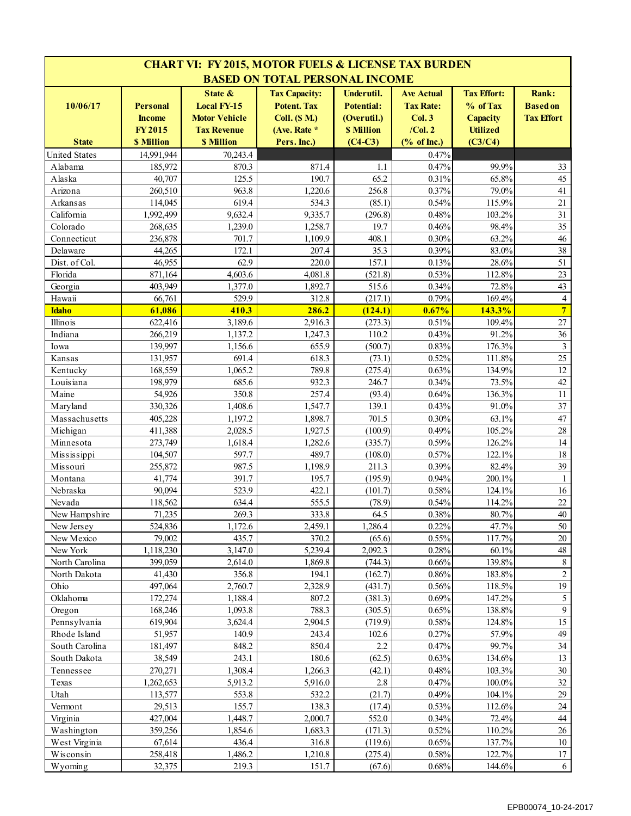|                        |                                  |                                                       | <b>CHART VI: FY 2015, MOTOR FUELS &amp; LICENSE TAX BURDEN</b>     |                                                |                                                |                                                   |                                               |
|------------------------|----------------------------------|-------------------------------------------------------|--------------------------------------------------------------------|------------------------------------------------|------------------------------------------------|---------------------------------------------------|-----------------------------------------------|
|                        |                                  |                                                       | <b>BASED ON TOTAL PERSONAL INCOME</b>                              |                                                |                                                |                                                   |                                               |
| 10/06/17               | <b>Personal</b><br><b>Income</b> | State &<br><b>Local FY-15</b><br><b>Motor Vehicle</b> | <b>Tax Capacity:</b><br><b>Potent. Tax</b><br><b>Coll.</b> (\$ M.) | Underutil.<br><b>Potential:</b><br>(Overutil.) | <b>Ave Actual</b><br><b>Tax Rate:</b><br>Col.3 | <b>Tax Effort:</b><br>% of Tax<br><b>Capacity</b> | Rank:<br><b>Based on</b><br><b>Tax Effort</b> |
|                        | <b>FY2015</b>                    | <b>Tax Revenue</b>                                    | (Ave. Rate *                                                       | <b>\$ Million</b>                              | $/$ Col. $2$                                   | <b>Utilized</b>                                   |                                               |
| <b>State</b>           | <b>\$ Million</b>                | <b>\$ Million</b>                                     | Pers. Inc.)                                                        | $(C4-C3)$                                      | $(% \mathbf{A})$ (% of Inc.)                   | (C3/C4)                                           |                                               |
| <b>United States</b>   | 14,991,944                       | 70,243.4                                              |                                                                    |                                                | 0.47%                                          |                                                   |                                               |
| Alabama                | 185,972                          | 870.3                                                 | 871.4                                                              | 1.1                                            | 0.47%                                          | 99.9%                                             | 33                                            |
| Alaska                 | 40,707                           | 125.5                                                 | 190.7                                                              | 65.2                                           | 0.31%                                          | 65.8%                                             | 45                                            |
| Arizona                | 260,510                          | 963.8                                                 | 1,220.6                                                            | 256.8                                          | 0.37%                                          | 79.0%                                             | 41                                            |
| Arkansas               | 114,045                          | 619.4                                                 | 534.3                                                              | (85.1)                                         | 0.54%                                          | 115.9%                                            | 21                                            |
| California             | 1,992,499                        | 9,632.4                                               | 9,335.7                                                            | (296.8)                                        | 0.48%                                          | 103.2%                                            | 31                                            |
| Colorado               | 268,635                          | 1,239.0                                               | 1,258.7                                                            | 19.7                                           | 0.46%                                          | 98.4%                                             | 35                                            |
| Connecticut            | 236,878                          | 701.7                                                 | 1,109.9                                                            | 408.1                                          | 0.30%                                          | 63.2%                                             | 46                                            |
| Delaware               | 44,265                           | 172.1                                                 | 207.4                                                              | 35.3                                           | 0.39%                                          | 83.0%                                             | 38                                            |
| Dist. of Col.          | 46,955                           | 62.9                                                  | 220.0                                                              | 157.1                                          | 0.13%                                          | 28.6%                                             | 51                                            |
| Florida                | 871,164                          | 4,603.6                                               | 4,081.8                                                            | (521.8)                                        | 0.53%                                          | 112.8%                                            | 23                                            |
| Georgia                | 403,949                          | 1,377.0                                               | 1,892.7                                                            | 515.6                                          | 0.34%                                          | 72.8%                                             | 43<br>$\overline{4}$                          |
| Hawaii<br><b>Idaho</b> | 66,761<br>61,086                 | 529.9<br>410.3                                        | 312.8<br>286.2                                                     | (217.1)<br>(124.1)                             | 0.79%<br>0.67%                                 | 169.4%<br>143.3%                                  | $\overline{7}$                                |
| Illinois               | 622,416                          | 3,189.6                                               | 2,916.3                                                            | (273.3)                                        | 0.51%                                          | 109.4%                                            | $27\,$                                        |
| Indiana                | 266,219                          | 1,137.2                                               | 1,247.3                                                            | 110.2                                          | 0.43%                                          | 91.2%                                             | 36                                            |
| Iowa                   | 139,997                          | 1,156.6                                               | 655.9                                                              | (500.7)                                        | 0.83%                                          | 176.3%                                            | $\mathfrak{Z}$                                |
| Kansas                 | 131,957                          | 691.4                                                 | 618.3                                                              | (73.1)                                         | 0.52%                                          | 111.8%                                            | 25                                            |
| Kentucky               | 168,559                          | 1,065.2                                               | 789.8                                                              | (275.4)                                        | 0.63%                                          | 134.9%                                            | 12                                            |
| Louisiana              | 198,979                          | 685.6                                                 | 932.3                                                              | 246.7                                          | 0.34%                                          | 73.5%                                             | 42                                            |
| Maine                  | 54,926                           | 350.8                                                 | 257.4                                                              | (93.4)                                         | 0.64%                                          | 136.3%                                            | 11                                            |
| Maryland               | 330,326                          | 1,408.6                                               | 1,547.7                                                            | 139.1                                          | 0.43%                                          | 91.0%                                             | 37                                            |
| Massachusetts          | 405,228                          | 1,197.2                                               | 1,898.7                                                            | 701.5                                          | 0.30%                                          | 63.1%                                             | 47                                            |
| Michigan               | 411,388                          | 2,028.5                                               | $\overline{1,927.5}$                                               | (100.9)                                        | 0.49%                                          | 105.2%                                            | 28                                            |
| Minnesota              | 273,749                          | 1,618.4                                               | 1,282.6                                                            | (335.7)                                        | 0.59%                                          | 126.2%                                            | 14                                            |
| Mississippi            | 104,507                          | 597.7                                                 | 489.7                                                              | (108.0)                                        | 0.57%                                          | 122.1%                                            | 18                                            |
| Missouri               | 255,872                          | 987.5                                                 | 1,198.9                                                            | 211.3                                          | 0.39%                                          | 82.4%                                             | 39                                            |
| Montana                | 41,774                           | 391.7                                                 | 195.7                                                              | (195.9)                                        | 0.94%                                          | 200.1%                                            | $\mathbf{1}$                                  |
| Nebraska               | 90,094                           | 523.9                                                 | 422.1                                                              | (101.7)                                        | 0.58%                                          | 124.1%                                            | 16                                            |
| Nevada                 | 118,562                          | 634.4                                                 | 555.5                                                              | (78.9)                                         | 0.54%                                          | 114.2%                                            | 22                                            |
| New Hampshire          | 71,235                           | 269.3                                                 | 333.8                                                              | 64.5                                           | 0.38%                                          | 80.7%                                             | 40                                            |
| New Jersey             | 524,836                          | 1,172.6                                               | 2,459.1                                                            | 1,286.4                                        | 0.22%                                          | 47.7%                                             | 50                                            |
| New Mexico             | 79,002                           | 435.7                                                 | 370.2                                                              | (65.6)                                         | 0.55%                                          | 117.7%                                            | $20\,$                                        |
| New York               | 1,118,230                        | 3,147.0                                               | 5,239.4                                                            | 2,092.3                                        | 0.28%                                          | 60.1%                                             | $48\,$                                        |
| North Carolina         | 399,059                          | 2,614.0                                               | 1,869.8                                                            | (744.3)                                        | 0.66%                                          | 139.8%                                            | 8                                             |
| North Dakota           | 41,430                           | 356.8                                                 | 194.1                                                              | (162.7)                                        | 0.86%                                          | 183.8%                                            | $\sqrt{2}$                                    |
| Ohio                   | 497,064                          | 2,760.7                                               | 2,328.9                                                            | (431.7)                                        | 0.56%                                          | 118.5%                                            | 19                                            |
| Oklahoma               | 172,274                          | 1,188.4                                               | 807.2                                                              | (381.3)                                        | 0.69%                                          | 147.2%                                            | 5                                             |
| Oregon                 | 168,246                          | 1,093.8                                               | 788.3                                                              | (305.5)                                        | 0.65%                                          | 138.8%                                            | 9                                             |
| Pennsylvania           | 619,904                          | 3,624.4                                               | 2,904.5                                                            | (719.9)                                        | 0.58%                                          | 124.8%                                            | 15                                            |
| Rhode Island           | 51,957                           | 140.9                                                 | 243.4                                                              | 102.6                                          | 0.27%                                          | 57.9%                                             | 49                                            |
| South Carolina         | 181,497                          | 848.2                                                 | 850.4                                                              | 2.2                                            | 0.47%                                          | 99.7%                                             | 34                                            |
| South Dakota           | 38,549                           | 243.1                                                 | 180.6                                                              | (62.5)                                         | 0.63%                                          | 134.6%                                            | 13                                            |
| Tennessee              | 270,271                          | 1,308.4                                               | 1,266.3                                                            | (42.1)                                         | 0.48%                                          | 103.3%                                            | $30\,$                                        |
| Texas                  | 1,262,653                        | 5,913.2                                               | 5,916.0                                                            | 2.8                                            | 0.47%                                          | 100.0%                                            | 32                                            |
| Utah                   | 113,577                          | 553.8                                                 | 532.2                                                              | (21.7)                                         | 0.49%                                          | 104.1%                                            | 29                                            |
| Vermont                | 29,513                           | 155.7                                                 | 138.3                                                              | (17.4)                                         | 0.53%                                          | 112.6%                                            | 24                                            |
| Virginia               | 427,004                          | 1,448.7                                               | 2,000.7                                                            | 552.0                                          | 0.34%                                          | 72.4%                                             | 44                                            |
| Washington             | 359,256                          | 1,854.6                                               | 1,683.3                                                            | (171.3)                                        | 0.52%                                          | 110.2%                                            | $26\,$                                        |
| West Virginia          | 67,614                           | 436.4                                                 | 316.8                                                              | (119.6)                                        | 0.65%                                          | 137.7%                                            | 10                                            |
| Wisconsin              | 258,418                          | 1,486.2                                               | 1,210.8                                                            | (275.4)                                        | 0.58%                                          | 122.7%                                            | 17                                            |
| Wyoming                | 32,375                           | 219.3                                                 | 151.7                                                              | (67.6)                                         | 0.68%                                          | 144.6%                                            | 6                                             |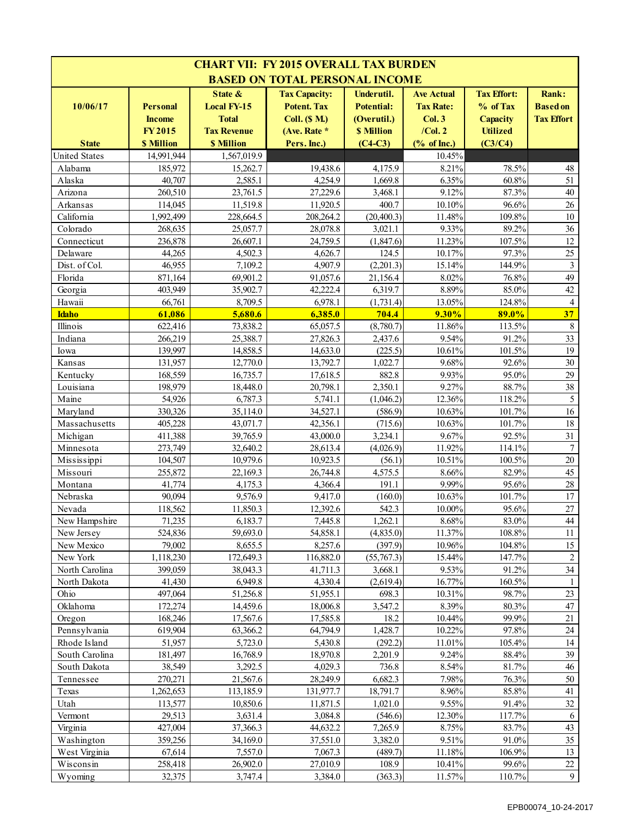| <b>CHART VII: FY 2015 OVERALL TAX BURDEN</b> |                                                                        |                                                                                             |                                                                                                |                                                                                  |                                                                                                |                                                                                 |                                                      |  |  |
|----------------------------------------------|------------------------------------------------------------------------|---------------------------------------------------------------------------------------------|------------------------------------------------------------------------------------------------|----------------------------------------------------------------------------------|------------------------------------------------------------------------------------------------|---------------------------------------------------------------------------------|------------------------------------------------------|--|--|
|                                              |                                                                        |                                                                                             | <b>BASED ON TOTAL PERSONAL INCOME</b>                                                          |                                                                                  |                                                                                                |                                                                                 |                                                      |  |  |
| 10/06/17<br><b>State</b>                     | <b>Personal</b><br><b>Income</b><br><b>FY2015</b><br><b>\$ Million</b> | State $\&$<br><b>Local FY-15</b><br><b>Total</b><br><b>Tax Revenue</b><br><b>\$ Million</b> | <b>Tax Capacity:</b><br><b>Potent. Tax</b><br>$Coll.$ (\$ $M.)$<br>(Ave. Rate *<br>Pers. Inc.) | Underutil.<br><b>Potential:</b><br>(Overutil.)<br><b>\$ Million</b><br>$(C4-C3)$ | <b>Ave Actual</b><br><b>Tax Rate:</b><br>Col.3<br>$/$ Col. $2$<br>$(% \mathbf{A})$ (% of Inc.) | <b>Tax Effort:</b><br>% of Tax<br><b>Capacity</b><br><b>Utilized</b><br>(C3/C4) | <b>Rank:</b><br><b>Based on</b><br><b>Tax Effort</b> |  |  |
| <b>United States</b>                         | 14.991.944                                                             | 1.567.019.9                                                                                 |                                                                                                |                                                                                  | 10.45%                                                                                         |                                                                                 |                                                      |  |  |
| Alabama                                      | 185,972                                                                | 15,262.7                                                                                    | 19,438.6                                                                                       | 4.175.9                                                                          | 8.21%                                                                                          | 78.5%                                                                           | 48                                                   |  |  |
| Alaska                                       | 40,707                                                                 | 2,585.1                                                                                     | 4,254.9                                                                                        | 1,669.8                                                                          | 6.35%                                                                                          | 60.8%                                                                           | 51                                                   |  |  |
| Arizona                                      | 260,510                                                                | 23,761.5                                                                                    | 27,229.6                                                                                       | 3,468.1                                                                          | 9.12%                                                                                          | 87.3%                                                                           | 40                                                   |  |  |
| Arkansas                                     | 114,045                                                                | 11,519.8                                                                                    | 11,920.5                                                                                       | 400.7                                                                            | 10.10%                                                                                         | 96.6%                                                                           | 26                                                   |  |  |
| California                                   | 1,992,499                                                              | 228,664.5                                                                                   | 208,264.2                                                                                      | (20, 400.3)                                                                      | 11.48%                                                                                         | 109.8%                                                                          | 10                                                   |  |  |
| Colorado                                     | 268,635                                                                | 25,057.7                                                                                    | 28,078.8                                                                                       | 3,021.1                                                                          | 9.33%                                                                                          | 89.2%                                                                           | 36                                                   |  |  |
| Connecticut                                  | 236,878                                                                | 26,607.1                                                                                    | 24,759.5                                                                                       | (1, 847.6)                                                                       | 11.23%                                                                                         | 107.5%                                                                          | 12                                                   |  |  |
| Delaware                                     | 44,265                                                                 | 4,502.3                                                                                     | 4,626.7                                                                                        | 124.5                                                                            | 10.17%                                                                                         | 97.3%                                                                           | 25                                                   |  |  |
| Dist. of Col.                                | 46,955                                                                 | 7,109.2                                                                                     | 4,907.9                                                                                        | (2,201.3)                                                                        | 15.14%                                                                                         | 144.9%                                                                          | $\overline{\mathbf{3}}$                              |  |  |
| Florida                                      | 871,164                                                                | 69,901.2                                                                                    | 91,057.6                                                                                       | 21,156.4                                                                         | 8.02%                                                                                          | 76.8%                                                                           | 49                                                   |  |  |
| Georgia                                      | 403,949                                                                | 35,902.7                                                                                    | 42,222.4                                                                                       | 6,319.7                                                                          | 8.89%                                                                                          | 85.0%                                                                           | 42                                                   |  |  |
| Hawaii                                       | 66,761                                                                 | 8,709.5                                                                                     | 6,978.1                                                                                        | (1,731.4)                                                                        | 13.05%                                                                                         | 124.8%                                                                          | $\overline{4}$                                       |  |  |
| <b>Idaho</b>                                 | 61,086                                                                 | 5,680.6                                                                                     | 6,385.0                                                                                        | 704.4                                                                            | 9.30%                                                                                          | 89.0%                                                                           | 37                                                   |  |  |
| Illinois                                     | 622,416                                                                | 73,838.2                                                                                    | 65,057.5                                                                                       | (8,780.7)                                                                        | 11.86%                                                                                         | 113.5%                                                                          | $\,8\,$                                              |  |  |
| Indiana                                      | 266,219                                                                | 25,388.7                                                                                    | 27,826.3                                                                                       | 2,437.6                                                                          | 9.54%                                                                                          | 91.2%                                                                           | 33                                                   |  |  |
| Iowa                                         | 139,997                                                                | 14,858.5                                                                                    | 14,633.0                                                                                       | (225.5)                                                                          | 10.61%                                                                                         | 101.5%                                                                          | 19                                                   |  |  |
| Kansas                                       | 131,957                                                                | 12,770.0                                                                                    | 13,792.7                                                                                       | 1,022.7                                                                          | 9.68%                                                                                          | 92.6%                                                                           | 30                                                   |  |  |
| Kentucky                                     | 168,559                                                                | 16,735.7                                                                                    | 17,618.5                                                                                       | 882.8                                                                            | 9.93%                                                                                          | 95.0%                                                                           | 29                                                   |  |  |
| Louisiana                                    | 198,979                                                                | 18,448.0                                                                                    | 20,798.1                                                                                       | 2,350.1                                                                          | 9.27%                                                                                          | 88.7%                                                                           | 38                                                   |  |  |
| Maine                                        | 54,926                                                                 | 6,787.3                                                                                     | 5,741.1                                                                                        | (1,046.2)                                                                        | 12.36%                                                                                         | 118.2%                                                                          | 5                                                    |  |  |
| Maryland                                     | 330,326                                                                | 35,114.0                                                                                    | 34,527.1                                                                                       | (586.9)                                                                          | 10.63%                                                                                         | 101.7%                                                                          | 16                                                   |  |  |
| Massachusetts                                | 405,228                                                                | 43,071.7                                                                                    | 42,356.1                                                                                       | (715.6)                                                                          | 10.63%                                                                                         | 101.7%                                                                          | 18                                                   |  |  |
| Michigan                                     | 411,388                                                                | 39,765.9                                                                                    | 43,000.0                                                                                       | 3,234.1                                                                          | 9.67%                                                                                          | 92.5%                                                                           | 31                                                   |  |  |
| Minnesota                                    | 273,749                                                                | 32,640.2                                                                                    | 28,613.4                                                                                       | (4,026.9)                                                                        | 11.92%                                                                                         | 114.1%                                                                          | $\tau$                                               |  |  |
| Mississippi                                  | 104,507                                                                | 10,979.6                                                                                    | 10,923.5                                                                                       | (56.1)                                                                           | 10.51%                                                                                         | 100.5%                                                                          | 20                                                   |  |  |
| Missouri                                     | 255,872                                                                | 22,169.3                                                                                    | 26,744.8                                                                                       | 4,575.5                                                                          | 8.66%<br>9.99%                                                                                 | 82.9%<br>95.6%                                                                  | 45<br>28                                             |  |  |
| Montana<br>Nebraska                          | 41,774<br>90,094                                                       | 4,175.3<br>9,576.9                                                                          | 4,366.4<br>9,417.0                                                                             | 191.1<br>(160.0)                                                                 | 10.63%                                                                                         | 101.7%                                                                          | 17                                                   |  |  |
| Nevada                                       | 118,562                                                                | 11,850.3                                                                                    | 12,392.6                                                                                       | 542.3                                                                            | 10.00%                                                                                         | 95.6%                                                                           | $27\,$                                               |  |  |
| New Hampshire                                | 71,235                                                                 | 6,183.7                                                                                     | 7,445.8                                                                                        | 1,262.1                                                                          | 8.68%                                                                                          | 83.0%                                                                           | $44\,$                                               |  |  |
| New Jersey                                   | 524,836                                                                | 59,693.0                                                                                    | 54,858.1                                                                                       | (4,835.0)                                                                        | 11.37%                                                                                         | 108.8%                                                                          | 11                                                   |  |  |
| New Mexico                                   | 79,002                                                                 | 8,655.5                                                                                     | 8,257.6                                                                                        | (397.9)                                                                          | 10.96%                                                                                         | 104.8%                                                                          | 15                                                   |  |  |
| New York                                     | 1,118,230                                                              | 172,649.3                                                                                   | 116,882.0                                                                                      | (55,767.3)                                                                       | 15.44%                                                                                         | 147.7%                                                                          | $\overline{c}$                                       |  |  |
| North Carolina                               | 399,059                                                                | 38,043.3                                                                                    | 41,711.3                                                                                       | 3,668.1                                                                          | 9.53%                                                                                          | 91.2%                                                                           | 34                                                   |  |  |
| North Dakota                                 | 41,430                                                                 | 6,949.8                                                                                     | 4,330.4                                                                                        | (2,619.4)                                                                        | 16.77%                                                                                         | 160.5%                                                                          |                                                      |  |  |
| Ohio                                         | 497,064                                                                | 51,256.8                                                                                    | 51,955.1                                                                                       | 698.3                                                                            | 10.31%                                                                                         | 98.7%                                                                           | 23                                                   |  |  |
| Oklahoma                                     | 172,274                                                                | 14,459.6                                                                                    | 18,006.8                                                                                       | 3,547.2                                                                          | 8.39%                                                                                          | 80.3%                                                                           | $47\,$                                               |  |  |
| Oregon                                       | 168,246                                                                | 17,567.6                                                                                    | 17,585.8                                                                                       | 18.2                                                                             | 10.44%                                                                                         | 99.9%                                                                           | 21                                                   |  |  |
| Pennsylvania                                 | 619,904                                                                | 63,366.2                                                                                    | 64,794.9                                                                                       | 1,428.7                                                                          | 10.22%                                                                                         | 97.8%                                                                           | $24\,$                                               |  |  |
| Rhode Island                                 | 51,957                                                                 | 5,723.0                                                                                     | 5,430.8                                                                                        | (292.2)                                                                          | 11.01%                                                                                         | 105.4%                                                                          | 14                                                   |  |  |
| South Carolina                               | 181,497                                                                | 16,768.9                                                                                    | 18,970.8                                                                                       | 2,201.9                                                                          | 9.24%                                                                                          | 88.4%                                                                           | 39                                                   |  |  |
| South Dakota                                 | 38,549                                                                 | 3,292.5                                                                                     | 4,029.3                                                                                        | 736.8                                                                            | 8.54%                                                                                          | 81.7%                                                                           | 46                                                   |  |  |
| Tennessee                                    | 270,271                                                                | 21,567.6                                                                                    | 28,249.9                                                                                       | 6,682.3                                                                          | 7.98%                                                                                          | 76.3%                                                                           | 50                                                   |  |  |
| Texas                                        | 1,262,653                                                              | 113,185.9                                                                                   | 131,977.7                                                                                      | 18,791.7                                                                         | 8.96%                                                                                          | 85.8%                                                                           | 41                                                   |  |  |
| Utah                                         | 113,577                                                                | 10,850.6                                                                                    | 11,871.5                                                                                       | 1,021.0                                                                          | 9.55%                                                                                          | 91.4%                                                                           | 32                                                   |  |  |
| Vermont                                      | 29,513                                                                 | 3,631.4                                                                                     | 3,084.8                                                                                        | (546.6)                                                                          | 12.30%                                                                                         | 117.7%                                                                          | 6                                                    |  |  |
| Virginia                                     | 427,004                                                                | 37,366.3                                                                                    | 44,632.2                                                                                       | 7,265.9                                                                          | 8.75%                                                                                          | 83.7%                                                                           | 43                                                   |  |  |
| Washington                                   | 359,256                                                                | 34,169.0                                                                                    | 37,551.0                                                                                       | 3,382.0                                                                          | 9.51%                                                                                          | 91.0%                                                                           | 35                                                   |  |  |
| West Virginia                                | 67,614                                                                 | 7,557.0                                                                                     | 7,067.3                                                                                        | (489.7)                                                                          | 11.18%                                                                                         | 106.9%                                                                          | 13                                                   |  |  |
| Wisconsin                                    | 258,418                                                                | 26,902.0                                                                                    | 27,010.9                                                                                       | 108.9                                                                            | 10.41%                                                                                         | 99.6%                                                                           | $22\,$                                               |  |  |
| Wyoming                                      | 32,375                                                                 | 3,747.4                                                                                     | 3,384.0                                                                                        | (363.3)                                                                          | 11.57%                                                                                         | 110.7%                                                                          | $\overline{9}$                                       |  |  |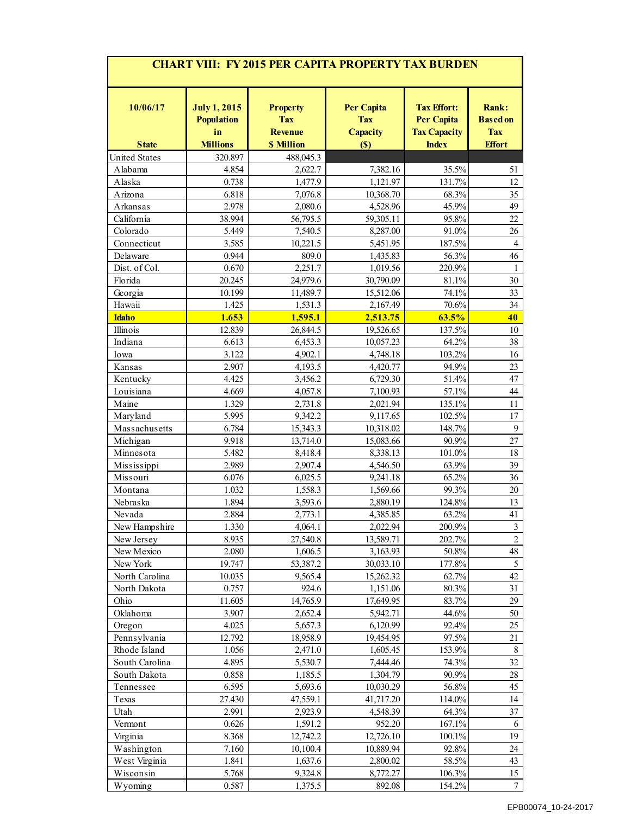| <b>CHART VIII: FY 2015 PER CAPITA PROPERTY TAX BURDEN</b> |                                                |                                                 |                                                    |                                                                |                                               |  |  |  |  |  |
|-----------------------------------------------------------|------------------------------------------------|-------------------------------------------------|----------------------------------------------------|----------------------------------------------------------------|-----------------------------------------------|--|--|--|--|--|
| 10/06/17                                                  | <b>July 1, 2015</b><br><b>Population</b><br>in | <b>Property</b><br><b>Tax</b><br><b>Revenue</b> | <b>Per Capita</b><br><b>Tax</b><br><b>Capacity</b> | <b>Tax Effort:</b><br><b>Per Capita</b><br><b>Tax Capacity</b> | <b>Rank:</b><br><b>Based on</b><br><b>Tax</b> |  |  |  |  |  |
| <b>State</b>                                              | <b>Millions</b>                                | <b>\$ Million</b>                               | (S)                                                | <b>Index</b>                                                   | <b>Effort</b>                                 |  |  |  |  |  |
| <b>United States</b>                                      | 320.897                                        | 488,045.3                                       |                                                    |                                                                |                                               |  |  |  |  |  |
| Alabama                                                   | 4.854                                          | 2,622.7                                         | 7,382.16                                           | 35.5%                                                          | 51                                            |  |  |  |  |  |
| Alaska                                                    | 0.738                                          | 1,477.9                                         | 1,121.97                                           | 131.7%                                                         | 12                                            |  |  |  |  |  |
| Arizona                                                   | 6.818                                          | 7,076.8                                         | 10,368.70                                          | 68.3%                                                          | 35                                            |  |  |  |  |  |
| Arkansas                                                  | 2.978                                          | 2,080.6                                         | 4,528.96                                           | 45.9%                                                          | 49                                            |  |  |  |  |  |
| California                                                | 38.994                                         | 56,795.5                                        | 59,305.11                                          | 95.8%                                                          | 22                                            |  |  |  |  |  |
| Colorado                                                  | 5.449                                          | 7,540.5                                         | 8,287.00                                           | 91.0%                                                          | 26                                            |  |  |  |  |  |
| Connecticut                                               | 3.585                                          | 10,221.5                                        | 5,451.95                                           | 187.5%                                                         | $\overline{4}$                                |  |  |  |  |  |
| Delaware                                                  | 0.944                                          | 809.0                                           | 1,435.83                                           | 56.3%                                                          | 46                                            |  |  |  |  |  |
| Dist. of Col.                                             | 0.670                                          | 2,251.7                                         | 1,019.56                                           | 220.9%                                                         | $\mathbf{1}$                                  |  |  |  |  |  |
| Florida                                                   | 20.245                                         | 24,979.6                                        | 30,790.09                                          | 81.1%                                                          | 30                                            |  |  |  |  |  |
| Georgia                                                   | 10.199                                         | 11,489.7                                        | 15,512.06                                          | 74.1%                                                          | 33                                            |  |  |  |  |  |
| Hawaii                                                    | 1.425                                          | 1,531.3                                         | 2,167.49                                           | 70.6%                                                          | 34                                            |  |  |  |  |  |
| <b>Idaho</b>                                              | 1.653                                          | 1,595.1                                         | 2,513.75                                           | 63.5%                                                          | 40                                            |  |  |  |  |  |
| Illinois                                                  | 12.839                                         | 26,844.5                                        | 19,526.65                                          | 137.5%                                                         | 10                                            |  |  |  |  |  |
| Indiana                                                   | 6.613                                          | 6,453.3                                         | 10,057.23                                          | 64.2%                                                          | 38                                            |  |  |  |  |  |
| Iowa                                                      | 3.122                                          | 4,902.1                                         | 4,748.18                                           | 103.2%                                                         | 16                                            |  |  |  |  |  |
| Kansas                                                    | 2.907                                          | 4,193.5                                         | 4,420.77                                           | 94.9%                                                          | 23                                            |  |  |  |  |  |
| Kentucky                                                  | 4.425                                          | 3,456.2                                         | 6,729.30                                           | 51.4%                                                          | 47                                            |  |  |  |  |  |
| Louisiana                                                 | 4.669                                          | 4,057.8                                         | 7,100.93                                           | 57.1%                                                          | 44                                            |  |  |  |  |  |
| Maine                                                     | 1.329                                          | 2,731.8                                         | 2,021.94                                           | 135.1%                                                         | 11                                            |  |  |  |  |  |
| Maryland                                                  | 5.995                                          | 9,342.2                                         | 9,117.65                                           | 102.5%                                                         | 17                                            |  |  |  |  |  |
| Massachusetts                                             | 6.784                                          | 15,343.3                                        | 10,318.02                                          | 148.7%                                                         | 9                                             |  |  |  |  |  |
| Michigan                                                  | 9.918                                          | 13,714.0                                        | 15,083.66                                          | 90.9%                                                          | 27                                            |  |  |  |  |  |
| Minnesota                                                 | 5.482                                          | 8,418.4                                         | 8,338.13                                           | 101.0%                                                         | 18                                            |  |  |  |  |  |
| Mississippi                                               | 2.989                                          | 2,907.4                                         | 4,546.50                                           | 63.9%                                                          | 39                                            |  |  |  |  |  |
| Missouri                                                  | 6.076                                          | 6,025.5                                         | 9,241.18                                           | 65.2%                                                          | 36                                            |  |  |  |  |  |
| Montana                                                   | 1.032                                          | 1,558.3                                         | 1,569.66                                           | 99.3%                                                          | $20\,$                                        |  |  |  |  |  |
| Nebraska                                                  | 1.894                                          | 3,593.6                                         | 2,880.19                                           | 124.8%                                                         | 13                                            |  |  |  |  |  |
| Nevada                                                    | 2.884                                          | 2,773.1                                         | 4,385.85                                           | 63.2%                                                          | 41                                            |  |  |  |  |  |
| New Hampshire                                             | 1.330                                          | 4.064.1                                         | 2,022.94                                           | 200.9%                                                         | $\overline{\mathbf{3}}$                       |  |  |  |  |  |
| New Jersey                                                | 8.935                                          | 27,540.8                                        | 13,589.71                                          | 202.7%                                                         | $\overline{2}$                                |  |  |  |  |  |
| New Mexico                                                | 2.080                                          | 1,606.5                                         | 3,163.93                                           | 50.8%                                                          | 48                                            |  |  |  |  |  |
| New York                                                  | 19.747                                         | 53,387.2                                        | 30,033.10                                          | 177.8%                                                         | 5                                             |  |  |  |  |  |
| North Carolina                                            | 10.035                                         | 9,565.4                                         | 15,262.32                                          | 62.7%                                                          | 42                                            |  |  |  |  |  |
| North Dakota                                              | 0.757                                          | 924.6                                           | 1,151.06                                           | 80.3%                                                          | 31                                            |  |  |  |  |  |
| Ohio                                                      | 11.605                                         | 14,765.9                                        | 17,649.95                                          | 83.7%                                                          | 29                                            |  |  |  |  |  |
| Oklahoma                                                  | 3.907                                          | 2,652.4                                         | 5,942.71                                           | 44.6%                                                          | 50                                            |  |  |  |  |  |
| Oregon                                                    | 4.025                                          | 5,657.3                                         | 6,120.99                                           | 92.4%                                                          | 25                                            |  |  |  |  |  |
| Pennsylvania                                              | 12.792                                         | 18,958.9                                        | 19,454.95                                          | 97.5%                                                          | 21                                            |  |  |  |  |  |
| Rhode Island                                              | 1.056                                          | 2,471.0                                         | 1,605.45                                           | 153.9%                                                         | $\,8\,$                                       |  |  |  |  |  |
| South Carolina                                            | 4.895                                          | 5,530.7                                         | 7,444.46                                           | 74.3%                                                          | 32                                            |  |  |  |  |  |
| South Dakota                                              | 0.858                                          | 1,185.5                                         | 1,304.79                                           | 90.9%                                                          | $28\,$                                        |  |  |  |  |  |
| Tennessee                                                 | 6.595                                          | 5,693.6                                         | 10,030.29                                          | 56.8%                                                          | 45                                            |  |  |  |  |  |
| Texas                                                     | 27.430                                         | 47,559.1                                        | 41,717.20                                          | 114.0%                                                         | 14                                            |  |  |  |  |  |
| Utah                                                      | 2.991                                          | 2,923.9                                         | 4,548.39                                           | 64.3%                                                          | 37                                            |  |  |  |  |  |
| Vermont                                                   | 0.626                                          | 1,591.2                                         | 952.20                                             | 167.1%                                                         | 6                                             |  |  |  |  |  |
| Virginia                                                  | 8.368                                          | 12,742.2                                        | 12,726.10                                          | 100.1%                                                         | 19                                            |  |  |  |  |  |
| Washington                                                | 7.160                                          | 10,100.4                                        | 10,889.94                                          | 92.8%                                                          | 24                                            |  |  |  |  |  |
| West Virginia                                             | 1.841                                          | 1,637.6                                         | 2,800.02                                           | 58.5%                                                          | 43                                            |  |  |  |  |  |
| Wisconsin                                                 | 5.768                                          | 9,324.8                                         | 8,772.27                                           | 106.3%                                                         | 15                                            |  |  |  |  |  |
| Wyoming                                                   | 0.587                                          | 1,375.5                                         | 892.08                                             | 154.2%                                                         | $\boldsymbol{7}$                              |  |  |  |  |  |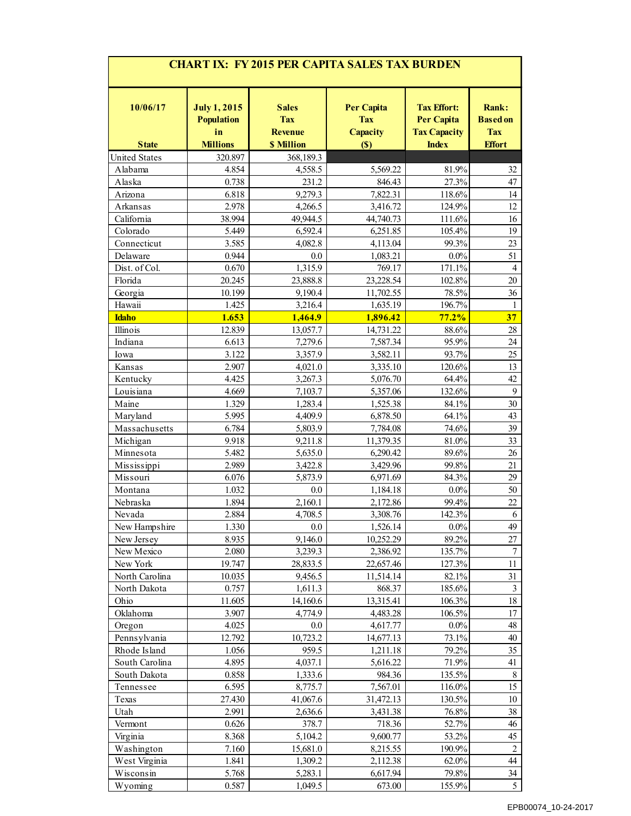|                      |                                                |                                              | <b>CHART IX: FY 2015 PER CAPITA SALES TAX BURDEN</b> |                                                                |                                        |
|----------------------|------------------------------------------------|----------------------------------------------|------------------------------------------------------|----------------------------------------------------------------|----------------------------------------|
| 10/06/17             | <b>July 1, 2015</b><br><b>Population</b><br>in | <b>Sales</b><br><b>Tax</b><br><b>Revenue</b> | <b>Per Capita</b><br><b>Tax</b><br>Capacity          | <b>Tax Effort:</b><br><b>Per Capita</b><br><b>Tax Capacity</b> | Rank:<br><b>Based on</b><br><b>Tax</b> |
| <b>State</b>         | <b>Millions</b>                                | <b>\$ Million</b>                            | (S)                                                  | <b>Index</b>                                                   | <b>Effort</b>                          |
| <b>United States</b> | 320.897                                        | 368,189.3                                    |                                                      |                                                                |                                        |
| Alabama              | 4.854                                          | 4,558.5                                      | 5,569.22                                             | 81.9%                                                          | 32                                     |
| Alaska               | 0.738                                          | 231.2                                        | 846.43                                               | 27.3%                                                          | 47                                     |
| Arizona              | 6.818                                          | 9,279.3                                      | 7,822.31                                             | 118.6%                                                         | 14                                     |
| Arkansas             | 2.978                                          | 4,266.5                                      | 3,416.72                                             | 124.9%                                                         | $12\,$                                 |
| California           | 38.994                                         | 49,944.5                                     | 44,740.73                                            | 111.6%                                                         | $16\,$                                 |
| Colorado             | 5.449                                          | 6,592.4                                      | 6,251.85                                             | 105.4%                                                         | 19                                     |
| Connecticut          | 3.585                                          | 4,082.8                                      | 4,113.04                                             | 99.3%                                                          | 23                                     |
| Delaware             | 0.944                                          | 0.0                                          | 1,083.21                                             | $0.0\%$                                                        | 51                                     |
| Dist. of Col.        | 0.670                                          | 1,315.9                                      | 769.17                                               | 171.1%                                                         | $\overline{4}$                         |
| Florida              | 20.245                                         | 23,888.8                                     | 23,228.54                                            | 102.8%                                                         | $20\,$                                 |
| Georgia              | 10.199                                         | 9,190.4                                      | 11,702.55                                            | 78.5%                                                          | 36                                     |
| Hawaii               | 1.425                                          | 3,216.4                                      | 1,635.19                                             | 196.7%                                                         | $\mathbf{1}$                           |
| <b>Idaho</b>         | 1.653                                          | 1,464.9                                      | 1,896.42                                             | 77.2%                                                          | 37                                     |
| Illinois             | 12.839                                         | 13,057.7                                     | 14,731.22                                            | 88.6%                                                          | $28\,$                                 |
| Indiana              | 6.613                                          | 7,279.6                                      | 7,587.34                                             | 95.9%                                                          | $24\,$                                 |
| Iowa                 | 3.122                                          | 3,357.9                                      | 3,582.11                                             | 93.7%                                                          | $25\,$                                 |
|                      |                                                |                                              |                                                      |                                                                |                                        |
| Kansas               | 2.907                                          | 4,021.0                                      | 3,335.10                                             | 120.6%                                                         | 13                                     |
| Kentucky             | 4.425                                          | 3,267.3                                      | 5,076.70                                             | 64.4%                                                          | $42\,$                                 |
| Louisiana            | 4.669                                          | 7,103.7                                      | 5,357.06                                             | 132.6%                                                         | 9                                      |
| Maine                | 1.329                                          | 1,283.4                                      | 1,525.38                                             | 84.1%                                                          | 30                                     |
| Maryland             | 5.995                                          | 4,409.9                                      | 6,878.50                                             | 64.1%                                                          | 43                                     |
| Massachusetts        | 6.784                                          | 5,803.9                                      | 7,784.08                                             | 74.6%                                                          | $39\,$                                 |
| Michigan             | 9.918                                          | 9,211.8                                      | 11,379.35                                            | 81.0%                                                          | 33                                     |
| Minnesota            | 5.482                                          | 5,635.0                                      | 6,290.42                                             | 89.6%                                                          | $26\,$                                 |
| Mississippi          | 2.989                                          | 3,422.8                                      | 3,429.96                                             | 99.8%                                                          | 21                                     |
| Missouri             | 6.076                                          | 5,873.9                                      | 6,971.69                                             | 84.3%                                                          | 29                                     |
| Montana              | 1.032                                          | 0.0                                          | 1,184.18                                             | $0.0\%$                                                        | $50\,$                                 |
| Nebraska             | 1.894                                          | 2,160.1                                      | 2,172.86                                             | 99.4%                                                          | $22\,$                                 |
| Nevada               | 2.884                                          | 4,708.5                                      | 3,308.76                                             | 142.3%                                                         | 6                                      |
| New Hampshire        | 1.330                                          | 0.0                                          | 1,526.14                                             | $0.0\%$                                                        | 49                                     |
|                      | 8.935                                          | 9,146.0                                      | 10,252.29                                            | 89.2%                                                          |                                        |
| New Jersey           |                                                |                                              |                                                      |                                                                | 27                                     |
| New Mexico           | 2.080                                          | 3,239.3                                      | 2,386.92                                             | 135.7%                                                         | $\boldsymbol{7}$                       |
| New York             | 19.747                                         | 28,833.5                                     | 22,657.46                                            | 127.3%                                                         | 11                                     |
| North Carolina       | 10.035                                         | 9,456.5                                      | 11,514.14                                            | 82.1%                                                          | 31                                     |
| North Dakota         | 0.757                                          | 1,611.3                                      | 868.37                                               | 185.6%                                                         | $\mathfrak{Z}$                         |
| Ohio                 | 11.605                                         | 14,160.6                                     | 13,315.41                                            | 106.3%                                                         | 18                                     |
| Oklahoma             | 3.907                                          | 4,774.9                                      | 4,483.28                                             | 106.5%                                                         | 17                                     |
| Oregon               | 4.025                                          | $0.0\,$                                      | 4,617.77                                             | $0.0\%$                                                        | $48\,$                                 |
| Pennsylvania         | 12.792                                         | 10,723.2                                     | 14,677.13                                            | 73.1%                                                          | $40\,$                                 |
| Rhode Island         | 1.056                                          | 959.5                                        | 1,211.18                                             | 79.2%                                                          | 35                                     |
| South Carolina       | 4.895                                          | 4,037.1                                      | 5,616.22                                             | 71.9%                                                          | 41                                     |
| South Dakota         | 0.858                                          | 1,333.6                                      | 984.36                                               | 135.5%                                                         | $\,8\,$                                |
| Tennessee            | 6.595                                          | 8,775.7                                      | 7,567.01                                             | 116.0%                                                         | 15                                     |
| Texas                | 27.430                                         | 41,067.6                                     | 31,472.13                                            | 130.5%                                                         | $10\,$                                 |
| Utah                 | 2.991                                          | 2,636.6                                      | 3,431.38                                             | 76.8%                                                          | $38\,$                                 |
|                      |                                                |                                              |                                                      |                                                                |                                        |
| Vermont              | 0.626                                          | 378.7                                        | 718.36                                               | 52.7%                                                          | $46\,$                                 |
| Virginia             | 8.368                                          | 5,104.2                                      | 9,600.77                                             | 53.2%                                                          | $45\,$                                 |
| Washington           | 7.160                                          | 15,681.0                                     | 8,215.55                                             | 190.9%                                                         | $\sqrt{2}$                             |
| West Virginia        | 1.841                                          | 1,309.2                                      | 2,112.38                                             | 62.0%                                                          | 44                                     |
|                      |                                                | 5,283.1                                      |                                                      |                                                                |                                        |
| Wisconsin            | 5.768                                          |                                              | 6,617.94                                             | 79.8%                                                          | 34                                     |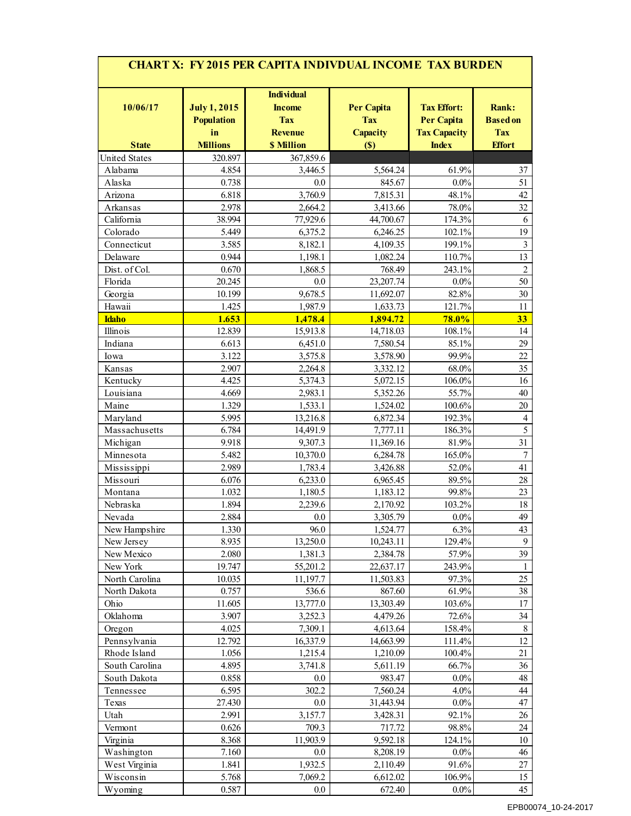| <b>CHART X: FY 2015 PER CAPITA INDIVDUAL INCOME TAX BURDEN</b> |                                                |                                                                    |                                             |                                                                |                                        |  |  |  |  |  |  |
|----------------------------------------------------------------|------------------------------------------------|--------------------------------------------------------------------|---------------------------------------------|----------------------------------------------------------------|----------------------------------------|--|--|--|--|--|--|
| 10/06/17                                                       | <b>July 1, 2015</b><br><b>Population</b><br>in | <b>Individual</b><br><b>Income</b><br><b>Tax</b><br><b>Revenue</b> | <b>Per Capita</b><br><b>Tax</b><br>Capacity | <b>Tax Effort:</b><br><b>Per Capita</b><br><b>Tax Capacity</b> | Rank:<br><b>Based on</b><br><b>Tax</b> |  |  |  |  |  |  |
| <b>State</b>                                                   | <b>Millions</b>                                | <b>\$ Million</b>                                                  | (S)                                         | <b>Index</b>                                                   | <b>Effort</b>                          |  |  |  |  |  |  |
| <b>United States</b>                                           | 320.897                                        | 367,859.6                                                          |                                             |                                                                |                                        |  |  |  |  |  |  |
| Alabama                                                        | 4.854                                          | 3,446.5                                                            | 5,564.24                                    | 61.9%                                                          | 37                                     |  |  |  |  |  |  |
| Alaska                                                         | 0.738                                          | 0.0                                                                | 845.67                                      | $0.0\%$                                                        | 51                                     |  |  |  |  |  |  |
| Arizona                                                        | 6.818                                          | 3,760.9                                                            | 7,815.31                                    | 48.1%                                                          | 42                                     |  |  |  |  |  |  |
| Arkansas                                                       | 2.978                                          | 2,664.2                                                            | 3,413.66                                    | $78.0\%$                                                       | 32                                     |  |  |  |  |  |  |
| California                                                     | 38.994                                         | 77,929.6                                                           | 44,700.67                                   | 174.3%                                                         | 6                                      |  |  |  |  |  |  |
| Colorado                                                       | 5.449                                          | 6,375.2                                                            | 6,246.25                                    | 102.1%                                                         | 19                                     |  |  |  |  |  |  |
| Connecticut                                                    | 3.585                                          | 8,182.1                                                            | 4,109.35                                    | 199.1%                                                         | 3                                      |  |  |  |  |  |  |
| Delaware                                                       | 0.944                                          | 1,198.1                                                            | 1,082.24                                    | 110.7%                                                         | 13                                     |  |  |  |  |  |  |
| Dist. of Col.                                                  | 0.670                                          | 1,868.5                                                            | 768.49                                      | 243.1%                                                         | $\overline{c}$                         |  |  |  |  |  |  |
| Florida                                                        | 20.245                                         | 0.0                                                                | 23,207.74                                   | $0.0\%$                                                        | 50                                     |  |  |  |  |  |  |
| Georgia                                                        | 10.199                                         | 9,678.5                                                            | 11,692.07                                   | 82.8%                                                          | 30                                     |  |  |  |  |  |  |
| Hawaii                                                         | 1.425                                          | 1,987.9                                                            | 1,633.73                                    | 121.7%                                                         | 11                                     |  |  |  |  |  |  |
| <b>Idaho</b>                                                   | 1.653                                          | 1,478.4                                                            | 1,894.72                                    | 78.0%                                                          | 33                                     |  |  |  |  |  |  |
| Illinois                                                       | 12.839                                         | 15,913.8                                                           | 14,718.03                                   | 108.1%                                                         | 14                                     |  |  |  |  |  |  |
| Indiana                                                        | 6.613                                          | 6,451.0                                                            | 7,580.54                                    | 85.1%                                                          | 29                                     |  |  |  |  |  |  |
| Iowa                                                           | 3.122                                          | 3,575.8                                                            | 3,578.90                                    | 99.9%                                                          | 22                                     |  |  |  |  |  |  |
| Kansas                                                         | 2.907                                          | 2,264.8                                                            | 3,332.12                                    | 68.0%                                                          | 35                                     |  |  |  |  |  |  |
| Kentucky                                                       | 4.425                                          | 5,374.3                                                            | 5,072.15                                    | 106.0%                                                         | 16                                     |  |  |  |  |  |  |
| Louisiana                                                      | 4.669                                          | 2,983.1                                                            | 5,352.26                                    | 55.7%                                                          | 40                                     |  |  |  |  |  |  |
| Maine                                                          | 1.329                                          | 1,533.1                                                            | 1,524.02                                    | 100.6%                                                         | 20                                     |  |  |  |  |  |  |
| Maryland                                                       | 5.995                                          | 13,216.8                                                           | 6,872.34                                    | 192.3%                                                         | 4                                      |  |  |  |  |  |  |
| Massachusetts                                                  | 6.784                                          | 14,491.9                                                           | 7,777.11                                    | 186.3%                                                         | 5                                      |  |  |  |  |  |  |
| Michigan                                                       | 9.918                                          | 9,307.3                                                            | 11,369.16                                   | 81.9%                                                          | 31                                     |  |  |  |  |  |  |
| Minnesota                                                      | 5.482                                          | 10,370.0                                                           | 6,284.78                                    | 165.0%                                                         | 7                                      |  |  |  |  |  |  |
| Mississippi                                                    | 2.989                                          | 1,783.4                                                            | 3,426.88                                    | 52.0%                                                          | 41                                     |  |  |  |  |  |  |
| Missouri                                                       | 6.076                                          | 6,233.0                                                            | 6,965.45                                    | 89.5%                                                          | 28                                     |  |  |  |  |  |  |
| Montana                                                        | 1.032                                          | 1,180.5                                                            | 1,183.12                                    | 99.8%                                                          | 23                                     |  |  |  |  |  |  |
| Nebraska                                                       | 1.894                                          | 2,239.6                                                            | 2,170.92                                    | 103.2%                                                         | 18                                     |  |  |  |  |  |  |
| Nevada                                                         | 2.884                                          | $0.0\,$                                                            | 3,305.79                                    | $0.0\%$                                                        | 49                                     |  |  |  |  |  |  |
| New Hampshire                                                  | 1.330                                          | 96.0                                                               | 1,524.77                                    | 6.3%                                                           | 43                                     |  |  |  |  |  |  |
| New Jersey                                                     | 8.935                                          | 13,250.0                                                           | 10,243.11                                   | 129.4%                                                         | 9                                      |  |  |  |  |  |  |
| New Mexico                                                     | 2.080                                          | 1,381.3                                                            | 2,384.78                                    | 57.9%                                                          | 39                                     |  |  |  |  |  |  |
| New York                                                       | 19.747                                         | 55,201.2                                                           | 22,637.17                                   | 243.9%                                                         | 1                                      |  |  |  |  |  |  |
| North Carolina                                                 | 10.035                                         | 11,197.7                                                           | 11,503.83                                   | 97.3%                                                          | 25                                     |  |  |  |  |  |  |
| North Dakota                                                   | 0.757                                          | 536.6                                                              | 867.60                                      | 61.9%                                                          | 38                                     |  |  |  |  |  |  |
| Ohio                                                           | 11.605                                         | 13,777.0                                                           | 13,303.49                                   | 103.6%                                                         | 17                                     |  |  |  |  |  |  |
| Oklahoma                                                       | 3.907                                          | 3,252.3                                                            | 4,479.26                                    | 72.6%                                                          | 34                                     |  |  |  |  |  |  |
| Oregon                                                         | 4.025                                          | 7,309.1                                                            | 4,613.64                                    | 158.4%                                                         | $8\,$                                  |  |  |  |  |  |  |
| Pennsylvania                                                   | 12.792                                         | 16,337.9                                                           | 14,663.99                                   | 111.4%                                                         | 12                                     |  |  |  |  |  |  |
| Rhode Island                                                   | 1.056                                          | 1,215.4                                                            | 1,210.09                                    | 100.4%                                                         | 21                                     |  |  |  |  |  |  |
| South Carolina                                                 | 4.895                                          | 3,741.8                                                            | 5,611.19                                    | 66.7%                                                          | 36                                     |  |  |  |  |  |  |
| South Dakota                                                   | 0.858                                          | 0.0                                                                | 983.47                                      | $0.0\%$                                                        | 48                                     |  |  |  |  |  |  |
| Tennessee                                                      | 6.595                                          | 302.2                                                              | 7,560.24                                    | 4.0%                                                           | $44$                                   |  |  |  |  |  |  |
| Texas                                                          | 27.430                                         | 0.0                                                                | 31,443.94                                   | $0.0\%$                                                        | 47                                     |  |  |  |  |  |  |
| Utah                                                           | 2.991                                          | 3,157.7                                                            | 3,428.31                                    | 92.1%                                                          | 26                                     |  |  |  |  |  |  |
| Vermont                                                        | 0.626                                          | 709.3                                                              | 717.72                                      | 98.8%                                                          | 24                                     |  |  |  |  |  |  |
| Virginia                                                       | 8.368                                          | 11,903.9                                                           | 9,592.18                                    | 124.1%                                                         | 10                                     |  |  |  |  |  |  |
| Washington                                                     | 7.160                                          | 0.0                                                                | 8,208.19                                    | $0.0\%$                                                        | 46                                     |  |  |  |  |  |  |
| West Virginia                                                  | 1.841                                          | 1,932.5                                                            | 2,110.49                                    | 91.6%                                                          | 27                                     |  |  |  |  |  |  |
| Wisconsin                                                      | 5.768                                          | 7,069.2                                                            | 6,612.02                                    | 106.9%                                                         | 15                                     |  |  |  |  |  |  |
| Wyoming                                                        | 0.587                                          | $0.0\,$                                                            | 672.40                                      | $0.0\%$                                                        | 45                                     |  |  |  |  |  |  |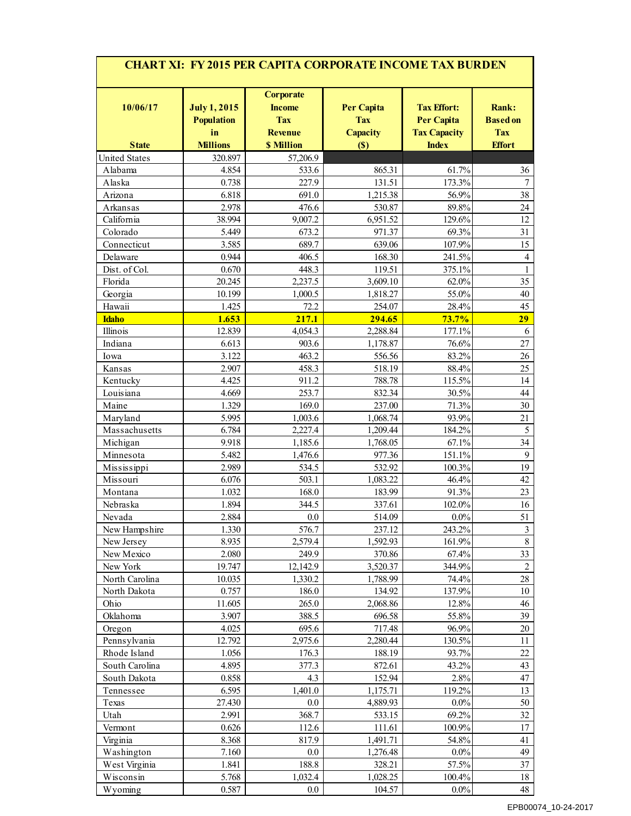| <b>CHART XI: FY 2015 PER CAPITA CORPORATE INCOME TAX BURDEN</b> |                                                |                                                                   |                                                    |                                                                |                                        |  |  |  |  |  |  |
|-----------------------------------------------------------------|------------------------------------------------|-------------------------------------------------------------------|----------------------------------------------------|----------------------------------------------------------------|----------------------------------------|--|--|--|--|--|--|
| 10/06/17                                                        | <b>July 1, 2015</b><br><b>Population</b><br>in | <b>Corporate</b><br><b>Income</b><br><b>Tax</b><br><b>Revenue</b> | <b>Per Capita</b><br><b>Tax</b><br><b>Capacity</b> | <b>Tax Effort:</b><br><b>Per Capita</b><br><b>Tax Capacity</b> | Rank:<br><b>Based on</b><br><b>Tax</b> |  |  |  |  |  |  |
| <b>State</b>                                                    | <b>Millions</b>                                | <b>\$ Million</b>                                                 | (S)                                                | <b>Index</b>                                                   | <b>Effort</b>                          |  |  |  |  |  |  |
| <b>United States</b>                                            | 320.897                                        | 57,206.9                                                          |                                                    |                                                                |                                        |  |  |  |  |  |  |
| Alabama                                                         | 4.854                                          | 533.6                                                             | 865.31                                             | 61.7%                                                          | 36                                     |  |  |  |  |  |  |
| Alaska                                                          | 0.738                                          | 227.9                                                             | 131.51                                             | 173.3%                                                         | 7                                      |  |  |  |  |  |  |
| Arizona                                                         | 6.818                                          | 691.0                                                             | 1,215.38                                           | 56.9%                                                          | 38                                     |  |  |  |  |  |  |
| Arkansas                                                        | 2.978                                          | 476.6                                                             | 530.87                                             | 89.8%                                                          | 24                                     |  |  |  |  |  |  |
| California                                                      | 38.994                                         | 9,007.2                                                           | 6,951.52                                           | 129.6%                                                         | 12                                     |  |  |  |  |  |  |
| Colorado                                                        | 5.449                                          | 673.2                                                             | 971.37                                             | 69.3%                                                          | 31                                     |  |  |  |  |  |  |
| Connecticut                                                     | 3.585                                          | 689.7                                                             | 639.06                                             | 107.9%                                                         | 15                                     |  |  |  |  |  |  |
| Delaware                                                        | 0.944                                          | 406.5                                                             | 168.30                                             | 241.5%                                                         | 4                                      |  |  |  |  |  |  |
| Dist. of Col.                                                   | 0.670                                          | 448.3                                                             | 119.51                                             | 375.1%                                                         | 1                                      |  |  |  |  |  |  |
| Florida                                                         | 20.245                                         | 2,237.5                                                           | 3,609.10                                           | 62.0%                                                          | 35                                     |  |  |  |  |  |  |
| Georgia                                                         | 10.199                                         | 1,000.5                                                           | 1,818.27                                           | 55.0%                                                          | 40                                     |  |  |  |  |  |  |
| Hawaii                                                          | 1.425                                          | 72.2                                                              | 254.07                                             | 28.4%                                                          | 45                                     |  |  |  |  |  |  |
| <b>Idaho</b>                                                    | 1.653                                          | 217.1                                                             | 294.65                                             | 73.7%                                                          | 29                                     |  |  |  |  |  |  |
| Illinois                                                        | 12.839                                         | 4,054.3                                                           | 2,288.84                                           | 177.1%                                                         | 6                                      |  |  |  |  |  |  |
| Indiana                                                         | 6.613                                          | 903.6                                                             | 1,178.87                                           | 76.6%                                                          | 27                                     |  |  |  |  |  |  |
| Iowa                                                            | 3.122                                          | 463.2                                                             | 556.56                                             | 83.2%                                                          | 26                                     |  |  |  |  |  |  |
| Kansas                                                          | 2.907                                          | 458.3                                                             | 518.19                                             | 88.4%                                                          | 25                                     |  |  |  |  |  |  |
| Kentucky                                                        | 4.425                                          | 911.2                                                             | 788.78                                             | 115.5%                                                         | 14                                     |  |  |  |  |  |  |
| Louisiana                                                       | 4.669                                          | 253.7                                                             | 832.34                                             | 30.5%                                                          | 44                                     |  |  |  |  |  |  |
| Maine                                                           | 1.329                                          | 169.0                                                             | 237.00                                             | 71.3%                                                          | 30                                     |  |  |  |  |  |  |
| Maryland                                                        | 5.995                                          | 1,003.6                                                           | 1,068.74                                           | 93.9%                                                          | 21                                     |  |  |  |  |  |  |
| Massachusetts                                                   | 6.784                                          | 2,227.4                                                           | 1,209.44                                           | 184.2%                                                         | 5                                      |  |  |  |  |  |  |
| Michigan                                                        | 9.918                                          | 1,185.6                                                           | 1,768.05                                           | 67.1%                                                          | 34                                     |  |  |  |  |  |  |
| Minnesota                                                       | 5.482                                          | 1,476.6                                                           | 977.36                                             | 151.1%                                                         | 9                                      |  |  |  |  |  |  |
| Mississippi                                                     | 2.989                                          | 534.5                                                             | 532.92                                             | 100.3%                                                         | 19                                     |  |  |  |  |  |  |
| Missouri                                                        | 6.076                                          | 503.1                                                             | 1,083.22                                           | 46.4%                                                          | 42                                     |  |  |  |  |  |  |
| Montana                                                         | 1.032                                          | 168.0                                                             | 183.99                                             | 91.3%                                                          | 23                                     |  |  |  |  |  |  |
| Nebraska                                                        | 1.894                                          | 344.5                                                             | 337.61                                             | 102.0%                                                         | 16                                     |  |  |  |  |  |  |
| Nevada                                                          | 2.884                                          | $0.0\,$                                                           | 514.09                                             | $0.0\%$                                                        | 51                                     |  |  |  |  |  |  |
| New Hampshire                                                   | 1.330                                          | 576.7                                                             | 237.12                                             | 243.2%                                                         | 3                                      |  |  |  |  |  |  |
| New Jersey                                                      | 8.935                                          | 2,579.4                                                           | 1,592.93                                           | 161.9%                                                         | 8                                      |  |  |  |  |  |  |
| New Mexico                                                      | 2.080                                          | 249.9                                                             | 370.86                                             | 67.4%                                                          | 33                                     |  |  |  |  |  |  |
| New York                                                        | 19.747                                         | 12,142.9                                                          | 3,520.37                                           | 344.9%                                                         | $\overline{c}$                         |  |  |  |  |  |  |
| North Carolina                                                  | 10.035                                         | 1,330.2                                                           | 1,788.99                                           | 74.4%                                                          | $28\,$                                 |  |  |  |  |  |  |
| North Dakota                                                    | 0.757                                          | 186.0                                                             | 134.92                                             | 137.9%                                                         | $10\,$                                 |  |  |  |  |  |  |
| Ohio                                                            | 11.605                                         | 265.0                                                             | 2,068.86                                           | 12.8%                                                          | 46                                     |  |  |  |  |  |  |
| Oklahoma                                                        | 3.907                                          | 388.5                                                             | 696.58                                             | 55.8%                                                          | 39                                     |  |  |  |  |  |  |
| Oregon                                                          | 4.025                                          | 695.6                                                             | 717.48                                             | 96.9%                                                          | $20\,$                                 |  |  |  |  |  |  |
| Pennsylvania                                                    | 12.792                                         | 2,975.6                                                           | 2,280.44                                           | 130.5%                                                         | 11                                     |  |  |  |  |  |  |
| Rhode Island                                                    | 1.056                                          | 176.3                                                             | 188.19                                             | 93.7%                                                          | $22\,$                                 |  |  |  |  |  |  |
| South Carolina                                                  | 4.895                                          | 377.3                                                             | 872.61                                             | 43.2%                                                          | 43                                     |  |  |  |  |  |  |
| South Dakota                                                    | 0.858                                          | 4.3                                                               | 152.94                                             | 2.8%                                                           | 47                                     |  |  |  |  |  |  |
| Tennessee                                                       | 6.595                                          | 1,401.0                                                           | 1,175.71                                           | 119.2%                                                         | 13                                     |  |  |  |  |  |  |
|                                                                 | 27.430                                         | 0.0                                                               | 4,889.93                                           | 0.0%                                                           | 50                                     |  |  |  |  |  |  |
| Texas                                                           | 2.991                                          | 368.7                                                             | 533.15                                             | 69.2%                                                          | 32                                     |  |  |  |  |  |  |
| Utah                                                            | 0.626                                          | 112.6                                                             | 111.61                                             | 100.9%                                                         | 17                                     |  |  |  |  |  |  |
| Vermont                                                         |                                                |                                                                   |                                                    |                                                                |                                        |  |  |  |  |  |  |
| Virginia                                                        | 8.368                                          | 817.9                                                             | 1,491.71                                           | 54.8%                                                          | 41<br>49                               |  |  |  |  |  |  |
| Washington                                                      | 7.160                                          | 0.0                                                               | 1,276.48                                           | $0.0\%$                                                        |                                        |  |  |  |  |  |  |
| West Virginia                                                   | 1.841                                          | 188.8                                                             | 328.21                                             | 57.5%                                                          | 37                                     |  |  |  |  |  |  |
| Wisconsin                                                       | 5.768                                          | 1,032.4                                                           | 1,028.25                                           | 100.4%                                                         | 18                                     |  |  |  |  |  |  |
| Wyoming                                                         | 0.587                                          | $0.0\,$                                                           | 104.57                                             | $0.0\%$                                                        | 48                                     |  |  |  |  |  |  |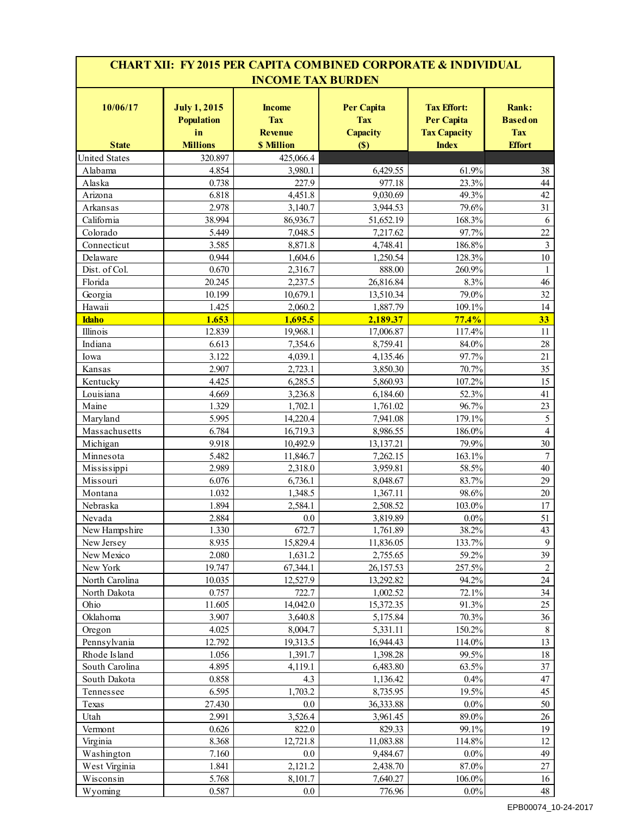| <b>CHART XII: FY 2015 PER CAPITA COMBINED CORPORATE &amp; INDIVIDUAL</b><br><b>INCOME TAX BURDEN</b> |                                                |                                               |                                                    |                                                                |                                        |  |
|------------------------------------------------------------------------------------------------------|------------------------------------------------|-----------------------------------------------|----------------------------------------------------|----------------------------------------------------------------|----------------------------------------|--|
| 10/06/17                                                                                             | <b>July 1, 2015</b><br><b>Population</b><br>in | <b>Income</b><br><b>Tax</b><br><b>Revenue</b> | <b>Per Capita</b><br><b>Tax</b><br><b>Capacity</b> | <b>Tax Effort:</b><br><b>Per Capita</b><br><b>Tax Capacity</b> | Rank:<br><b>Based on</b><br><b>Tax</b> |  |
| <b>State</b>                                                                                         | <b>Millions</b>                                | <b>\$ Million</b>                             | (S)                                                | <b>Index</b>                                                   | <b>Effort</b>                          |  |
| <b>United States</b>                                                                                 | 320.897                                        | 425,066.4                                     |                                                    |                                                                |                                        |  |
| Alabama                                                                                              | 4.854                                          | 3,980.1                                       | 6,429.55                                           | 61.9%                                                          | 38                                     |  |
| Alaska                                                                                               | 0.738                                          | 227.9                                         | 977.18                                             | 23.3%                                                          | 44                                     |  |
| Arizona                                                                                              | 6.818                                          | 4,451.8                                       | 9,030.69                                           | 49.3%                                                          | 42                                     |  |
| Arkansas                                                                                             | 2.978                                          | 3,140.7                                       | 3,944.53                                           | 79.6%                                                          | 31                                     |  |
| California                                                                                           | 38.994<br>5.449                                | 86,936.7<br>7,048.5                           | 51,652.19                                          | 168.3%<br>97.7%                                                | 6<br>22                                |  |
| Colorado                                                                                             | 3.585                                          | 8,871.8                                       | 7,217.62<br>4,748.41                               | 186.8%                                                         |                                        |  |
| Connecticut<br>Delaware                                                                              | 0.944                                          | 1,604.6                                       | 1,250.54                                           | 128.3%                                                         | 3<br>10                                |  |
| Dist. of Col.                                                                                        | 0.670                                          | 2,316.7                                       | 888.00                                             | 260.9%                                                         | 1                                      |  |
|                                                                                                      | 20.245                                         | 2,237.5                                       | 26,816.84                                          | 8.3%                                                           | 46                                     |  |
| Florida                                                                                              | 10.199                                         | 10,679.1                                      |                                                    | 79.0%                                                          | 32                                     |  |
| Georgia<br>Hawaii                                                                                    | 1.425                                          | 2,060.2                                       | 13,510.34<br>1,887.79                              | 109.1%                                                         | 14                                     |  |
| <b>Idaho</b>                                                                                         | 1.653                                          | 1,695.5                                       | 2,189.37                                           | 77.4%                                                          | 33                                     |  |
| Illinois                                                                                             | 12.839                                         | 19,968.1                                      |                                                    | 117.4%                                                         |                                        |  |
|                                                                                                      | 6.613                                          |                                               | 17,006.87                                          | 84.0%                                                          | 11<br>28                               |  |
| Indiana                                                                                              | 3.122                                          | 7,354.6                                       | 8,759.41<br>4,135.46                               |                                                                | 21                                     |  |
| Iowa                                                                                                 |                                                | 4,039.1                                       |                                                    | 97.7%                                                          |                                        |  |
| Kansas                                                                                               | 2.907                                          | 2,723.1                                       | 3,850.30                                           | 70.7%                                                          | 35                                     |  |
| Kentucky                                                                                             | 4.425                                          | 6,285.5                                       | 5,860.93                                           | 107.2%                                                         | 15                                     |  |
| Louisiana                                                                                            | 4.669                                          | 3,236.8                                       | 6,184.60                                           | 52.3%                                                          | 41                                     |  |
| Maine                                                                                                | 1.329                                          | 1,702.1                                       | 1,761.02                                           | 96.7%                                                          | 23                                     |  |
| Maryland                                                                                             | 5.995                                          | 14,220.4                                      | 7,941.08                                           | 179.1%                                                         | 5                                      |  |
| Massachusetts                                                                                        | 6.784                                          | 16,719.3                                      | 8,986.55                                           | 186.0%                                                         | 4                                      |  |
| Michigan                                                                                             | 9.918                                          | 10,492.9                                      | 13,137.21                                          | 79.9%                                                          | 30                                     |  |
| Minnesota                                                                                            | 5.482                                          | 11,846.7                                      | 7,262.15                                           | 163.1%                                                         | $\overline{7}$                         |  |
| Mississippi                                                                                          | 2.989                                          | 2,318.0                                       | 3,959.81                                           | 58.5%                                                          | 40                                     |  |
| Missouri                                                                                             | 6.076                                          | 6,736.1                                       | 8,048.67                                           | 83.7%                                                          | 29                                     |  |
| Montana                                                                                              | 1.032                                          | 1,348.5                                       | 1,367.11                                           | 98.6%                                                          | $20\,$                                 |  |
| Nebraska                                                                                             | 1.894                                          | 2,584.1                                       | 2,508.52                                           | 103.0%                                                         | 17                                     |  |
| Nevada                                                                                               | 2.884                                          | $0.0\,$                                       | 3,819.89                                           | $0.0\%$                                                        | 51                                     |  |
| New Hampshire                                                                                        | 1.330                                          | 672.7                                         | 1,761.89                                           | 38.2%                                                          | 43                                     |  |
| New Jersey                                                                                           | 8.935                                          | 15,829.4                                      | 11,836.05                                          | 133.7%                                                         | 9                                      |  |
| New Mexico                                                                                           | 2.080                                          | 1,631.2                                       | 2,755.65                                           | 59.2%                                                          | 39                                     |  |
| New York                                                                                             | 19.747                                         | 67,344.1                                      | 26,157.53                                          | 257.5%                                                         | $\overline{c}$                         |  |
| North Carolina                                                                                       | 10.035                                         | 12,527.9                                      | 13,292.82                                          | 94.2%                                                          | 24                                     |  |
| North Dakota                                                                                         | 0.757                                          | 722.7                                         | 1,002.52                                           | 72.1%                                                          | 34                                     |  |
| Ohio                                                                                                 | 11.605                                         | 14,042.0                                      | 15,372.35                                          | 91.3%                                                          | 25                                     |  |
| Oklahoma                                                                                             | 3.907                                          | 3,640.8                                       | 5,175.84                                           | 70.3%                                                          | 36                                     |  |
| Oregon                                                                                               | 4.025                                          | 8,004.7                                       | 5,331.11                                           | 150.2%                                                         | $8\,$                                  |  |
| Pennsylvania                                                                                         | 12.792                                         | 19,313.5                                      | 16,944.43                                          | 114.0%                                                         | 13                                     |  |
| Rhode Island                                                                                         | 1.056                                          | 1,391.7                                       | 1,398.28                                           | 99.5%                                                          | 18                                     |  |
| South Carolina                                                                                       | 4.895                                          | 4,119.1                                       | 6,483.80                                           | 63.5%                                                          | 37                                     |  |
| South Dakota                                                                                         | 0.858                                          | 4.3                                           | 1,136.42                                           | 0.4%                                                           | $47\,$                                 |  |
| Tennessee                                                                                            | 6.595                                          | 1,703.2                                       | 8,735.95                                           | 19.5%                                                          | 45                                     |  |
| Texas                                                                                                | 27.430                                         | $0.0\,$                                       | 36,333.88                                          | $0.0\%$                                                        | 50                                     |  |
| Utah                                                                                                 | 2.991                                          | 3,526.4                                       | 3,961.45                                           | 89.0%                                                          | 26                                     |  |
| Vermont                                                                                              | 0.626                                          | 822.0                                         | 829.33                                             | 99.1%                                                          | 19                                     |  |
| Virginia                                                                                             | 8.368                                          | 12,721.8                                      | 11,083.88                                          | 114.8%                                                         | 12                                     |  |
| Washington                                                                                           | 7.160                                          | 0.0                                           | 9,484.67                                           | $0.0\%$                                                        | 49                                     |  |
| West Virginia                                                                                        | 1.841                                          | 2,121.2                                       | 2,438.70                                           | 87.0%                                                          | 27                                     |  |
| Wisconsin                                                                                            | 5.768                                          | 8,101.7                                       | 7,640.27                                           | 106.0%                                                         | 16                                     |  |
| Wyoming                                                                                              | 0.587                                          | $0.0\,$                                       | 776.96                                             | $0.0\%$                                                        | 48                                     |  |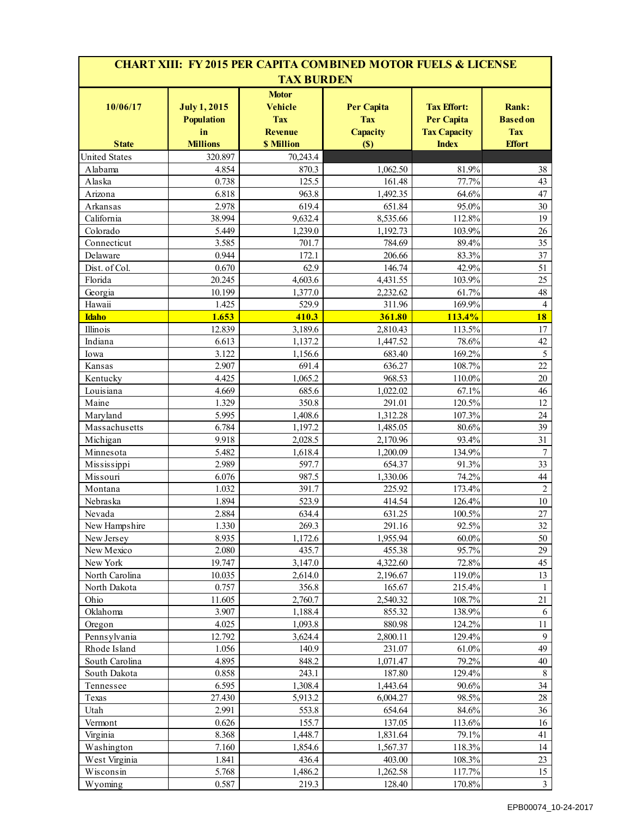|                           |                                                |                                                                | <b>CHART XIII: FY 2015 PER CAPITA COMBINED MOTOR FUELS &amp; LICENSE</b> |                                                                |                                               |
|---------------------------|------------------------------------------------|----------------------------------------------------------------|--------------------------------------------------------------------------|----------------------------------------------------------------|-----------------------------------------------|
|                           |                                                | <b>TAX BURDEN</b>                                              |                                                                          |                                                                |                                               |
| 10/06/17                  | <b>July 1, 2015</b><br><b>Population</b><br>in | <b>Motor</b><br><b>Vehicle</b><br><b>Tax</b><br><b>Revenue</b> | <b>Per Capita</b><br><b>Tax</b><br><b>Capacity</b>                       | <b>Tax Effort:</b><br><b>Per Capita</b><br><b>Tax Capacity</b> | <b>Rank:</b><br><b>Based on</b><br><b>Tax</b> |
| <b>State</b>              | <b>Millions</b>                                | <b>S</b> Million                                               | (S)                                                                      | <b>Index</b>                                                   | <b>Effort</b>                                 |
| <b>United States</b>      | 320.897                                        | 70,243.4                                                       |                                                                          |                                                                |                                               |
| Alabama                   | 4.854                                          | 870.3                                                          | 1,062.50                                                                 | 81.9%                                                          | 38                                            |
| Alaska                    | 0.738                                          | 125.5                                                          | 161.48                                                                   | 77.7%                                                          | 43                                            |
| Arizona                   | 6.818                                          | 963.8                                                          | 1,492.35                                                                 | 64.6%                                                          | 47                                            |
| Arkansas                  | 2.978                                          | 619.4                                                          | 651.84                                                                   | 95.0%                                                          | 30                                            |
| California                | 38.994                                         | 9,632.4                                                        | 8,535.66                                                                 | 112.8%                                                         | 19                                            |
| Colorado                  | 5.449                                          | 1,239.0                                                        | 1,192.73                                                                 | 103.9%                                                         | 26                                            |
| Connecticut               | 3.585                                          | 701.7                                                          | 784.69                                                                   | 89.4%                                                          | 35                                            |
| Delaware                  | 0.944                                          | 172.1                                                          | 206.66                                                                   | 83.3%                                                          | 37                                            |
| Dist. of Col.             | 0.670                                          | 62.9                                                           | 146.74                                                                   | 42.9%                                                          | 51                                            |
| Florida                   | 20.245                                         | 4,603.6                                                        | 4,431.55                                                                 | 103.9%                                                         | 25                                            |
| Georgia                   | 10.199                                         | 1,377.0                                                        | 2,232.62                                                                 | 61.7%                                                          | 48                                            |
| Hawaii                    | 1.425                                          | 529.9                                                          | 311.96                                                                   | 169.9%                                                         | $\overline{4}$                                |
| <b>Idaho</b>              | 1.653                                          | 410.3                                                          | 361.80                                                                   | 113.4%                                                         | 18                                            |
| Illinois<br>Indiana       | 12.839<br>6.613                                | 3,189.6<br>1,137.2                                             | 2,810.43<br>1,447.52                                                     | 113.5%<br>78.6%                                                | 17<br>42                                      |
|                           | 3.122                                          | 1.156.6                                                        |                                                                          | 169.2%                                                         | 5                                             |
| Iowa                      | 2.907                                          | 691.4                                                          | 683.40                                                                   | 108.7%                                                         | 22                                            |
| Kansas                    |                                                |                                                                | 636.27<br>968.53                                                         |                                                                | 20                                            |
| Kentucky<br>Louisiana     | 4.425<br>4.669                                 | 1,065.2<br>685.6                                               | 1,022.02                                                                 | 110.0%<br>67.1%                                                | 46                                            |
| Maine                     | 1.329                                          | 350.8                                                          | 291.01                                                                   | 120.5%                                                         | 12                                            |
|                           | 5.995                                          | 1,408.6                                                        | 1,312.28                                                                 | 107.3%                                                         | 24                                            |
| Maryland<br>Massachusetts | 6.784                                          | 1,197.2                                                        | 1,485.05                                                                 | 80.6%                                                          | 39                                            |
| Michigan                  | 9.918                                          | 2,028.5                                                        | 2,170.96                                                                 | 93.4%                                                          | 31                                            |
| Minnesota                 | 5.482                                          | 1,618.4                                                        | 1,200.09                                                                 | 134.9%                                                         | $\boldsymbol{7}$                              |
| Mississippi               | 2.989                                          | 597.7                                                          | 654.37                                                                   | 91.3%                                                          | 33                                            |
| Missouri                  | 6.076                                          | 987.5                                                          | 1,330.06                                                                 | 74.2%                                                          | 44                                            |
| Montana                   | 1.032                                          | 391.7                                                          | 225.92                                                                   | 173.4%                                                         | $\overline{c}$                                |
| Nebraska                  | 1.894                                          | 523.9                                                          | 414.54                                                                   | 126.4%                                                         | $10\,$                                        |
| Nevada                    | 2.884                                          | 634.4                                                          | 631.25                                                                   | 100.5%                                                         | 27                                            |
| New Hampshire             | 1.330                                          | 269.3                                                          | 291.16                                                                   | 92.5%                                                          | 32                                            |
| New Jersey                | 8.935                                          | 1,172.6                                                        | 1,955.94                                                                 | $60.0\%$                                                       | 50                                            |
| New Mexico                | 2.080                                          | 435.7                                                          | 455.38                                                                   | 95.7%                                                          | 29                                            |
| New York                  | 19.747                                         | 3,147.0                                                        | 4,322.60                                                                 | 72.8%                                                          | 45                                            |
| North Carolina            | 10.035                                         | 2,614.0                                                        | 2,196.67                                                                 | 119.0%                                                         | 13                                            |
| North Dakota              | 0.757                                          | 356.8                                                          | 165.67                                                                   | 215.4%                                                         | $\mathbf{1}$                                  |
| Ohio                      | 11.605                                         | 2,760.7                                                        | 2,540.32                                                                 | 108.7%                                                         | 21                                            |
| Oklahoma                  | 3.907                                          | 1,188.4                                                        | 855.32                                                                   | 138.9%                                                         | 6                                             |
| Oregon                    | 4.025                                          | 1,093.8                                                        | 880.98                                                                   | 124.2%                                                         | $11\,$                                        |
| Pennsylvania              | 12.792                                         | 3,624.4                                                        | 2,800.11                                                                 | 129.4%                                                         | 9                                             |
| Rhode Island              | 1.056                                          | 140.9                                                          | 231.07                                                                   | 61.0%                                                          | 49                                            |
| South Carolina            | 4.895                                          | 848.2                                                          | 1,071.47                                                                 | 79.2%                                                          | $40\,$                                        |
| South Dakota              | 0.858                                          | 243.1                                                          | 187.80                                                                   | 129.4%                                                         | 8                                             |
| Tennessee                 | 6.595                                          | 1,308.4                                                        | 1,443.64                                                                 | 90.6%                                                          | 34                                            |
| Texas                     | 27.430                                         | 5,913.2                                                        | 6,004.27                                                                 | 98.5%                                                          | $28\,$                                        |
| Utah                      | 2.991                                          | 553.8                                                          | 654.64                                                                   | 84.6%                                                          | 36                                            |
| Vermont                   | 0.626                                          | 155.7                                                          | 137.05                                                                   | 113.6%                                                         | 16                                            |
| Virginia                  | 8.368                                          | 1,448.7                                                        | 1,831.64                                                                 | 79.1%                                                          | 41                                            |
| Washington                | 7.160                                          | 1,854.6                                                        | 1,567.37                                                                 | 118.3%                                                         | 14                                            |
| West Virginia             | 1.841                                          | 436.4                                                          | 403.00                                                                   | 108.3%                                                         | 23                                            |
| Wisconsin                 | 5.768                                          | 1,486.2                                                        | 1,262.58                                                                 | 117.7%                                                         | 15                                            |
| Wyoming                   | 0.587                                          | 219.3                                                          | 128.40                                                                   | 170.8%                                                         | $\mathfrak{Z}$                                |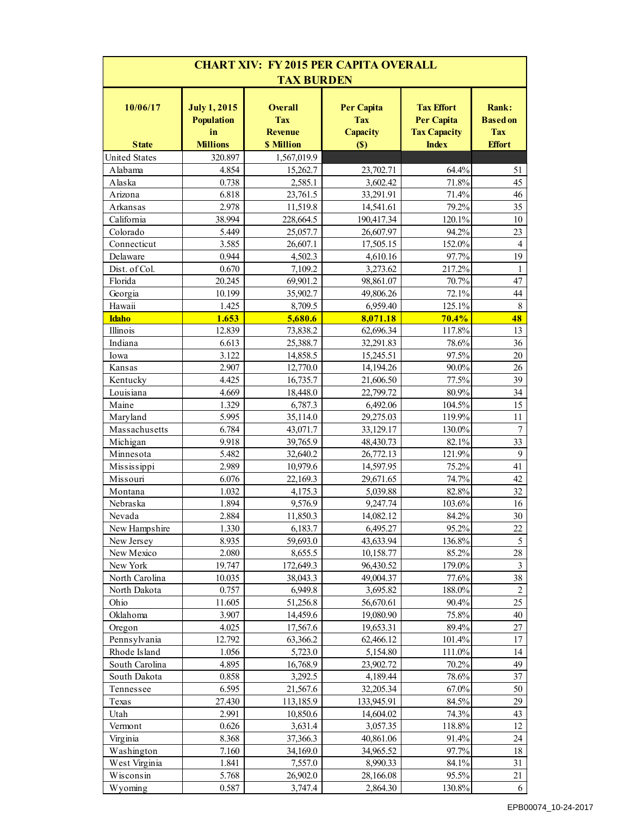| <b>CHART XIV: FY 2015 PER CAPITA OVERALL</b><br><b>TAX BURDEN</b> |                                                |                                                |                                                    |                                                        |                                        |  |
|-------------------------------------------------------------------|------------------------------------------------|------------------------------------------------|----------------------------------------------------|--------------------------------------------------------|----------------------------------------|--|
| 10/06/17                                                          | <b>July 1, 2015</b><br><b>Population</b><br>in | <b>Overall</b><br><b>Tax</b><br><b>Revenue</b> | <b>Per Capita</b><br><b>Tax</b><br><b>Capacity</b> | <b>Tax Effort</b><br>Per Capita<br><b>Tax Capacity</b> | Rank:<br><b>Based</b> on<br><b>Tax</b> |  |
| <b>State</b>                                                      | <b>Millions</b>                                | <b>\$ Million</b>                              | (S)                                                | <b>Index</b>                                           | <b>Effort</b>                          |  |
| <b>United States</b>                                              | 320.897                                        | 1,567,019.9                                    |                                                    |                                                        |                                        |  |
| Alabama                                                           | 4.854                                          | 15,262.7                                       | 23,702.71                                          | 64.4%                                                  | 51                                     |  |
| Alaska                                                            | 0.738                                          | 2,585.1                                        | 3,602.42                                           | 71.8%                                                  | 45                                     |  |
| Arizona                                                           | 6.818                                          | 23,761.5                                       | 33,291.91                                          | 71.4%                                                  | 46                                     |  |
| Arkansas                                                          | 2.978                                          | 11,519.8                                       | 14,541.61                                          | 79.2%                                                  | 35                                     |  |
| California                                                        | 38.994                                         | 228,664.5                                      | 190,417.34                                         | 120.1%                                                 | 10                                     |  |
| Colorado                                                          | 5.449                                          | 25,057.7                                       | 26,607.97                                          | 94.2%                                                  | 23                                     |  |
| Connecticut                                                       | 3.585                                          | 26,607.1                                       | 17,505.15                                          | 152.0%                                                 | $\overline{4}$                         |  |
| Delaware                                                          | 0.944                                          | 4,502.3                                        | 4,610.16                                           | 97.7%                                                  | 19                                     |  |
| Dist. of Col.                                                     | 0.670                                          | 7,109.2                                        | 3,273.62                                           | 217.2%                                                 | 1                                      |  |
| Florida                                                           | 20.245                                         | 69,901.2                                       | 98,861.07                                          | 70.7%                                                  | 47                                     |  |
| Georgia                                                           | 10.199                                         | 35,902.7                                       | 49,806.26                                          | 72.1%                                                  | 44                                     |  |
| Hawaii                                                            | 1.425                                          | 8,709.5                                        | 6,959.40                                           | 125.1%                                                 | 8                                      |  |
| <b>Idaho</b>                                                      | 1.653                                          | 5,680.6                                        | 8,071.18                                           | 70.4%                                                  | 48                                     |  |
| Illinois                                                          | 12.839                                         | 73,838.2                                       | 62,696.34                                          | 117.8%                                                 | 13                                     |  |
| Indiana                                                           | 6.613                                          | 25,388.7                                       | 32,291.83                                          | 78.6%                                                  | 36                                     |  |
| Iowa                                                              | 3.122                                          | 14,858.5                                       | 15,245.51                                          | 97.5%                                                  | 20                                     |  |
| Kansas                                                            | 2.907                                          | 12,770.0                                       | 14,194.26                                          | 90.0%                                                  | 26                                     |  |
| Kentucky                                                          | 4.425                                          | 16,735.7                                       | 21,606.50                                          | 77.5%                                                  | 39                                     |  |
| Louisiana                                                         | 4.669                                          | 18,448.0                                       | 22,799.72                                          | 80.9%                                                  | 34                                     |  |
| Maine                                                             | 1.329                                          | 6,787.3                                        | 6,492.06                                           | 104.5%                                                 | 15                                     |  |
| Maryland                                                          | 5.995                                          | 35,114.0                                       | 29,275.03                                          | 119.9%                                                 | 11                                     |  |
| Massachusetts                                                     | 6.784                                          | 43,071.7                                       | 33,129.17                                          | 130.0%                                                 | $\tau$                                 |  |
| Michigan                                                          | 9.918                                          | 39,765.9                                       | 48,430.73                                          | 82.1%                                                  | 33                                     |  |
| Minnesota                                                         | 5.482                                          | 32,640.2                                       | 26,772.13                                          | 121.9%                                                 | 9                                      |  |
| Mississippi                                                       | 2.989                                          | 10,979.6                                       | 14,597.95                                          | 75.2%                                                  | 41                                     |  |
| Missouri                                                          | 6.076                                          | 22,169.3                                       | 29,671.65                                          | 74.7%                                                  | 42                                     |  |
| Montana                                                           | 1.032                                          | 4,175.3                                        | 5,039.88                                           | 82.8%                                                  | 32                                     |  |
| Nebraska                                                          | 1.894                                          | 9,576.9                                        | 9,247.74                                           | 103.6%                                                 | 16                                     |  |
| Nevada                                                            | 2.884                                          | 11,850.3                                       | 14,082.12                                          | $84.2\%$                                               | 30                                     |  |
| New Hampshire                                                     | 1.330                                          | 6,183.7                                        | 6,495.27                                           | 95.2%                                                  | 22                                     |  |
| New Jersey                                                        | 8.935                                          | 59,693.0                                       | 43,633.94                                          | 136.8%                                                 | 5                                      |  |
| New Mexico                                                        | 2.080                                          | 8,655.5                                        | 10,158.77                                          | 85.2%                                                  | $28\,$                                 |  |
| New York                                                          | 19.747                                         | 172,649.3                                      | 96,430.52                                          | 179.0%                                                 | $\mathfrak{Z}$                         |  |
| North Carolina                                                    | 10.035                                         | 38,043.3<br>6,949.8                            | 49,004.37                                          | 77.6%                                                  | 38<br>$\sqrt{2}$                       |  |
| North Dakota<br>Ohio                                              | 0.757<br>11.605                                |                                                | 3,695.82<br>56,670.61                              | 188.0%<br>90.4%                                        | 25                                     |  |
| Oklahoma                                                          | 3.907                                          | 51,256.8                                       | 19,080.90                                          | 75.8%                                                  | 40                                     |  |
|                                                                   | 4.025                                          | 14,459.6<br>17,567.6                           | 19,653.31                                          | 89.4%                                                  | 27                                     |  |
| Oregon<br>Pennsylvania                                            | 12.792                                         | 63,366.2                                       | 62,466.12                                          | 101.4%                                                 | 17                                     |  |
| Rhode Island                                                      | 1.056                                          | 5,723.0                                        | 5,154.80                                           | 111.0%                                                 | 14                                     |  |
| South Carolina                                                    | 4.895                                          | 16,768.9                                       | 23,902.72                                          | 70.2%                                                  | 49                                     |  |
| South Dakota                                                      | 0.858                                          | 3,292.5                                        | 4,189.44                                           | 78.6%                                                  | 37                                     |  |
| Tennessee                                                         | 6.595                                          | 21,567.6                                       | 32,205.34                                          | 67.0%                                                  | 50                                     |  |
| Texas                                                             | 27.430                                         | 113,185.9                                      | 133,945.91                                         | 84.5%                                                  | 29                                     |  |
| Utah                                                              | 2.991                                          | 10,850.6                                       | 14,604.02                                          | 74.3%                                                  | 43                                     |  |
| Vermont                                                           | 0.626                                          | 3,631.4                                        | 3,057.35                                           | 118.8%                                                 | 12                                     |  |
|                                                                   | 8.368                                          | 37,366.3                                       | 40,861.06                                          | 91.4%                                                  | 24                                     |  |
| Virginia                                                          | 7.160                                          | 34,169.0                                       | 34,965.52                                          | 97.7%                                                  | 18                                     |  |
| Washington                                                        | 1.841                                          | 7,557.0                                        | 8,990.33                                           | 84.1%                                                  | 31                                     |  |
| West Virginia<br>Wisconsin                                        | 5.768                                          | 26,902.0                                       | 28,166.08                                          | 95.5%                                                  | 21                                     |  |
| Wyoming                                                           | 0.587                                          | 3,747.4                                        | 2,864.30                                           | 130.8%                                                 | 6                                      |  |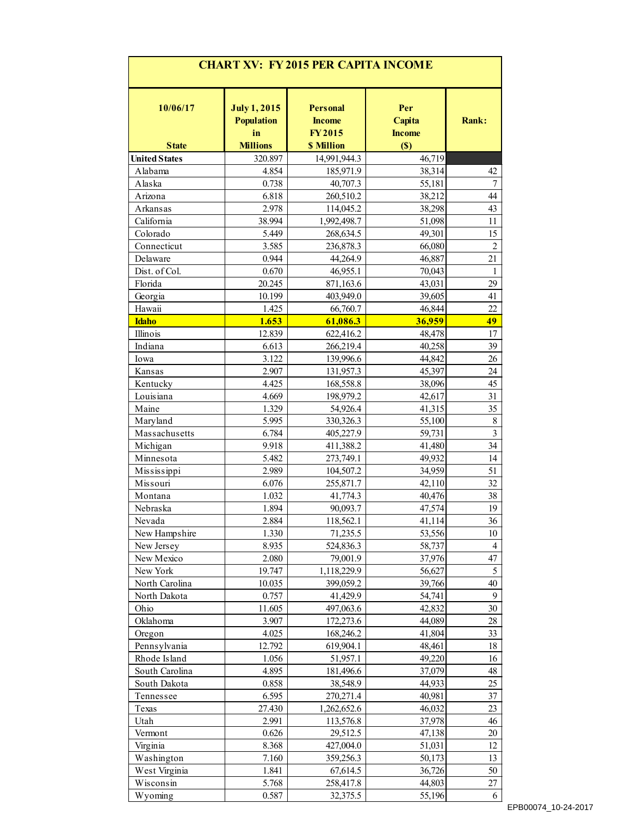| <b>CHART XV: FY 2015 PER CAPITA INCOME</b> |                                                |                                                   |                                |                          |  |
|--------------------------------------------|------------------------------------------------|---------------------------------------------------|--------------------------------|--------------------------|--|
| 10/06/17                                   | <b>July 1, 2015</b><br><b>Population</b><br>in | <b>Personal</b><br><b>Income</b><br><b>FY2015</b> | Per<br>Capita<br><b>Income</b> | <b>Rank:</b>             |  |
| <b>State</b>                               | <b>Millions</b>                                | <b>\$ Million</b>                                 | (S)                            |                          |  |
| <b>United States</b>                       | 320.897                                        | 14,991,944.3                                      | 46,719                         |                          |  |
| Alabama                                    | 4.854                                          | 185,971.9                                         | 38,314                         | 42                       |  |
| Alaska                                     | 0.738                                          | 40,707.3                                          | 55,181                         | $\overline{7}$           |  |
| Arizona                                    | 6.818                                          | 260,510.2                                         | 38,212                         | 44                       |  |
| Arkansas                                   | 2.978                                          | 114,045.2                                         | 38,298                         | 43                       |  |
| California<br>Colorado                     | 38.994                                         | 1,992,498.7                                       | 51,098                         | 11                       |  |
|                                            | 5.449                                          | 268,634.5                                         | 49,301                         | 15<br>$\overline{2}$     |  |
| Connecticut                                | 3.585                                          | 236,878.3                                         | 66,080                         |                          |  |
| Delaware                                   | 0.944                                          | 44,264.9                                          | 46,887                         | 21                       |  |
| Dist. of Col.                              | 0.670                                          | 46,955.1                                          | 70,043                         | 1                        |  |
| Florida                                    | 20.245                                         | 871,163.6<br>403,949.0                            | 43,031                         | 29<br>41                 |  |
| Georgia<br>Hawaii                          | 10.199<br>1.425                                | 66,760.7                                          | 39,605<br>46,844               | 22                       |  |
| <b>Idaho</b>                               | 1.653                                          | 61,086.3                                          | 36,959                         | 49                       |  |
| Illinois                                   | 12.839                                         | 622,416.2                                         | 48,478                         | 17                       |  |
| Indiana                                    | 6.613                                          | 266,219.4                                         | 40,258                         | 39                       |  |
| Iowa                                       | 3.122                                          | 139,996.6                                         | 44,842                         | 26                       |  |
| Kansas                                     | 2.907                                          | 131,957.3                                         | 45,397                         | 24                       |  |
| Kentucky                                   | 4.425                                          | 168,558.8                                         | 38,096                         | 45                       |  |
| Louisiana                                  | 4.669                                          | 198,979.2                                         | 42,617                         | 31                       |  |
| Maine                                      | 1.329                                          | 54,926.4                                          | 41,315                         | 35                       |  |
| Maryland                                   | 5.995                                          | 330,326.3                                         | 55,100                         | 8                        |  |
| Massachusetts                              | 6.784                                          | 405,227.9                                         | 59,731                         | $\mathfrak{Z}$           |  |
| Michigan                                   | 9.918                                          | 411,388.2                                         | 41,480                         | 34                       |  |
| Minnesota                                  | 5.482                                          | 273,749.1                                         | 49,932                         | 14                       |  |
| Mississippi                                | 2.989                                          | 104,507.2                                         | 34,959                         | 51                       |  |
| Missouri                                   | 6.076                                          | 255,871.7                                         | 42,110                         | 32                       |  |
| Montana                                    | 1.032                                          | 41,774.3                                          | 40,476                         | 38                       |  |
| Nebraska                                   | 1.894                                          | 90,093.7                                          | 47,574                         | 19                       |  |
| Nevada                                     | 2.884                                          | 118,562.1                                         | 41,114                         | 36                       |  |
| New Hampshire                              | 1.330                                          | 71,235.5                                          | 53,556                         | 10                       |  |
| New Jersey                                 | 8.935                                          | 524,836.3                                         | 58,737                         | $\overline{\mathcal{A}}$ |  |
| New Mexico                                 | 2.080                                          | 79,001.9                                          | 37,976                         | 47                       |  |
| New York                                   | 19.747                                         | 1,118,229.9                                       | 56,627                         | 5                        |  |
| North Carolina                             | 10.035                                         | 399,059.2                                         | 39,766                         | 40                       |  |
| North Dakota                               | 0.757                                          | 41,429.9                                          | 54,741                         | 9                        |  |
| Ohio                                       | 11.605                                         | 497,063.6                                         | 42,832                         | 30                       |  |
| Oklahoma                                   | 3.907                                          | 172,273.6                                         | 44,089                         | 28                       |  |
| Oregon                                     | 4.025                                          | 168,246.2                                         | 41,804                         | 33                       |  |
| Pennsylvania                               | 12.792                                         | 619,904.1                                         | 48,461                         | 18                       |  |
| Rhode Island                               | 1.056                                          | 51,957.1                                          | 49,220                         | 16                       |  |
| South Carolina                             | 4.895                                          | 181,496.6                                         | 37,079                         | 48                       |  |
| South Dakota                               | 0.858                                          | 38,548.9                                          | 44,933                         | 25                       |  |
| Tennessee                                  | 6.595                                          | 270,271.4                                         | 40,981                         | 37                       |  |
| Texas                                      | 27.430                                         | 1,262,652.6                                       | 46,032                         | 23                       |  |
| Utah                                       | 2.991                                          | 113,576.8                                         | 37,978                         | 46                       |  |
| Vermont                                    | 0.626                                          | 29,512.5                                          | 47,138                         | 20                       |  |
| Virginia                                   | 8.368                                          | 427,004.0                                         | 51,031                         | 12                       |  |
| Washington                                 | 7.160                                          | 359,256.3                                         | 50,173                         | 13                       |  |
| West Virginia                              | 1.841                                          | 67,614.5                                          | 36,726                         | 50                       |  |
| Wisconsin                                  | 5.768                                          | 258,417.8                                         | 44,803                         | 27                       |  |
| Wyoming                                    | 0.587                                          | 32,375.5                                          | 55,196                         | 6                        |  |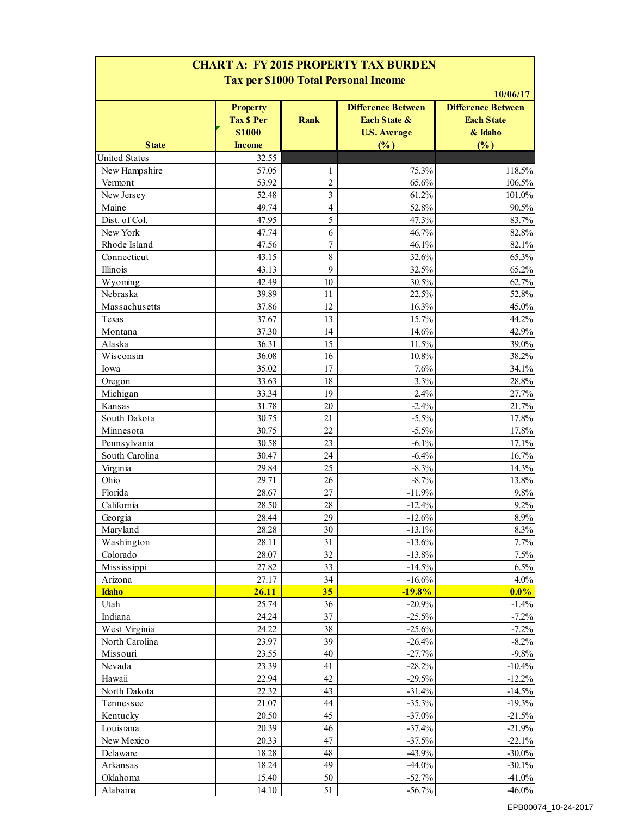| <b>CHART A: FY 2015 PROPERTY TAX BURDEN</b><br><b>Tax per \$1000 Total Personal Income</b> |                                                |                |                                                                             |                                                                       |  |  |
|--------------------------------------------------------------------------------------------|------------------------------------------------|----------------|-----------------------------------------------------------------------------|-----------------------------------------------------------------------|--|--|
|                                                                                            | <b>Property</b><br><b>Tax \$ Per</b><br>\$1000 | <b>Rank</b>    | <b>Difference Between</b><br><b>Each State &amp;</b><br><b>U.S. Average</b> | 10/06/17<br><b>Difference Between</b><br><b>Each State</b><br>& Idaho |  |  |
| <b>State</b>                                                                               | <b>Income</b>                                  |                | (%)                                                                         | $(\%)$                                                                |  |  |
| <b>United States</b>                                                                       | 32.55                                          |                |                                                                             |                                                                       |  |  |
| New Hampshire                                                                              | 57.05                                          | 1              | 75.3%                                                                       | 118.5%                                                                |  |  |
| Vermont                                                                                    | 53.92                                          | 2              | 65.6%                                                                       | 106.5%                                                                |  |  |
| New Jersey                                                                                 | 52.48                                          | 3              | 61.2%                                                                       | 101.0%                                                                |  |  |
| Maine                                                                                      | 49.74                                          | 4              | 52.8%                                                                       | 90.5%                                                                 |  |  |
| Dist. of Col.                                                                              | 47.95                                          | 5              | 47.3%                                                                       | 83.7%                                                                 |  |  |
| New York                                                                                   | 47.74                                          | 6              | 46.7%                                                                       | 82.8%                                                                 |  |  |
| Rhode Island                                                                               | 47.56                                          | $\overline{7}$ | 46.1%                                                                       | 82.1%                                                                 |  |  |
| Connecticut                                                                                | 43.15                                          | $\,8\,$        | 32.6%                                                                       | 65.3%                                                                 |  |  |
| Illinois                                                                                   | 43.13                                          | 9              | 32.5%                                                                       | 65.2%                                                                 |  |  |
| Wyoming                                                                                    | 42.49                                          | 10             | 30.5%                                                                       | 62.7%                                                                 |  |  |
| Nebraska                                                                                   | 39.89                                          | 11             | 22.5%                                                                       | 52.8%                                                                 |  |  |
| Massachusetts                                                                              | 37.86                                          | 12             | 16.3%                                                                       | 45.0%                                                                 |  |  |
| Texas                                                                                      | 37.67                                          | 13             | 15.7%                                                                       | 44.2%                                                                 |  |  |
| Montana                                                                                    | 37.30                                          | 14             | 14.6%                                                                       | 42.9%                                                                 |  |  |
| Alaska                                                                                     | 36.31                                          | 15             | 11.5%                                                                       | 39.0%                                                                 |  |  |
| Wisconsin                                                                                  | 36.08                                          | 16             | 10.8%                                                                       | 38.2%                                                                 |  |  |
| Iowa                                                                                       | 35.02                                          | 17             | 7.6%                                                                        | 34.1%                                                                 |  |  |
| Oregon                                                                                     | 33.63                                          | 18             | 3.3%                                                                        | 28.8%                                                                 |  |  |
| Michigan                                                                                   | 33.34                                          | 19             | 2.4%                                                                        | 27.7%                                                                 |  |  |
| Kansas                                                                                     | 31.78                                          | 20             | $-2.4%$                                                                     | 21.7%                                                                 |  |  |
| South Dakota                                                                               | 30.75                                          | 21             | $-5.5%$                                                                     | 17.8%                                                                 |  |  |
| Minnesota                                                                                  | 30.75                                          | 22             | $-5.5%$                                                                     | 17.8%                                                                 |  |  |
| Pennsylvania                                                                               | 30.58                                          | 23             | $-6.1%$                                                                     | 17.1%                                                                 |  |  |
| South Carolina                                                                             | 30.47                                          | 24             | $-6.4%$                                                                     | 16.7%                                                                 |  |  |
| Virginia                                                                                   | 29.84                                          | 25             | $-8.3%$                                                                     | 14.3%                                                                 |  |  |
| Ohio                                                                                       | 29.71                                          | 26             | $-8.7%$                                                                     | 13.8%                                                                 |  |  |
| Florida                                                                                    | 28.67                                          | 27             | $-11.9%$                                                                    | 9.8%                                                                  |  |  |
| California                                                                                 | 28.50                                          | 28             | $-12.4%$                                                                    | 9.2%                                                                  |  |  |
| Georgia                                                                                    | 28.44                                          | 29             | $-12.6%$                                                                    | $8.9\%$                                                               |  |  |
| Maryland                                                                                   | 28.28                                          | 30             | $-13.1%$                                                                    | 8.3%                                                                  |  |  |
| Washington                                                                                 | 28.11                                          | 31             | $-13.6%$                                                                    | 7.7%                                                                  |  |  |
| Colorado                                                                                   | 28.07                                          | 32             | $-13.8%$                                                                    | 7.5%                                                                  |  |  |
| Mississippi                                                                                | 27.82                                          | 33             | $-14.5%$                                                                    | 6.5%                                                                  |  |  |
| Arizona                                                                                    | 27.17                                          | 34             | $-16.6%$                                                                    | 4.0%                                                                  |  |  |
| <b>Idaho</b>                                                                               | 26.11                                          | 35             | $-19.8%$                                                                    | $0.0\%$                                                               |  |  |
| Utah                                                                                       | 25.74                                          | 36             | $-20.9%$                                                                    | $-1.4%$                                                               |  |  |
| Indiana                                                                                    | 24.24                                          | 37             | $-25.5%$                                                                    | $-7.2%$                                                               |  |  |
| West Virginia                                                                              | 24.22                                          | 38             | $-25.6%$                                                                    | $-7.2%$                                                               |  |  |
| North Carolina                                                                             | 23.97                                          | 39             | $-26.4%$                                                                    | $-8.2%$                                                               |  |  |
| Missouri                                                                                   | 23.55                                          | 40             | $-27.7%$                                                                    | $-9.8%$                                                               |  |  |
| Nevada                                                                                     | 23.39                                          | 41             | $-28.2%$                                                                    | $-10.4%$                                                              |  |  |
| Hawaii                                                                                     | 22.94                                          | 42             | $-29.5%$                                                                    | $-12.2%$                                                              |  |  |
| North Dakota                                                                               | 22.32                                          | 43             | $-31.4%$                                                                    | $-14.5%$                                                              |  |  |
| Tennessee                                                                                  | 21.07                                          | 44             | $-35.3%$                                                                    | $-19.3%$                                                              |  |  |
|                                                                                            | 20.50                                          | 45             |                                                                             | $-21.5%$                                                              |  |  |
| Kentucky                                                                                   |                                                |                | $-37.0%$                                                                    |                                                                       |  |  |
| Louisiana                                                                                  | 20.39                                          | 46             | $-37.4%$                                                                    | $-21.9%$                                                              |  |  |
| New Mexico                                                                                 | 20.33                                          | 47             | $-37.5%$                                                                    | $-22.1%$                                                              |  |  |
| Delaware                                                                                   | 18.28                                          | 48             | $-43.9%$                                                                    | $-30.0\%$                                                             |  |  |
| Arkansas                                                                                   | 18.24                                          | 49             | $-44.0%$                                                                    | $-30.1%$                                                              |  |  |
| Oklahoma                                                                                   | 15.40                                          | 50             | $-52.7%$                                                                    | $-41.0%$                                                              |  |  |
| Alabama                                                                                    | 14.10                                          | 51             | $-56.7\%$                                                                   | $-46.0%$                                                              |  |  |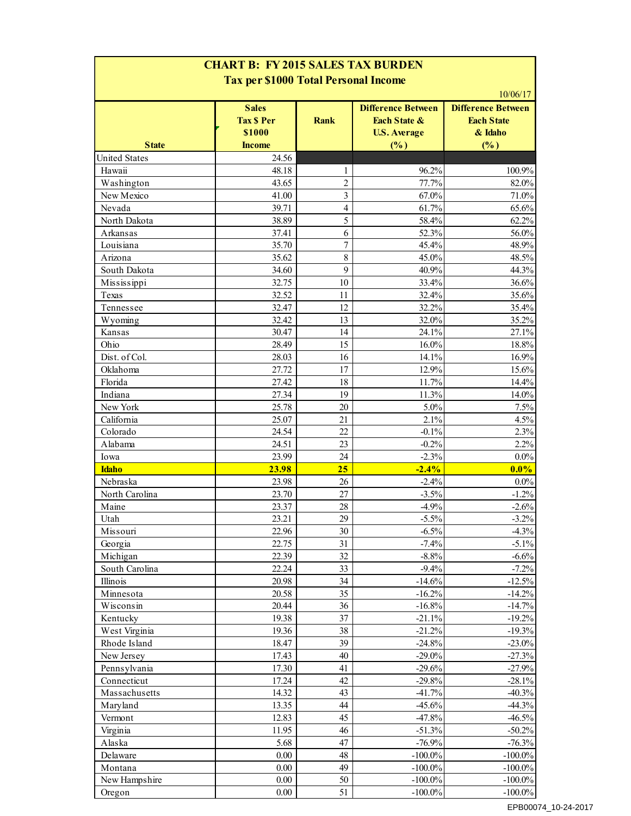| <b>CHART B: FY 2015 SALES TAX BURDEN</b><br><b>Tax per \$1000 Total Personal Income</b> |                                             |                |                                                                             |                                                                       |  |  |
|-----------------------------------------------------------------------------------------|---------------------------------------------|----------------|-----------------------------------------------------------------------------|-----------------------------------------------------------------------|--|--|
|                                                                                         | <b>Sales</b><br><b>Tax \$ Per</b><br>\$1000 | <b>Rank</b>    | <b>Difference Between</b><br><b>Each State &amp;</b><br><b>U.S. Average</b> | 10/06/17<br><b>Difference Between</b><br><b>Each State</b><br>& Idaho |  |  |
| <b>State</b>                                                                            | <b>Income</b>                               |                | (%)                                                                         | (%)                                                                   |  |  |
| <b>United States</b>                                                                    | 24.56                                       |                |                                                                             |                                                                       |  |  |
| Hawaii                                                                                  | 48.18                                       | 1              | 96.2%                                                                       | 100.9%                                                                |  |  |
| Washington                                                                              | 43.65                                       | $\overline{2}$ | 77.7%                                                                       | 82.0%                                                                 |  |  |
| New Mexico                                                                              | 41.00                                       | 3              | 67.0%                                                                       | 71.0%                                                                 |  |  |
| Nevada                                                                                  | 39.71                                       | $\overline{4}$ | 61.7%                                                                       | 65.6%                                                                 |  |  |
| North Dakota                                                                            | 38.89                                       | 5              | 58.4%                                                                       | 62.2%                                                                 |  |  |
| Arkansas                                                                                | 37.41                                       | 6              | 52.3%                                                                       | 56.0%                                                                 |  |  |
| Louisiana                                                                               | 35.70                                       | 7              | 45.4%                                                                       | 48.9%                                                                 |  |  |
| Arizona                                                                                 | 35.62                                       | $\,8\,$        | 45.0%                                                                       | 48.5%                                                                 |  |  |
| South Dakota                                                                            | 34.60                                       | 9              | 40.9%                                                                       | 44.3%                                                                 |  |  |
| Mississippi                                                                             | 32.75                                       | 10             | 33.4%                                                                       | 36.6%                                                                 |  |  |
| Texas                                                                                   | 32.52                                       | 11             | 32.4%                                                                       | 35.6%                                                                 |  |  |
| Tennessee                                                                               | 32.47                                       | 12             | 32.2%                                                                       | 35.4%                                                                 |  |  |
| Wyoming                                                                                 | 32.42                                       | 13             | 32.0%                                                                       | 35.2%                                                                 |  |  |
| Kansas                                                                                  | 30.47                                       | 14             | 24.1%                                                                       | 27.1%                                                                 |  |  |
| Ohio                                                                                    | 28.49                                       | 15             | 16.0%                                                                       | 18.8%                                                                 |  |  |
| Dist. of Col.                                                                           | 28.03                                       | 16             | 14.1%                                                                       | 16.9%                                                                 |  |  |
| Oklahoma                                                                                | 27.72                                       | 17             | 12.9%                                                                       | 15.6%                                                                 |  |  |
| Florida                                                                                 | 27.42                                       | 18             | 11.7%                                                                       | 14.4%                                                                 |  |  |
| Indiana                                                                                 | 27.34                                       | 19             | 11.3%                                                                       | 14.0%                                                                 |  |  |
| New York                                                                                | 25.78                                       | 20             | $5.0\%$                                                                     | 7.5%                                                                  |  |  |
| California                                                                              | 25.07                                       | 21             | 2.1%                                                                        | 4.5%                                                                  |  |  |
| Colorado                                                                                | 24.54                                       | 22             | $-0.1%$                                                                     | 2.3%                                                                  |  |  |
| Alabama                                                                                 | 24.51                                       | 23             | $-0.2%$                                                                     | 2.2%                                                                  |  |  |
| Iowa                                                                                    | 23.99                                       | 24             | $-2.3%$                                                                     | $0.0\%$                                                               |  |  |
| <b>Idaho</b>                                                                            | 23.98                                       | 25             | $-2.4%$                                                                     | $0.0\%$                                                               |  |  |
| Nebraska                                                                                | 23.98                                       | 26             | $-2.4%$                                                                     | $0.0\%$                                                               |  |  |
| North Carolina                                                                          | 23.70                                       | 27             | $-3.5%$                                                                     | $-1.2%$                                                               |  |  |
| Maine                                                                                   | 23.37                                       | 28             | $-4.9%$                                                                     | $-2.6%$                                                               |  |  |
| Utah                                                                                    | 23.21                                       | 29             | $-5.5%$                                                                     | $-3.2%$                                                               |  |  |
| Missouri                                                                                | 22.96                                       | 30             | $-6.5%$                                                                     | $-4.3%$                                                               |  |  |
| Georgia                                                                                 | 22.75                                       | 31             | $-7.4%$                                                                     | $-5.1%$                                                               |  |  |
|                                                                                         | 22.39                                       | 32             | $-8.8%$                                                                     |                                                                       |  |  |
| Michigan<br>South Carolina                                                              | 22.24                                       | 33             | $-9.4%$                                                                     | $-6.6%$<br>$-7.2%$                                                    |  |  |
| Illinois                                                                                | 20.98                                       | 34             | $-14.6%$                                                                    | $-12.5%$                                                              |  |  |
|                                                                                         | 20.58                                       | 35             | $-16.2%$                                                                    | $-14.2%$                                                              |  |  |
| Minnesota                                                                               | 20.44                                       | 36             | $-16.8%$                                                                    | $-14.7%$                                                              |  |  |
| Wisconsin                                                                               |                                             |                |                                                                             |                                                                       |  |  |
| Kentucky<br>West Virginia                                                               | 19.38<br>19.36                              | 37<br>38       | $-21.1%$<br>$-21.2%$                                                        | $-19.2%$<br>$-19.3%$                                                  |  |  |
|                                                                                         | 18.47                                       |                | $-24.8%$                                                                    | $-23.0%$                                                              |  |  |
| Rhode Island                                                                            |                                             | 39             |                                                                             |                                                                       |  |  |
| New Jersey                                                                              | 17.43                                       | 40             | $-29.0\%$                                                                   | $-27.3%$                                                              |  |  |
| Pennsylvania                                                                            | 17.30                                       | 41             | $-29.6%$                                                                    | $-27.9%$                                                              |  |  |
| Connecticut                                                                             | 17.24                                       | 42             | $-29.8%$                                                                    | $-28.1%$                                                              |  |  |
| Massachusetts                                                                           | 14.32                                       | 43             | $-41.7%$                                                                    | $-40.3%$                                                              |  |  |
| Maryland                                                                                | 13.35                                       | 44             | $-45.6%$                                                                    | $-44.3%$                                                              |  |  |
| Vermont                                                                                 | 12.83                                       | 45             | $-47.8%$                                                                    | $-46.5%$                                                              |  |  |
| Virginia                                                                                | 11.95                                       | 46             | $-51.3%$                                                                    | $-50.2\%$                                                             |  |  |
| Alaska                                                                                  | 5.68                                        | 47             | $-76.9%$                                                                    | $-76.3%$                                                              |  |  |
| Delaware                                                                                | 0.00                                        | 48             | $-100.0\%$                                                                  | $-100.0\%$                                                            |  |  |
| Montana                                                                                 | 0.00                                        | 49             | $-100.0\%$                                                                  | $-100.0\%$                                                            |  |  |
| New Hampshire                                                                           | 0.00                                        | 50             | $-100.0\%$                                                                  | $-100.0\%$                                                            |  |  |
| Oregon                                                                                  | 0.00                                        | 51             | $-100.0\%$                                                                  | $-100.0\%$                                                            |  |  |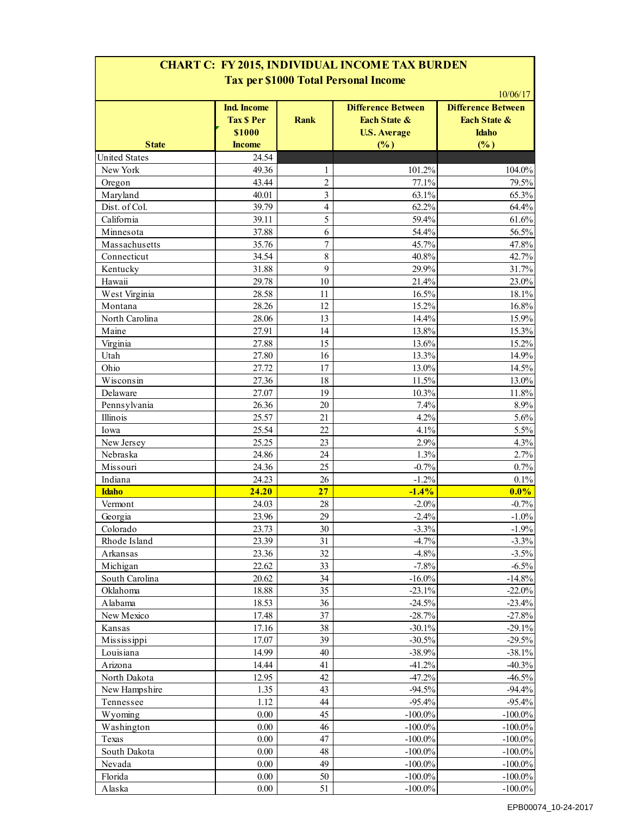### **CHART C: FY 2015, INDIVIDUAL INCOME TAX BURDEN Tax per \$1000 Total Personal Income**

|                             | <b>Ind. Income</b><br><b>Tax \$ Per</b><br>\$1000 | <b>Rank</b>                      | <b>Difference Between</b><br>Each State &<br><b>U.S. Average</b> | <b>Difference Between</b><br>Each State &<br><b>Idaho</b> |
|-----------------------------|---------------------------------------------------|----------------------------------|------------------------------------------------------------------|-----------------------------------------------------------|
| <b>State</b>                | <b>Income</b>                                     |                                  | (%)                                                              | (%)                                                       |
| <b>United States</b>        | 24.54                                             |                                  |                                                                  |                                                           |
| New York                    | 49.36                                             | $\mathbf{1}$                     | 101.2%                                                           | 104.0%                                                    |
| Oregon                      | 43.44                                             | $\overline{c}$<br>$\overline{3}$ | 77.1%<br>63.1%                                                   | 79.5%<br>65.3%                                            |
| Maryland                    | 40.01<br>39.79                                    | $\overline{4}$                   | 62.2%                                                            | 64.4%                                                     |
| Dist. of Col.<br>California | 39.11                                             | 5                                | 59.4%                                                            | 61.6%                                                     |
| Minnesota                   | 37.88                                             | 6                                | 54.4%                                                            | 56.5%                                                     |
| Massachusetts               | 35.76                                             | $\overline{7}$                   | 45.7%                                                            | 47.8%                                                     |
| Connecticut                 | 34.54                                             | 8                                | 40.8%                                                            | 42.7%                                                     |
| Kentucky                    | 31.88                                             | 9                                | 29.9%                                                            | 31.7%                                                     |
| Hawaii                      | 29.78                                             | 10                               | 21.4%                                                            | 23.0%                                                     |
| West Virginia               | 28.58                                             | 11                               | 16.5%                                                            | 18.1%                                                     |
| Montana                     | 28.26                                             | 12                               | 15.2%                                                            | 16.8%                                                     |
| North Carolina              | 28.06                                             | 13                               | 14.4%                                                            | 15.9%                                                     |
| Maine                       | 27.91                                             | 14                               | 13.8%                                                            | 15.3%                                                     |
| Virginia                    | 27.88                                             | 15                               | 13.6%                                                            | 15.2%                                                     |
| Utah                        | 27.80                                             | 16                               | 13.3%                                                            | 14.9%                                                     |
| Ohio                        | 27.72                                             | 17                               | 13.0%                                                            | 14.5%                                                     |
| Wisconsin                   | 27.36                                             | 18                               | 11.5%                                                            | 13.0%                                                     |
| Delaware                    | 27.07                                             | 19                               | 10.3%                                                            | 11.8%                                                     |
| Pennsylvania                | 26.36                                             | 20                               | 7.4%                                                             | 8.9%                                                      |
| Illinois                    | 25.57                                             | 21                               | 4.2%                                                             | 5.6%                                                      |
| Iowa                        | 25.54                                             | 22                               | 4.1%                                                             | 5.5%                                                      |
| New Jersey                  | 25.25                                             | 23                               | 2.9%                                                             | 4.3%                                                      |
| Nebraska                    | 24.86                                             | 24                               | 1.3%                                                             | 2.7%                                                      |
| Missouri                    | 24.36                                             | 25                               | $-0.7%$                                                          | 0.7%                                                      |
| Indiana                     | 24.23                                             | 26                               | $-1.2%$                                                          | 0.1%                                                      |
| <b>Idaho</b>                | 24.20                                             | 27                               | $-1.4%$                                                          | $0.0\%$                                                   |
| Vermont                     | 24.03                                             | 28                               | $-2.0%$                                                          | $-0.7%$                                                   |
| Georgia                     | 23.96                                             | 29                               | $-2.4%$                                                          | $-1.0%$                                                   |
| Colorado                    | 23.73                                             | 30 <sup>°</sup>                  | $-3.3%$                                                          | $-1.9%$                                                   |
| Rhode Island                | 23.39                                             | 31                               | $-4.7%$                                                          | $-3.3%$                                                   |
| Arkansas                    | 23.36                                             | 32                               | $-4.8%$                                                          | $-3.5%$                                                   |
| Michigan                    | 22.62                                             | 33                               | $-7.8%$                                                          | $-6.5%$                                                   |
| South Carolina              | 20.62                                             | 34                               | $-16.0\%$                                                        | $-14.8%$                                                  |
| Oklahoma                    | 18.88                                             | 35                               | $-23.1%$                                                         | $-22.0%$                                                  |
| Alabama                     | 18.53                                             | 36                               | $-24.5%$                                                         | $-23.4%$                                                  |
| New Mexico                  | 17.48                                             | 37                               | $-28.7%$                                                         | $-27.8%$                                                  |
| Kansas                      | 17.16                                             | 38                               | $-30.1%$                                                         | $-29.1%$                                                  |
| Mississippi                 | 17.07                                             | 39                               | $-30.5%$                                                         | $-29.5%$                                                  |
| Louisiana                   | 14.99                                             | 40                               | $-38.9%$                                                         | $-38.1%$                                                  |
| Arizona                     | 14.44                                             | 41                               | $-41.2%$                                                         | $-40.3%$                                                  |
| North Dakota                | 12.95                                             | 42                               | $-47.2%$                                                         | $-46.5%$                                                  |
| New Hampshire               | 1.35                                              | 43                               | $-94.5%$                                                         | $-94.4%$                                                  |
| Tennessee                   | 1.12                                              | 44                               | $-95.4%$                                                         | $-95.4%$                                                  |
| Wyoming                     | 0.00                                              | 45                               | $-100.0\%$                                                       | $-100.0\%$                                                |
| Washington                  | 0.00                                              | 46                               | $-100.0\%$                                                       | $-100.0\%$                                                |
| Texas                       | 0.00                                              | 47                               | $-100.0\%$                                                       | $-100.0\%$                                                |
| South Dakota                | 0.00                                              | 48                               | $-100.0\%$                                                       | $-100.0\%$                                                |
| Nevada                      | 0.00                                              | 49                               | $-100.0\%$                                                       | $-100.0\%$                                                |
| Florida                     | 0.00                                              | 50                               | $-100.0\%$                                                       | $-100.0\%$                                                |
| Alaska                      | 0.00                                              | 51                               | $-100.0\%$                                                       | $-100.0\%$                                                |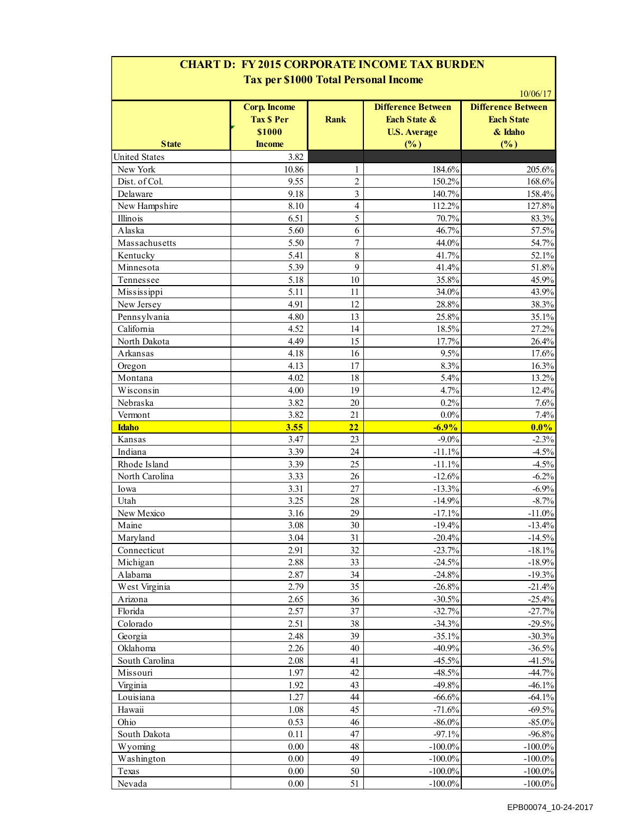### **CHART D: FY 2015 CORPORATE INCOME TAX BURDEN Tax per \$1000 Total Personal Income**

| <b>State</b>         | <b>Corp. Income</b><br><b>Tax \$ Per</b><br>\$1000<br><b>Income</b> | <b>Rank</b>      | <b>Difference Between</b><br>Each State &<br><b>U.S. Average</b><br>(%) | <b>Difference Between</b><br><b>Each State</b><br>& Idaho<br>(%) |
|----------------------|---------------------------------------------------------------------|------------------|-------------------------------------------------------------------------|------------------------------------------------------------------|
| <b>United States</b> | 3.82                                                                |                  |                                                                         |                                                                  |
| New York             | 10.86                                                               | 1                | 184.6%                                                                  | 205.6%                                                           |
| Dist. of Col.        | 9.55                                                                | $\overline{c}$   | 150.2%                                                                  | 168.6%                                                           |
| Delaware             | 9.18                                                                | 3                | 140.7%                                                                  | 158.4%                                                           |
| New Hampshire        | 8.10                                                                | 4                | 112.2%                                                                  | 127.8%                                                           |
| Illinois             | 6.51                                                                | 5                | 70.7%                                                                   | 83.3%                                                            |
| Alaska               | 5.60                                                                | 6                | 46.7%                                                                   | 57.5%                                                            |
| Massachusetts        | 5.50                                                                | $\boldsymbol{7}$ | 44.0%                                                                   | 54.7%                                                            |
| Kentucky             | 5.41                                                                | 8                | 41.7%                                                                   | 52.1%                                                            |
| Minnesota            | 5.39                                                                | 9                | 41.4%                                                                   | 51.8%                                                            |
| Tennessee            | 5.18                                                                | 10               | 35.8%                                                                   | 45.9%                                                            |
| Mississippi          | 5.11                                                                | 11               | 34.0%                                                                   | 43.9%                                                            |
| New Jersey           | 4.91                                                                | 12               | 28.8%                                                                   | 38.3%                                                            |
| Pennsylvania         | 4.80                                                                | 13               | 25.8%                                                                   | 35.1%                                                            |
| California           | 4.52                                                                | 14               | 18.5%                                                                   | 27.2%                                                            |
| North Dakota         | 4.49                                                                | 15               | 17.7%                                                                   | 26.4%                                                            |
| Arkansas             | 4.18                                                                | 16               | 9.5%                                                                    | 17.6%                                                            |
| Oregon               | 4.13                                                                | 17               | 8.3%                                                                    | 16.3%                                                            |
| Montana              | 4.02                                                                | 18               | 5.4%                                                                    | 13.2%                                                            |
| Wisconsin            | 4.00                                                                | 19               | 4.7%                                                                    | 12.4%                                                            |
| Nebraska             | 3.82                                                                | 20               | 0.2%                                                                    | 7.6%                                                             |
| Vermont              | 3.82                                                                | 21               | $0.0\%$                                                                 | 7.4%                                                             |
| <b>Idaho</b>         | 3.55                                                                | 22               | $-6.9%$                                                                 | 0.0%                                                             |
| Kansas               | 3.47                                                                | 23               | $-9.0\%$                                                                | $-2.3%$                                                          |
| Indiana              | 3.39                                                                | 24               | $-11.1%$                                                                | $-4.5%$                                                          |
| Rhode Island         | 3.39                                                                | 25               | $-11.1%$                                                                | $-4.5%$                                                          |
| North Carolina       | 3.33                                                                | 26               | $-12.6%$                                                                | $-6.2%$                                                          |
| Iowa                 | 3.31                                                                | 27               | $-13.3%$                                                                | $-6.9%$                                                          |
| Utah                 | 3.25                                                                | 28               | $-14.9%$                                                                | $-8.7%$                                                          |
| New Mexico           | 3.16                                                                | 29               | $-17.1%$                                                                | $-11.0%$                                                         |
| Maine                | 3.08                                                                | 30               | $-19.4%$                                                                | $-13.4%$                                                         |
| Maryland             | 3.04                                                                | 31               | $-20.4%$                                                                | $-14.5%$                                                         |
| Connecticut          | 2.91                                                                | 32               | $-23.7%$                                                                | $-18.1%$                                                         |
| Michigan             | 2.88                                                                | 33               | $-24.5%$                                                                | $-18.9%$                                                         |
| Alabama              | 2.87                                                                | 34               | $-24.8%$                                                                | $-19.3%$                                                         |
| West Virginia        | 2.79                                                                | 35               | $-26.8%$                                                                | $-21.4%$                                                         |
| Arizona              | 2.65                                                                | 36               | $-30.5%$                                                                | $-25.4%$                                                         |
| Florida              | 2.57                                                                | 37               | $-32.7%$                                                                | $-27.7%$                                                         |
| Colorado             | 2.51                                                                | 38               | $-34.3%$                                                                | $-29.5%$                                                         |
| Georgia              | 2.48                                                                | 39               | $-35.1%$                                                                | $-30.3%$                                                         |
| Oklahoma             | 2.26                                                                | 40               | $-40.9%$                                                                | $-36.5%$                                                         |
| South Carolina       | 2.08                                                                | 41               | $-45.5%$                                                                | $-41.5%$                                                         |
| Missouri             | 1.97                                                                | 42               | $-48.5%$                                                                | $-44.7%$                                                         |
| Virginia             | 1.92                                                                | 43               | $-49.8%$                                                                | $-46.1%$                                                         |
| Louisiana            | 1.27                                                                | 44               | $-66.6%$                                                                | $-64.1%$                                                         |
| Hawaii               | 1.08                                                                | 45               | $-71.6%$                                                                | $-69.5%$                                                         |
| Ohio                 | 0.53                                                                | 46               | $-86.0\%$                                                               | $-85.0\%$                                                        |
| South Dakota         | 0.11                                                                | 47               | $-97.1%$                                                                | $-96.8%$                                                         |
| Wyoming              | 0.00                                                                | 48               | $-100.0\%$                                                              |                                                                  |
| Washington           | 0.00                                                                | 49               | $-100.0\%$                                                              | $-100.0\%$<br>$-100.0\%$                                         |
|                      | 0.00                                                                | 50               | $-100.0\%$                                                              | $-100.0\%$                                                       |
| Texas                | $0.00\,$                                                            | 51               | $-100.0\%$                                                              | $-100.0\%$                                                       |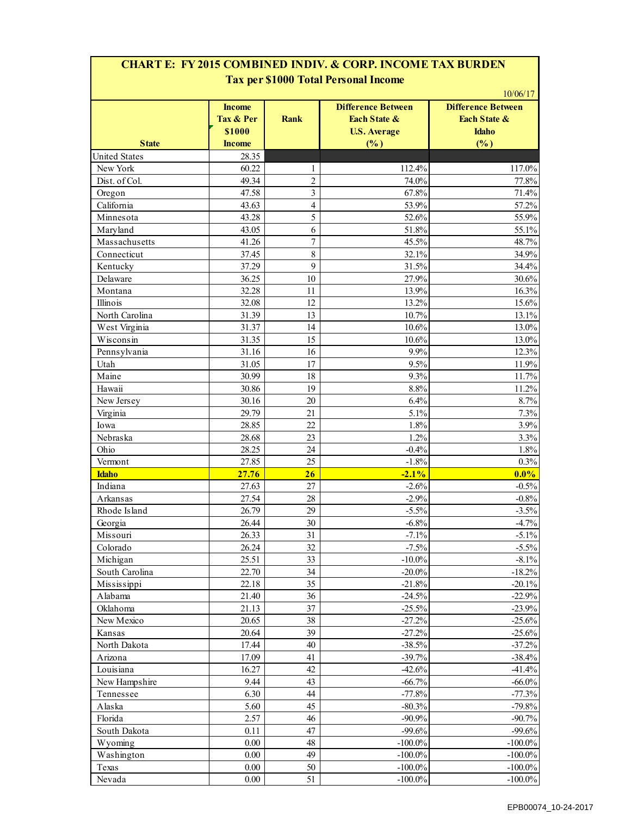### **CHART E: FY 2015 COMBINED INDIV. & CORP. INCOME TAX BURDEN Tax per \$1000 Total Personal Income**

|                      | <b>Income</b><br>Tax & Per<br>\$1000 | <b>Rank</b>    | <b>Difference Between</b><br><b>Each State &amp;</b><br><b>U.S. Average</b> | <b>Difference Between</b><br><b>Each State &amp;</b><br><b>Idaho</b> |
|----------------------|--------------------------------------|----------------|-----------------------------------------------------------------------------|----------------------------------------------------------------------|
| <b>State</b>         | <b>Income</b>                        |                | $\frac{\left( \frac{0}{0} \right)}{\left( \frac{0}{0} \right)}$             | (%)                                                                  |
| <b>United States</b> | 28.35                                |                |                                                                             |                                                                      |
| New York             | 60.22                                | 1              | 112.4%                                                                      | 117.0%                                                               |
| Dist. of Col.        | 49.34                                | $\overline{c}$ | 74.0%                                                                       | 77.8%                                                                |
| Oregon               | 47.58                                | $\overline{3}$ | 67.8%                                                                       | 71.4%                                                                |
| California           | 43.63                                | $\overline{4}$ | 53.9%                                                                       | 57.2%                                                                |
| Minnesota            | 43.28                                | 5              | 52.6%                                                                       | 55.9%                                                                |
| Maryland             | 43.05                                | 6              | 51.8%                                                                       | 55.1%                                                                |
| Massachusetts        | 41.26                                | $\overline{7}$ | 45.5%                                                                       | 48.7%                                                                |
| Connecticut          | 37.45                                | 8              | 32.1%                                                                       | 34.9%                                                                |
| Kentucky             | 37.29                                | 9              | 31.5%                                                                       | 34.4%                                                                |
| Delaware             | 36.25                                | 10             | 27.9%                                                                       | 30.6%                                                                |
| Montana              | 32.28                                | 11             | 13.9%                                                                       | 16.3%                                                                |
| Illinois             | 32.08                                | 12             | 13.2%                                                                       | 15.6%                                                                |
| North Carolina       | 31.39                                | 13             | 10.7%                                                                       | 13.1%                                                                |
| West Virginia        | 31.37                                | 14             | 10.6%                                                                       | 13.0%                                                                |
| Wisconsin            | 31.35                                | 15             | 10.6%                                                                       | 13.0%                                                                |
| Pennsylvania         | 31.16                                | 16             | 9.9%                                                                        | 12.3%                                                                |
| Utah                 | 31.05                                | 17             | 9.5%                                                                        | 11.9%                                                                |
| Maine                | 30.99                                | 18             | 9.3%                                                                        | 11.7%                                                                |
| Hawaii               | 30.86                                | 19             | 8.8%                                                                        | 11.2%                                                                |
| New Jersey           |                                      | 20             | 6.4%                                                                        | 8.7%                                                                 |
|                      | 30.16                                | 21             |                                                                             |                                                                      |
| Virginia             | 29.79                                |                | 5.1%                                                                        | 7.3%                                                                 |
| Iowa                 | 28.85                                | 22             | 1.8%                                                                        | 3.9%                                                                 |
| Nebraska             | 28.68                                | 23             | 1.2%                                                                        | 3.3%                                                                 |
| Ohio                 | 28.25                                | 24             | $-0.4%$                                                                     | 1.8%                                                                 |
| Vermont              | 27.85                                | 25             | $-1.8%$                                                                     | 0.3%                                                                 |
| <b>Idaho</b>         | 27.76                                | 26             | $-2.1%$                                                                     | $0.0\%$                                                              |
| Indiana              | 27.63                                | 27             | $-2.6%$                                                                     | $-0.5%$                                                              |
| Arkansas             | 27.54                                | 28             | $-2.9%$                                                                     | $-0.8%$                                                              |
| Rhode Island         | 26.79                                | 29             | $-5.5%$                                                                     | $-3.5%$                                                              |
| Georgia              | 26.44                                | 30             | $-6.8%$                                                                     | $-4.7%$                                                              |
| Missouri             | 26.33                                | 31             | $-7.1%$                                                                     | $-5.1%$                                                              |
| Colorado             | 26.24                                | 32             | $-7.5%$                                                                     | $-5.5%$                                                              |
| Michigan             | 25.51                                | 33             | $-10.0\%$                                                                   | $-8.1%$                                                              |
| South Carolina       | 22.70                                | 34             | $-20.0\%$                                                                   | $-18.2%$                                                             |
| Mississippi          | 22.18                                | 35             | $-21.8%$                                                                    | $-20.1%$                                                             |
| Alabama              | 21.40                                | 36             | $-24.5%$                                                                    | $-22.9%$                                                             |
| Oklahoma             | 21.13                                | 37             | $-25.5%$                                                                    | $-23.9%$                                                             |
| New Mexico           | 20.65                                | 38             | $-27.2%$                                                                    | $-25.6%$                                                             |
| Kansas               | 20.64                                | 39             | $-27.2%$                                                                    | $-25.6%$                                                             |
| North Dakota         | 17.44                                | 40             | $-38.5%$                                                                    | $-37.2%$                                                             |
| Arizona              | 17.09                                | 41             | $-39.7%$                                                                    | $-38.4%$                                                             |
| Louisiana            | 16.27                                | 42             | $-42.6%$                                                                    | $-41.4%$                                                             |
| New Hampshire        | 9.44                                 | 43             | $-66.7\%$                                                                   | $-66.0\%$                                                            |
| Tennessee            | 6.30                                 | 44             | $-77.8%$                                                                    | $-77.3%$                                                             |
| Alaska               | 5.60                                 | 45             | $-80.3%$                                                                    | $-79.8%$                                                             |
| Florida              | 2.57                                 | 46             | $-90.9%$                                                                    | $-90.7\%$                                                            |
| South Dakota         | 0.11                                 | 47             | $-99.6%$                                                                    | $-99.6%$                                                             |
| Wyoming              | 0.00                                 | 48             | $-100.0\%$                                                                  | $-100.0\%$                                                           |
| Washington           | 0.00                                 | 49             | $-100.0\%$                                                                  | $-100.0\%$                                                           |
| Texas                | 0.00                                 | 50             | $-100.0\%$                                                                  | $-100.0\%$                                                           |
| Nevada               | 0.00                                 | 51             | $-100.0\%$                                                                  | $-100.0\%$                                                           |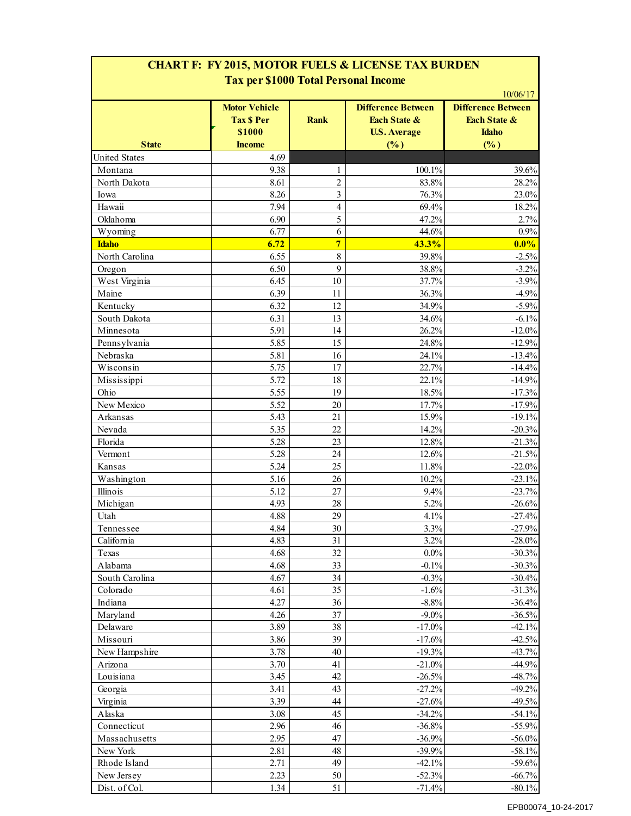| <b>State</b>         | <b>Motor Vehicle</b><br><b>Tax \$ Per</b><br>\$1000<br><b>Income</b> | <b>Rank</b>             | <b>Difference Between</b><br>Each State &<br><b>U.S. Average</b><br>(%) | <b>Difference Between</b><br>Each State &<br><b>Idaho</b><br>(%) |
|----------------------|----------------------------------------------------------------------|-------------------------|-------------------------------------------------------------------------|------------------------------------------------------------------|
| <b>United States</b> | 4.69                                                                 |                         |                                                                         |                                                                  |
| Montana              | 9.38                                                                 | 1                       | 100.1%                                                                  | 39.6%                                                            |
| North Dakota         | 8.61                                                                 | $\overline{c}$          | 83.8%                                                                   | 28.2%                                                            |
| Iowa                 | 8.26                                                                 | $\overline{\mathbf{3}}$ | 76.3%                                                                   | 23.0%                                                            |
| Hawaii               | 7.94                                                                 | $\overline{4}$          | 69.4%                                                                   | 18.2%                                                            |
| Oklahoma             | 6.90                                                                 | 5                       | 47.2%                                                                   | 2.7%                                                             |
| Wyoming              | 6.77                                                                 | 6                       | 44.6%                                                                   | 0.9%                                                             |
| <b>Idaho</b>         | 6.72                                                                 | $\overline{7}$          | 43.3%                                                                   | 0.0%                                                             |
| North Carolina       | 6.55                                                                 | 8                       | 39.8%                                                                   | $-2.5%$                                                          |
| Oregon               | 6.50                                                                 | 9                       | 38.8%                                                                   | $-3.2%$                                                          |
| West Virginia        | 6.45                                                                 | 10                      | 37.7%                                                                   | $-3.9%$                                                          |
| Maine                | 6.39                                                                 | 11                      | 36.3%                                                                   | $-4.9%$                                                          |
| Kentucky             | 6.32                                                                 | 12                      | 34.9%                                                                   | $-5.9%$                                                          |
| South Dakota         | 6.31                                                                 | 13                      | 34.6%                                                                   | $-6.1%$                                                          |
| Minnesota            | 5.91                                                                 | 14                      | 26.2%                                                                   | $-12.0%$                                                         |
| Pennsylvania         | 5.85                                                                 | 15                      | 24.8%                                                                   | $-12.9%$                                                         |
| Nebraska             | 5.81                                                                 | 16                      | 24.1%                                                                   | $-13.4%$                                                         |
| Wisconsin            | 5.75                                                                 | 17                      | 22.7%                                                                   | $-14.4%$                                                         |
| Mississippi          | 5.72                                                                 | 18                      | 22.1%                                                                   | $-14.9%$                                                         |
| Ohio                 | 5.55                                                                 | 19                      | 18.5%                                                                   | $-17.3%$                                                         |
| New Mexico           | 5.52                                                                 | 20                      | 17.7%                                                                   | $-17.9%$                                                         |
| Arkansas             | 5.43                                                                 | 21                      | 15.9%                                                                   | $-19.1%$                                                         |
| Nevada               | 5.35                                                                 | 22                      | 14.2%                                                                   | $-20.3%$                                                         |
| Florida              | 5.28                                                                 | 23                      | 12.8%                                                                   | $-21.3%$                                                         |
| Vermont              | 5.28                                                                 | 24                      | 12.6%                                                                   | $-21.5%$                                                         |
| Kansas               | 5.24                                                                 | 25                      | 11.8%                                                                   | $-22.0%$                                                         |
| Washington           | 5.16                                                                 | 26                      | 10.2%                                                                   | $-23.1%$                                                         |
| Illinois             | 5.12                                                                 | 27                      | 9.4%                                                                    | $-23.7%$                                                         |
| Michigan             | 4.93                                                                 | 28                      | 5.2%                                                                    | $-26.6%$                                                         |
| Utah                 | 4.88                                                                 | 29                      | 4.1%                                                                    | $-27.4%$                                                         |
| Tennessee            | 4.84                                                                 | $30\,$                  | 3.3%                                                                    | $-27.9%$                                                         |
| California           | 4.83                                                                 | 31                      | 3.2%                                                                    | $-28.0\%$                                                        |
| Texas                | 4.68                                                                 | 32                      | $0.0\%$                                                                 | $-30.3%$                                                         |
| Alabama              | 4.68                                                                 | 33                      | $-0.1%$                                                                 | $-30.3%$                                                         |
| South Carolina       | 4.67                                                                 | 34                      | $-0.3%$                                                                 | $-30.4%$                                                         |
| Colorado             | 4.61                                                                 | 35                      | $-1.6%$                                                                 | $-31.3%$                                                         |
| Indiana              | 4.27                                                                 | 36                      | $-8.8%$                                                                 | $-36.4%$                                                         |
| Maryland             | 4.26                                                                 | 37                      | $-9.0\%$                                                                | $-36.5%$                                                         |
| Delaware             | 3.89                                                                 | 38                      | $-17.0\%$                                                               | $-42.1%$                                                         |
| Missouri             | 3.86                                                                 | 39                      | $-17.6%$                                                                | $-42.5%$                                                         |
| New Hampshire        | 3.78                                                                 | 40                      | $-19.3%$                                                                | $-43.7%$                                                         |
| Arizona              | 3.70                                                                 | 41                      | $-21.0%$                                                                | $-44.9%$                                                         |
| Louisiana            | 3.45                                                                 | 42                      | $-26.5%$                                                                | $-48.7%$                                                         |
| Georgia              | 3.41                                                                 | 43                      | $-27.2%$                                                                | $-49.2%$                                                         |
| Virginia             | 3.39                                                                 | 44                      | $-27.6%$                                                                | $-49.5%$                                                         |
| Alaska               | 3.08                                                                 | 45                      | $-34.2%$                                                                | $-54.1%$                                                         |
| Connecticut          | 2.96                                                                 | 46                      | $-36.8%$                                                                | $-55.9%$                                                         |
| Massachusetts        | 2.95                                                                 | 47                      | $-36.9%$                                                                | $-56.0\%$                                                        |
| New York             | 2.81                                                                 | 48                      | $-39.9%$                                                                | $-58.1%$                                                         |
| Rhode Island         | 2.71                                                                 | 49                      | $-42.1%$                                                                | $-59.6%$                                                         |
| New Jersey           | 2.23                                                                 | 50                      | $-52.3%$                                                                | $-66.7%$                                                         |
| Dist. of Col.        | 1.34                                                                 | 51                      | $-71.4%$                                                                | $-80.1%$                                                         |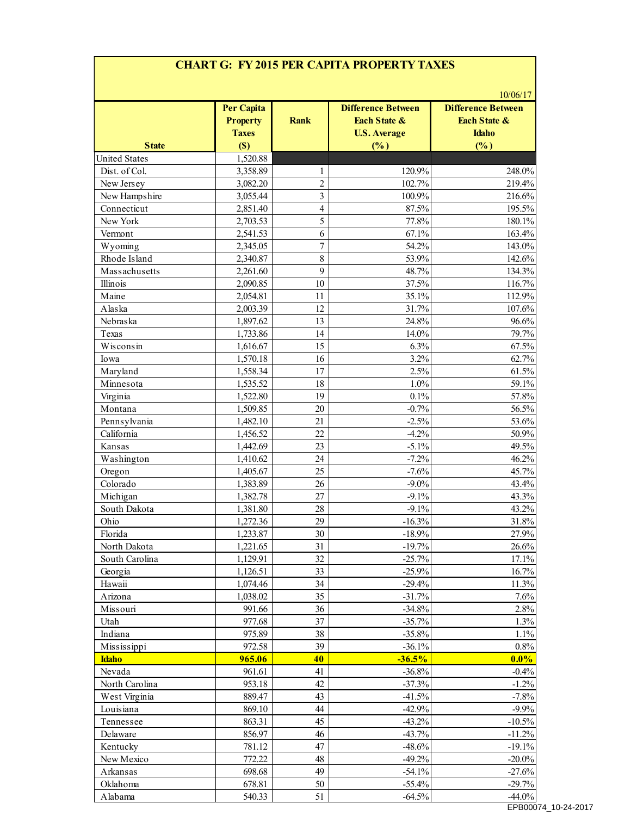# **CHART G: FY 2015 PER CAPITA PROPERTY TAXES**

| <b>State</b>         | <b>Per Capita</b><br><b>Property</b><br><b>Taxes</b><br>(S) | <b>Rank</b>      | <b>Difference Between</b><br><b>Each State &amp;</b><br><b>U.S. Average</b><br>(%) | <b>Difference Between</b><br><b>Each State &amp;</b><br><b>Idaho</b><br>(%) |
|----------------------|-------------------------------------------------------------|------------------|------------------------------------------------------------------------------------|-----------------------------------------------------------------------------|
| <b>United States</b> | 1,520.88                                                    |                  |                                                                                    |                                                                             |
| Dist. of Col.        | 3,358.89                                                    | 1                | 120.9%                                                                             | 248.0%                                                                      |
| New Jersey           | 3,082.20                                                    | $\overline{2}$   | 102.7%                                                                             | 219.4%                                                                      |
| New Hampshire        | 3,055.44                                                    | $\overline{3}$   | 100.9%                                                                             | 216.6%                                                                      |
| Connecticut          | 2,851.40                                                    | $\overline{4}$   | 87.5%                                                                              | 195.5%                                                                      |
| New York             | 2,703.53                                                    | 5                | 77.8%                                                                              | 180.1%                                                                      |
| Vermont              | 2,541.53                                                    | 6                | 67.1%                                                                              | 163.4%                                                                      |
| Wyoming              | 2,345.05                                                    | $\boldsymbol{7}$ | 54.2%                                                                              | 143.0%                                                                      |
| Rhode Island         | 2,340.87                                                    | $\,8\,$          | 53.9%                                                                              | 142.6%                                                                      |
| Massachusetts        | 2,261.60                                                    | 9                | 48.7%                                                                              | 134.3%                                                                      |
| Illinois             | 2,090.85                                                    | 10               | 37.5%                                                                              | 116.7%                                                                      |
| Maine                | 2,054.81                                                    | 11               | 35.1%                                                                              | 112.9%                                                                      |
| Alaska               | 2,003.39                                                    | 12               | 31.7%                                                                              | 107.6%                                                                      |
| Nebraska             | 1,897.62                                                    | 13               | 24.8%                                                                              | 96.6%                                                                       |
| Texas                | 1,733.86                                                    | 14               | 14.0%                                                                              | 79.7%                                                                       |
| Wisconsin            | 1,616.67                                                    | 15               | 6.3%                                                                               | 67.5%                                                                       |
| Iowa                 | 1,570.18                                                    | 16               | 3.2%                                                                               | 62.7%                                                                       |
| Maryland             | 1,558.34                                                    | 17               | 2.5%                                                                               | 61.5%                                                                       |
| Minnesota            | 1,535.52                                                    | 18               | 1.0%                                                                               | 59.1%                                                                       |
| Virginia             | 1,522.80                                                    | 19               | 0.1%                                                                               | 57.8%                                                                       |
| Montana              | 1,509.85                                                    | 20               | $-0.7%$                                                                            | 56.5%                                                                       |
| Pennsylvania         | 1,482.10                                                    | 21               | $-2.5%$                                                                            | 53.6%                                                                       |
| California           | 1,456.52                                                    | 22               | $-4.2%$                                                                            | 50.9%                                                                       |
| Kansas               | 1,442.69                                                    | 23               | $-5.1%$                                                                            | 49.5%                                                                       |
| Washington           | 1,410.62                                                    | 24               | $-7.2%$                                                                            | 46.2%                                                                       |
| Oregon               | 1,405.67                                                    | 25               | $-7.6%$                                                                            | 45.7%                                                                       |
| Colorado             | 1,383.89                                                    | 26               | $-9.0\%$                                                                           | 43.4%                                                                       |
| Michigan             | 1,382.78                                                    | 27               | $-9.1%$                                                                            | 43.3%                                                                       |
| South Dakota         | 1,381.80                                                    | 28               | $-9.1%$                                                                            | 43.2%                                                                       |
| Ohio                 | 1,272.36                                                    | 29               | $-16.3%$                                                                           | 31.8%                                                                       |
| Florida              | 1,233.87                                                    | 30               | $-18.9%$                                                                           | 27.9%                                                                       |
| North Dakota         | 1,221.65                                                    | 31               | $-19.7%$                                                                           | 26.6%                                                                       |
| South Carolina       | 1,129.91                                                    | 32               | $-25.7%$                                                                           | 17.1%                                                                       |
| Georgia              | 1,126.51                                                    | 33               | $-25.9%$                                                                           | 16.7%                                                                       |
| Hawaii               | 1,074.46                                                    | 34               | $-29.4%$                                                                           | 11.3%                                                                       |
| Arizona              | 1,038.02                                                    | 35               | $-31.7%$                                                                           | 7.6%                                                                        |
| Missouri             | 991.66                                                      | 36               | $-34.8%$                                                                           | 2.8%                                                                        |
| Utah                 | 977.68                                                      | 37               | $-35.7%$                                                                           | 1.3%                                                                        |
| Indiana              | 975.89                                                      | 38               | $-35.8%$                                                                           | 1.1%                                                                        |
| Mississippi          | 972.58                                                      | 39               | $-36.1%$                                                                           | $0.8\%$                                                                     |
| <b>Idaho</b>         | 965.06                                                      | 40               | $-36.5%$                                                                           | $0.0\%$                                                                     |
| Nevada               | 961.61                                                      | 41               | $-36.8%$                                                                           | $-0.4%$                                                                     |
| North Carolina       | 953.18                                                      | 42               | $-37.3%$                                                                           | $-1.2%$                                                                     |
| West Virginia        | 889.47                                                      | 43               | $-41.5%$                                                                           | $-7.8%$                                                                     |
| Louisiana            | 869.10                                                      | 44               | $-42.9%$                                                                           | $-9.9%$                                                                     |
| Tennessee            | 863.31                                                      | 45               | $-43.2%$                                                                           | $-10.5%$                                                                    |
| Delaware             | 856.97                                                      | 46               | $-43.7%$                                                                           | $-11.2%$                                                                    |
| Kentucky             | 781.12                                                      | 47               | $-48.6%$                                                                           | $-19.1%$                                                                    |
| New Mexico           | 772.22                                                      | 48               | $-49.2%$                                                                           | $-20.0\%$                                                                   |
| Arkansas             | 698.68                                                      | 49               | $-54.1%$                                                                           | $-27.6%$                                                                    |
| Oklahoma             | 678.81                                                      | 50               | $-55.4%$                                                                           | $-29.7%$                                                                    |
| Alabama              | 540.33                                                      | 51               | $-64.5%$                                                                           | $-44.0%$                                                                    |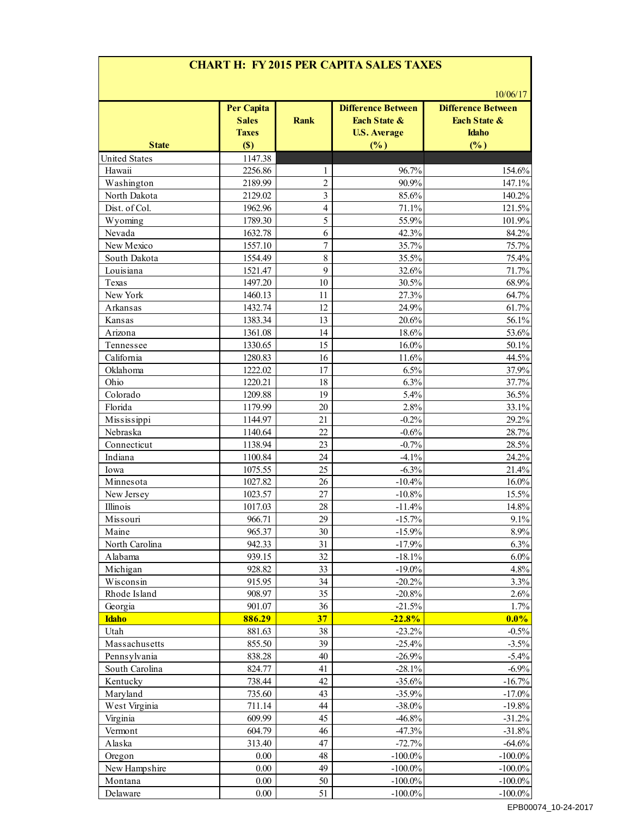# **CHART H: FY 2015 PER CAPITA SALES TAXES**

| <b>State</b>         | <b>Per Capita</b><br><b>Sales</b><br><b>Taxes</b><br>(S) | Rank           | <b>Difference Between</b><br>Each State &<br><b>U.S. Average</b><br>(%) | <b>Difference Between</b><br>Each State &<br><b>Idaho</b><br>(%) |
|----------------------|----------------------------------------------------------|----------------|-------------------------------------------------------------------------|------------------------------------------------------------------|
| <b>United States</b> | 1147.38                                                  |                |                                                                         |                                                                  |
| Hawaii               | 2256.86                                                  | 1              | 96.7%                                                                   | 154.6%                                                           |
| Washington           | 2189.99                                                  | $\overline{2}$ | 90.9%                                                                   | 147.1%                                                           |
| North Dakota         | 2129.02                                                  | $\overline{3}$ | 85.6%                                                                   | 140.2%                                                           |
| Dist. of Col.        | 1962.96                                                  | $\overline{4}$ | 71.1%                                                                   | 121.5%                                                           |
| Wyoming              | 1789.30                                                  | 5              | 55.9%                                                                   | 101.9%                                                           |
| Nevada               | 1632.78                                                  | 6              | 42.3%                                                                   | 84.2%                                                            |
| New Mexico           | 1557.10                                                  | $\overline{7}$ | 35.7%                                                                   | 75.7%                                                            |
| South Dakota         | 1554.49                                                  | $\,8\,$        | 35.5%                                                                   | 75.4%                                                            |
| Louisiana            | 1521.47                                                  | 9              | 32.6%                                                                   | 71.7%                                                            |
| Texas                | 1497.20                                                  | 10             | 30.5%                                                                   | 68.9%                                                            |
| New York             | 1460.13                                                  | 11             | 27.3%                                                                   | 64.7%                                                            |
| Arkansas             | 1432.74                                                  | 12             | 24.9%                                                                   | 61.7%                                                            |
| Kansas               | 1383.34                                                  | 13             | 20.6%                                                                   | 56.1%                                                            |
| Arizona              | 1361.08                                                  | 14             | 18.6%                                                                   | 53.6%                                                            |
| Tennessee            | 1330.65                                                  | 15             | 16.0%                                                                   | 50.1%                                                            |
| California           | 1280.83                                                  | 16             | 11.6%                                                                   | 44.5%                                                            |
| Oklahoma             | 1222.02                                                  | 17             | 6.5%                                                                    | 37.9%                                                            |
| Ohio                 | 1220.21                                                  | 18             | 6.3%                                                                    | 37.7%                                                            |
| Colorado             | 1209.88                                                  | 19             | 5.4%                                                                    | 36.5%                                                            |
| Florida              | 1179.99                                                  | 20             | 2.8%                                                                    | 33.1%                                                            |
| Mississippi          | 1144.97                                                  | 21             | $-0.2%$                                                                 | 29.2%                                                            |
| Nebraska             | 1140.64                                                  | 22             | $-0.6%$                                                                 | 28.7%                                                            |
| Connecticut          | 1138.94                                                  | 23             | $-0.7%$                                                                 | 28.5%                                                            |
| Indiana              | 1100.84                                                  | 24             | $-4.1%$                                                                 | 24.2%                                                            |
| Iowa                 | 1075.55                                                  | 25             | $-6.3%$                                                                 | 21.4%                                                            |
| Minnesota            | 1027.82                                                  | 26             | $-10.4%$                                                                | 16.0%                                                            |
| New Jersey           | 1023.57                                                  | 27             | $-10.8%$                                                                | 15.5%                                                            |
| Illinois             | 1017.03                                                  | 28             | $-11.4%$                                                                | 14.8%                                                            |
| Missouri             | 966.71                                                   | 29             | $-15.7%$                                                                | 9.1%                                                             |
| Maine                | 965.37                                                   | 30             | $-15.9\%$                                                               | $8.9\%$                                                          |
| North Carolina       | 942.33                                                   | 31             | $-17.9%$                                                                | 6.3%                                                             |
| Alabama              | 939.15                                                   | 32             | $-18.1%$                                                                | 6.0%                                                             |
| Michigan             | 928.82                                                   | 33             | $-19.0\%$                                                               | 4.8%                                                             |
| Wisconsin            | 915.95                                                   | 34             | $-20.2%$                                                                | 3.3%                                                             |
| Rhode Island         | 908.97                                                   | 35             | $-20.8%$                                                                | 2.6%                                                             |
| Georgia              | 901.07                                                   | 36             | $-21.5%$                                                                | 1.7%                                                             |
| <b>Idaho</b>         | 886.29                                                   | 37             | $-22.8%$                                                                | $0.0\%$                                                          |
| Utah                 | 881.63                                                   | 38             | $-23.2%$                                                                | $-0.5%$                                                          |
| Massachusetts        | 855.50                                                   | 39             | $-25.4%$                                                                | $-3.5%$                                                          |
| Pennsylvania         | 838.28                                                   | 40             | $-26.9%$                                                                | $-5.4\%$                                                         |
| South Carolina       | 824.77                                                   | 41             | $-28.1%$                                                                | $-6.9%$                                                          |
| Kentucky             | 738.44                                                   | 42             | $-35.6%$                                                                | $-16.7%$                                                         |
| Maryland             | 735.60                                                   | 43             | $-35.9%$                                                                | $-17.0%$                                                         |
| West Virginia        | 711.14                                                   | 44             | $-38.0\%$                                                               | $-19.8%$                                                         |
| Virginia             | 609.99                                                   | 45             | $-46.8%$                                                                | $-31.2%$                                                         |
| Vermont              | 604.79                                                   | 46             | $-47.3%$                                                                | $-31.8%$                                                         |
| Alaska               | 313.40                                                   | 47             | $-72.7%$                                                                | $-64.6%$                                                         |
| Oregon               | 0.00                                                     | 48             | $-100.0\%$                                                              | $-100.0\%$                                                       |
| New Hampshire        | 0.00                                                     | 49             | $-100.0\%$                                                              | $-100.0\%$                                                       |
| Montana              | 0.00                                                     | 50             | $-100.0\%$                                                              | $-100.0\%$                                                       |
| Delaware             | 0.00                                                     | 51             | $-100.0\%$                                                              | $-100.0\%$                                                       |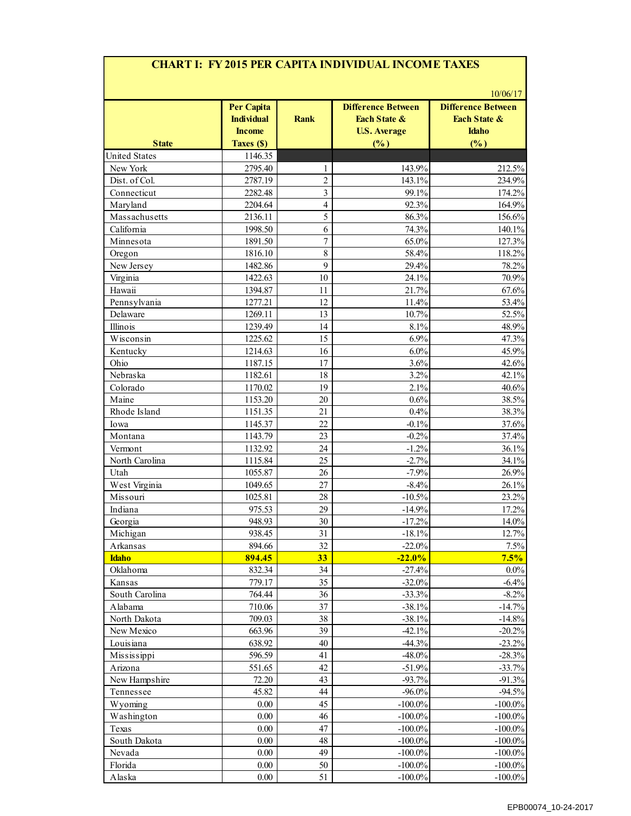### **CHART I: FY 2015 PER CAPITA INDIVIDUAL INCOME TAXES**

| <b>State</b>         | <b>Per Capita</b><br><b>Individual</b><br><b>Income</b><br>Taxes (\$) | <b>Rank</b>    | <b>Difference Between</b><br><b>Each State &amp;</b><br><b>U.S. Average</b><br>(%) | <b>Difference Between</b><br><b>Each State &amp;</b><br><b>Idaho</b><br>(%) |
|----------------------|-----------------------------------------------------------------------|----------------|------------------------------------------------------------------------------------|-----------------------------------------------------------------------------|
| <b>United States</b> | 1146.35                                                               |                |                                                                                    |                                                                             |
| New York             | 2795.40                                                               | 1              | 143.9%                                                                             | 212.5%                                                                      |
| Dist. of Col.        | 2787.19                                                               | $\overline{2}$ | 143.1%                                                                             | 234.9%                                                                      |
| Connecticut          | 2282.48                                                               | 3              | 99.1%                                                                              | 174.2%                                                                      |
| Maryland             | 2204.64                                                               | $\overline{4}$ | 92.3%                                                                              | 164.9%                                                                      |
| Massachusetts        | 2136.11                                                               | 5              | 86.3%                                                                              | 156.6%                                                                      |
| California           | 1998.50                                                               | 6              | 74.3%                                                                              | 140.1%                                                                      |
| Minnesota            | 1891.50                                                               | $\overline{7}$ | 65.0%                                                                              | 127.3%                                                                      |
|                      |                                                                       | 8              |                                                                                    |                                                                             |
| Oregon               | 1816.10                                                               | 9              | 58.4%                                                                              | 118.2%                                                                      |
| New Jersey           | 1482.86                                                               |                | 29.4%                                                                              | 78.2%                                                                       |
| Virginia             | 1422.63                                                               | 10             | 24.1%                                                                              | 70.9%                                                                       |
| Hawaii               | 1394.87                                                               | 11             | 21.7%                                                                              | 67.6%                                                                       |
| Pennsylvania         | 1277.21                                                               | 12<br>13       | 11.4%                                                                              | 53.4%                                                                       |
| Delaware             | 1269.11                                                               |                | 10.7%                                                                              | 52.5%                                                                       |
| Illinois             | 1239.49                                                               | 14             | 8.1%                                                                               | 48.9%                                                                       |
| Wisconsin            | 1225.62                                                               | 15             | 6.9%                                                                               | 47.3%                                                                       |
| Kentucky             | 1214.63                                                               | 16             | 6.0%                                                                               | 45.9%                                                                       |
| Ohio                 | 1187.15                                                               | 17             | 3.6%                                                                               | 42.6%                                                                       |
| Nebraska             | 1182.61                                                               | 18             | 3.2%                                                                               | 42.1%                                                                       |
| Colorado             | 1170.02                                                               | 19             | 2.1%                                                                               | 40.6%                                                                       |
| Maine                | 1153.20                                                               | 20             | 0.6%                                                                               | 38.5%                                                                       |
| Rhode Island         | 1151.35                                                               | 21             | 0.4%                                                                               | 38.3%                                                                       |
| Iowa                 | 1145.37                                                               | 22             | $-0.1%$                                                                            | 37.6%                                                                       |
| Montana              | 1143.79                                                               | 23             | $-0.2%$                                                                            | 37.4%                                                                       |
| Vermont              | 1132.92                                                               | 24             | $-1.2%$                                                                            | 36.1%                                                                       |
| North Carolina       | 1115.84                                                               | 25             | $-2.7%$                                                                            | 34.1%                                                                       |
| Utah                 | 1055.87                                                               | 26             | $-7.9%$                                                                            | 26.9%                                                                       |
| West Virginia        | 1049.65                                                               | 27             | $-8.4%$                                                                            | 26.1%                                                                       |
| Missouri             | 1025.81                                                               | 28             | $-10.5%$                                                                           | 23.2%                                                                       |
| Indiana              | 975.53                                                                | 29             | $-14.9%$                                                                           | 17.2%                                                                       |
| Georgia              | 948.93                                                                | 30             | $-17.2%$                                                                           | 14.0%                                                                       |
| Michigan             | 938.45                                                                | 31             | $-18.1%$                                                                           | 12.7%                                                                       |
| Arkansas             | 894.66                                                                | 32             | $-22.0%$                                                                           | 7.5%                                                                        |
| <b>Idaho</b>         | 894.45                                                                | 33             | $-22.0%$                                                                           | 7.5%                                                                        |
| Oklahoma             | 832.34                                                                | 34             | $-27.4%$                                                                           | $0.0\%$                                                                     |
| Kansas               | 779.17                                                                | 35             | $-32.0%$                                                                           | $-6.4%$                                                                     |
| South Carolina       | 764.44                                                                | 36             | $-33.3%$                                                                           | $-8.2%$                                                                     |
| Alabama              | 710.06                                                                | 37             | $-38.1%$                                                                           | $-14.7%$                                                                    |
| North Dakota         | 709.03                                                                | 38             | $-38.1%$                                                                           | $-14.8%$                                                                    |
| New Mexico           | 663.96                                                                | 39             | $-42.1%$                                                                           | $-20.2%$                                                                    |
| Louisiana            | 638.92                                                                | 40             | $-44.3%$                                                                           | $-23.2%$                                                                    |
| Mississippi          | 596.59                                                                | 41             | $-48.0\%$                                                                          | $-28.3%$                                                                    |
| Arizona              | 551.65                                                                | 42             | $-51.9%$                                                                           | $-33.7%$                                                                    |
| New Hampshire        | 72.20                                                                 | 43             | $-93.7%$                                                                           | $-91.3%$                                                                    |
| Tennessee            | 45.82                                                                 | 44             | $-96.0\%$                                                                          | $-94.5%$                                                                    |
| Wyoming              | 0.00                                                                  | 45             | $-100.0\%$                                                                         | $-100.0\%$                                                                  |
| Washington           | 0.00                                                                  | 46             | $-100.0\%$                                                                         | $-100.0\%$                                                                  |
| Texas                | 0.00                                                                  | 47             | $-100.0\%$                                                                         | $-100.0\%$                                                                  |
| South Dakota         | 0.00                                                                  | 48             | $-100.0\%$                                                                         | $-100.0\%$                                                                  |
| Nevada               | 0.00                                                                  | 49             | $-100.0\%$                                                                         | $-100.0\%$                                                                  |
| Florida              | 0.00                                                                  | 50             | $-100.0\%$                                                                         | $-100.0\%$                                                                  |
|                      |                                                                       |                |                                                                                    | $-100.0\%$                                                                  |
| Alaska               | 0.00                                                                  | 51             | $-100.0\%$                                                                         |                                                                             |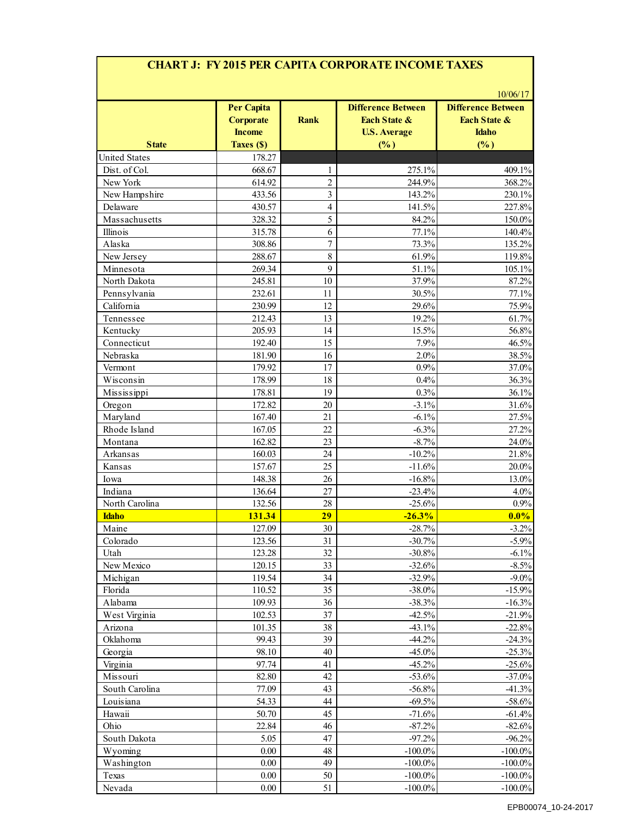### **CHART J: FY 2015 PER CAPITA CORPORATE INCOME TAXES**

| <b>State</b>         | <b>Per Capita</b><br><b>Corporate</b><br><b>Income</b><br>Taxes (\$) | <b>Rank</b>             | <b>Difference Between</b><br><b>Each State &amp;</b><br><b>U.S. Average</b><br>(%) | <b>Difference Between</b><br><b>Each State &amp;</b><br><b>Idaho</b><br>(%) |
|----------------------|----------------------------------------------------------------------|-------------------------|------------------------------------------------------------------------------------|-----------------------------------------------------------------------------|
| <b>United States</b> | 178.27                                                               |                         |                                                                                    |                                                                             |
| Dist. of Col.        | 668.67                                                               | 1                       | 275.1%                                                                             | 409.1%                                                                      |
| New York             | 614.92                                                               | $\overline{c}$          | 244.9%                                                                             | 368.2%                                                                      |
| New Hampshire        | 433.56                                                               | $\overline{\mathbf{3}}$ | 143.2%                                                                             | 230.1%                                                                      |
| Delaware             | 430.57                                                               | $\overline{4}$          | 141.5%                                                                             | 227.8%                                                                      |
| Massachusetts        | 328.32                                                               | 5                       | 84.2%                                                                              | 150.0%                                                                      |
| Illinois             | 315.78                                                               | 6                       | 77.1%                                                                              | 140.4%                                                                      |
| Alaska               | 308.86                                                               | $\overline{7}$          | 73.3%                                                                              | 135.2%                                                                      |
| New Jersey           | 288.67                                                               | $\,8\,$                 | 61.9%                                                                              | 119.8%                                                                      |
| Minnesota            | 269.34                                                               | 9                       | 51.1%                                                                              | 105.1%                                                                      |
| North Dakota         | 245.81                                                               | 10                      | 37.9%                                                                              | 87.2%                                                                       |
| Pennsylvania         | 232.61                                                               | 11                      | 30.5%                                                                              | 77.1%                                                                       |
| California           | 230.99                                                               | 12                      | 29.6%                                                                              | 75.9%                                                                       |
| Tennessee            | 212.43                                                               | 13                      | 19.2%                                                                              | 61.7%                                                                       |
| Kentucky             | 205.93                                                               | 14                      | 15.5%                                                                              | 56.8%                                                                       |
| Connecticut          | 192.40                                                               | 15                      | 7.9%                                                                               | 46.5%                                                                       |
| Nebraska             | 181.90                                                               | 16                      | 2.0%                                                                               | 38.5%                                                                       |
| Vermont              | 179.92                                                               | 17                      | 0.9%                                                                               | 37.0%                                                                       |
| Wisconsin            | 178.99                                                               | 18                      | 0.4%                                                                               | 36.3%                                                                       |
| Mississippi          | 178.81                                                               | 19                      | 0.3%                                                                               | 36.1%                                                                       |
| Oregon               | 172.82                                                               | 20                      | $-3.1%$                                                                            | 31.6%                                                                       |
| Maryland             | 167.40                                                               | 21                      | $-6.1%$                                                                            | 27.5%                                                                       |
| Rhode Island         | 167.05                                                               | 22                      | $-6.3%$                                                                            | 27.2%                                                                       |
| Montana              | 162.82                                                               | 23                      | $-8.7%$                                                                            | 24.0%                                                                       |
| Arkansas             | 160.03                                                               | 24                      | $-10.2%$                                                                           | 21.8%                                                                       |
| Kansas               | 157.67                                                               | 25                      | $-11.6%$                                                                           | 20.0%                                                                       |
| Iowa                 | 148.38                                                               | 26                      | $-16.8%$                                                                           | 13.0%                                                                       |
| Indiana              | 136.64                                                               | 27                      | $-23.4%$                                                                           | 4.0%                                                                        |
| North Carolina       | 132.56                                                               | 28                      | $-25.6%$                                                                           | 0.9%                                                                        |
| <b>Idaho</b>         | 131.34                                                               | 29                      | $-26.3%$                                                                           | $0.0\%$                                                                     |
| Maine                | 127.09                                                               | $\overline{30}$         | $-28.7%$                                                                           | $-3.2%$                                                                     |
| Colorado             | 123.56                                                               | 31                      | $-30.7%$                                                                           | $-5.9%$                                                                     |
| Utah                 | 123.28                                                               | 32                      | $-30.8%$                                                                           | $-6.1%$                                                                     |
| New Mexico           | 120.15                                                               | 33                      | $-32.6%$                                                                           | $-8.5%$                                                                     |
| Michigan             | 119.54                                                               | 34                      | $-32.9%$                                                                           | $-9.0\%$                                                                    |
| Florida              | 110.52                                                               | 35                      | $-38.0\%$                                                                          | $-15.9%$                                                                    |
| Alabama              | 109.93                                                               | 36                      | $-38.3%$                                                                           | $-16.3%$                                                                    |
| West Virginia        | 102.53                                                               | 37                      | $-42.5%$                                                                           | $-21.9%$                                                                    |
| Arizona              | 101.35                                                               | 38                      | $-43.1%$                                                                           | $-22.8%$                                                                    |
| Oklahoma             | 99.43                                                                | 39                      | $-44.2%$                                                                           | $-24.3%$                                                                    |
| Georgia              | 98.10                                                                | 40                      | $-45.0\%$                                                                          | $-25.3%$                                                                    |
| Virginia             | 97.74                                                                | 41                      | $-45.2%$                                                                           | $-25.6%$                                                                    |
| Missouri             | 82.80                                                                | 42                      | $-53.6%$                                                                           | $-37.0%$                                                                    |
| South Carolina       | 77.09                                                                | 43                      | $-56.8%$                                                                           | $-41.3%$                                                                    |
| Louisiana            | 54.33                                                                | 44                      | $-69.5%$                                                                           | $-58.6%$                                                                    |
| Hawaii               | 50.70                                                                | 45                      | $-71.6%$                                                                           | $-61.4%$                                                                    |
| Ohio                 | 22.84                                                                | 46                      | $-87.2%$                                                                           | $-82.6%$                                                                    |
| South Dakota         | 5.05                                                                 | 47                      | $-97.2%$                                                                           | $-96.2%$                                                                    |
|                      | $0.00\,$                                                             | 48                      | $-100.0\%$                                                                         | $-100.0\%$                                                                  |
| Wyoming              |                                                                      | 49                      |                                                                                    |                                                                             |
| Washington<br>Texas  | $0.00\,$<br>$0.00\,$                                                 |                         | $-100.0\%$                                                                         | $-100.0\%$                                                                  |
|                      |                                                                      | 50                      | $-100.0\%$                                                                         | $-100.0\%$                                                                  |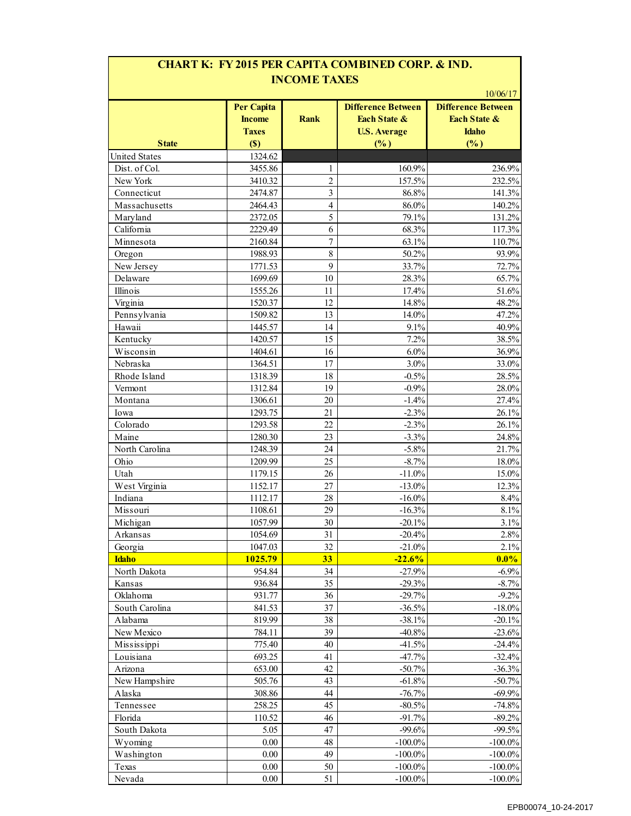| <b>CHART K: FY 2015 PER CAPITA COMBINED CORP. &amp; IND.</b><br><b>INCOME TAXES</b> |                                                    |                         |                                                                  |                                                                       |  |
|-------------------------------------------------------------------------------------|----------------------------------------------------|-------------------------|------------------------------------------------------------------|-----------------------------------------------------------------------|--|
|                                                                                     | <b>Per Capita</b><br><b>Income</b><br><b>Taxes</b> | <b>Rank</b>             | <b>Difference Between</b><br>Each State &<br><b>U.S. Average</b> | 10/06/17<br><b>Difference Between</b><br>Each State &<br><b>Idaho</b> |  |
| <b>State</b>                                                                        | (S)                                                |                         | (%)                                                              | (%)                                                                   |  |
| <b>United States</b>                                                                | 1324.62                                            |                         |                                                                  |                                                                       |  |
| Dist. of Col.                                                                       | 3455.86                                            | 1                       | 160.9%                                                           | 236.9%                                                                |  |
| New York                                                                            | 3410.32                                            | $\overline{c}$          | 157.5%                                                           | 232.5%                                                                |  |
| Connecticut                                                                         | 2474.87                                            | 3                       | 86.8%                                                            | 141.3%                                                                |  |
| Massachusetts                                                                       | 2464.43                                            | $\overline{\mathbf{4}}$ | 86.0%                                                            | 140.2%                                                                |  |
| Maryland                                                                            | 2372.05                                            | 5                       | 79.1%                                                            | 131.2%                                                                |  |
| California                                                                          | 2229.49                                            | 6                       | 68.3%                                                            | 117.3%                                                                |  |
| Minnesota                                                                           | 2160.84                                            | 7                       | 63.1%                                                            | 110.7%                                                                |  |
|                                                                                     | 1988.93                                            | 8                       | 50.2%                                                            | 93.9%                                                                 |  |
| Oregon<br>New Jersey                                                                | 1771.53                                            | 9                       | 33.7%                                                            | 72.7%                                                                 |  |
| Delaware                                                                            | 1699.69                                            | 10                      | 28.3%                                                            | 65.7%                                                                 |  |
| Illinois                                                                            | 1555.26                                            | 11                      | 17.4%                                                            | 51.6%                                                                 |  |
|                                                                                     |                                                    |                         |                                                                  |                                                                       |  |
| Virginia<br>Pennsylvania                                                            | 1520.37                                            | 12                      | 14.8%                                                            | 48.2%                                                                 |  |
|                                                                                     | 1509.82                                            | 13                      | 14.0%                                                            | 47.2%<br>40.9%                                                        |  |
| Hawaii<br>Kentucky                                                                  | 1445.57<br>1420.57                                 | 14<br>15                | 9.1%<br>7.2%                                                     | 38.5%                                                                 |  |
|                                                                                     |                                                    |                         | 6.0%                                                             |                                                                       |  |
| Wisconsin                                                                           | 1404.61                                            | 16                      |                                                                  | 36.9%                                                                 |  |
| Nebraska                                                                            | 1364.51                                            | 17                      | 3.0%                                                             | 33.0%                                                                 |  |
| Rhode Island                                                                        | 1318.39                                            | 18                      | $-0.5%$                                                          | 28.5%                                                                 |  |
| Vermont                                                                             | 1312.84                                            | 19                      | $-0.9%$                                                          | 28.0%                                                                 |  |
| Montana                                                                             | 1306.61                                            | 20                      | $-1.4%$                                                          | 27.4%                                                                 |  |
| Iowa                                                                                | 1293.75                                            | 21                      | $-2.3%$                                                          | 26.1%                                                                 |  |
| Colorado                                                                            | 1293.58                                            | 22                      | $-2.3%$                                                          | 26.1%                                                                 |  |
| Maine                                                                               | 1280.30                                            | 23                      | $-3.3%$                                                          | 24.8%                                                                 |  |
| North Carolina                                                                      | 1248.39                                            | 24                      | $-5.8%$                                                          | 21.7%                                                                 |  |
| Ohio                                                                                | 1209.99                                            | 25                      | $-8.7%$                                                          | 18.0%                                                                 |  |
| Utah                                                                                | 1179.15                                            | 26                      | $-11.0%$                                                         | 15.0%                                                                 |  |
| West Virginia                                                                       | 1152.17                                            | 27                      | $-13.0\%$                                                        | 12.3%                                                                 |  |
| Indiana                                                                             | 1112.17                                            | 28                      | $-16.0\%$                                                        | 8.4%                                                                  |  |
| Missouri                                                                            | 1108.61                                            | 29                      | $-16.3%$                                                         | 8.1%                                                                  |  |
| Michigan                                                                            | 1057.99                                            | 30                      | $-20.1\%$                                                        | 3.1%                                                                  |  |
| Arkansas                                                                            | 1054.69                                            | 31                      | $-20.4%$                                                         | 2.8%                                                                  |  |
| Georgia                                                                             | 1047.03                                            | 32                      | $-21.0%$                                                         | 2.1%                                                                  |  |
| <b>Idaho</b>                                                                        | 1025.79                                            | 33                      | $-22.6%$                                                         | $0.0\%$                                                               |  |
| North Dakota                                                                        | 954.84                                             | 34                      | $-27.9%$                                                         | $-6.9%$                                                               |  |
| Kansas                                                                              | 936.84                                             | 35                      | $-29.3%$                                                         | $-8.7\%$                                                              |  |
| Oklahoma                                                                            | 931.77                                             | 36                      | $-29.7%$                                                         | $-9.2%$                                                               |  |
| South Carolina                                                                      | 841.53                                             | 37                      | $-36.5%$                                                         | $-18.0\%$                                                             |  |
| Alabama                                                                             | 819.99                                             | 38                      | $-38.1%$                                                         | $-20.1%$                                                              |  |
| New Mexico                                                                          | 784.11                                             | 39                      | $-40.8%$                                                         | $-23.6%$                                                              |  |
| Mississippi                                                                         | 775.40                                             | 40                      | $-41.5%$                                                         | $-24.4%$                                                              |  |
| Louisiana                                                                           | 693.25                                             | 41                      | $-47.7%$                                                         | $-32.4%$                                                              |  |
| Arizona                                                                             | 653.00                                             | 42                      | $-50.7%$                                                         | $-36.3%$                                                              |  |
| New Hampshire                                                                       | 505.76                                             | 43                      | $-61.8%$                                                         | $-50.7%$                                                              |  |
| Alaska                                                                              | 308.86                                             | 44                      | $-76.7%$                                                         | $-69.9%$                                                              |  |
| Tennessee                                                                           | 258.25                                             | 45                      | $-80.5%$                                                         | $-74.8%$                                                              |  |
| Florida                                                                             | 110.52                                             | 46                      | $-91.7%$                                                         | $-89.2%$                                                              |  |
| South Dakota                                                                        | 5.05                                               | 47                      | $-99.6%$                                                         | $-99.5%$                                                              |  |
| Wyoming                                                                             | 0.00                                               | 48                      | $-100.0\%$                                                       | $-100.0\%$                                                            |  |
| Washington                                                                          | 0.00                                               | 49                      | $-100.0\%$                                                       | $-100.0\%$                                                            |  |
| Texas                                                                               | 0.00                                               | 50                      | $-100.0\%$                                                       | $-100.0\%$                                                            |  |
| Nevada                                                                              | $0.00\,$                                           | 51                      | $-100.0\%$                                                       | $-100.0\%$                                                            |  |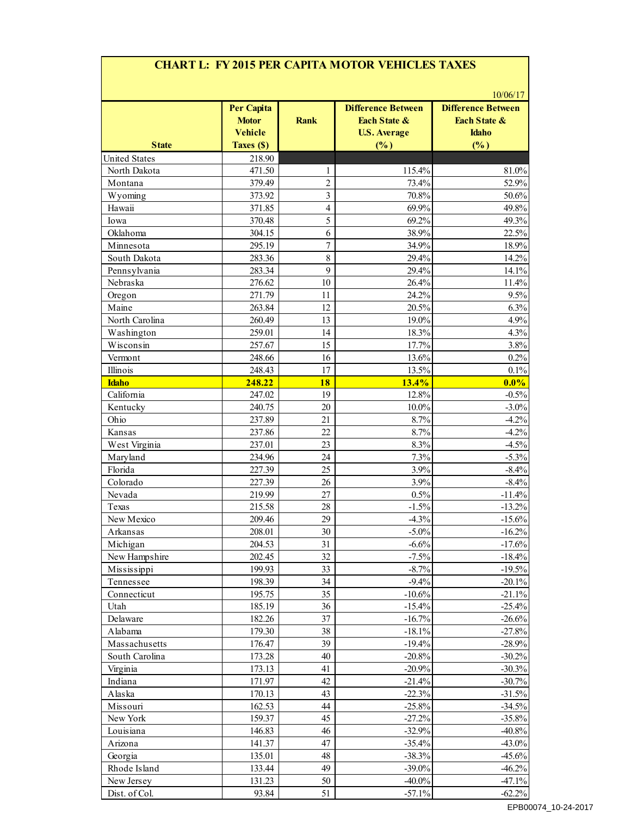# **CHART L: FY 2015 PER CAPITA MOTOR VEHICLES TAXES**

| <b>State</b>         | <b>Per Capita</b><br><b>Motor</b><br><b>Vehicle</b><br>Taxes (\$) | <b>Rank</b>    | <b>Difference Between</b><br><b>Each State &amp;</b><br><b>U.S. Average</b><br>(%) | <b>Difference Between</b><br><b>Each State &amp;</b><br><b>Idaho</b><br>(%) |
|----------------------|-------------------------------------------------------------------|----------------|------------------------------------------------------------------------------------|-----------------------------------------------------------------------------|
| <b>United States</b> | 218.90                                                            |                |                                                                                    |                                                                             |
| North Dakota         | 471.50                                                            | 1              | 115.4%                                                                             | 81.0%                                                                       |
| Montana              | 379.49                                                            | $\overline{2}$ | 73.4%                                                                              | 52.9%                                                                       |
| Wyoming              | 373.92                                                            | $\overline{3}$ | 70.8%                                                                              | 50.6%                                                                       |
| Hawaii               | 371.85                                                            | $\overline{4}$ | 69.9%                                                                              | 49.8%                                                                       |
| Iowa                 | 370.48                                                            | 5              | 69.2%                                                                              | 49.3%                                                                       |
| Oklahoma             | 304.15                                                            | 6              | 38.9%                                                                              | 22.5%                                                                       |
| Minnesota            | 295.19                                                            | $\overline{7}$ | 34.9%                                                                              | 18.9%                                                                       |
| South Dakota         | 283.36                                                            | 8              | 29.4%                                                                              | 14.2%                                                                       |
| Pennsylvania         | 283.34                                                            | 9              | 29.4%                                                                              | 14.1%                                                                       |
| Nebraska             | 276.62                                                            | $10\,$         | 26.4%                                                                              | 11.4%                                                                       |
| Oregon               | 271.79                                                            | 11             | 24.2%                                                                              | 9.5%                                                                        |
| Maine                | 263.84                                                            | 12             | 20.5%                                                                              | 6.3%                                                                        |
| North Carolina       | 260.49                                                            | 13             | $19.0\%$                                                                           | 4.9%                                                                        |
| Washington           | 259.01                                                            | 14             | 18.3%                                                                              | 4.3%                                                                        |
|                      | 257.67                                                            | 15             | 17.7%                                                                              | 3.8%                                                                        |
| Wisconsin            |                                                                   |                |                                                                                    |                                                                             |
| Vermont              | 248.66                                                            | 16             | 13.6%                                                                              | 0.2%                                                                        |
| Illinois             | 248.43                                                            | 17             | 13.5%                                                                              | 0.1%                                                                        |
| <b>Idaho</b>         | 248.22                                                            | 18             | 13.4%                                                                              | $0.0\%$                                                                     |
| California           | 247.02                                                            | 19             | 12.8%                                                                              | $-0.5%$                                                                     |
| Kentucky             | 240.75                                                            | 20             | 10.0%                                                                              | $-3.0\%$                                                                    |
| Ohio                 | 237.89                                                            | 21             | 8.7%                                                                               | $-4.2%$                                                                     |
| Kansas               | 237.86                                                            | 22             | 8.7%                                                                               | $-4.2%$                                                                     |
| West Virginia        | 237.01                                                            | 23             | 8.3%                                                                               | $-4.5%$                                                                     |
| Maryland             | 234.96                                                            | 24             | 7.3%                                                                               | $-5.3%$                                                                     |
| Florida              | 227.39                                                            | 25             | 3.9%                                                                               | $-8.4%$                                                                     |
| Colorado             | 227.39                                                            | 26             | 3.9%                                                                               | $-8.4%$                                                                     |
| Nevada               | 219.99                                                            | 27             | 0.5%                                                                               | $-11.4%$                                                                    |
| Texas                | 215.58                                                            | 28             | $-1.5%$                                                                            | $-13.2%$                                                                    |
| New Mexico           | 209.46                                                            | 29             | $-4.3%$                                                                            | $-15.6%$                                                                    |
| Arkansas             | 208.01                                                            | 30             | $-5.0\%$                                                                           | $-16.2%$                                                                    |
| Michigan             | 204.53                                                            | 31             | $-6.6%$                                                                            | $-17.6%$                                                                    |
| New Hampshire        | 202.45                                                            | 32             | $-7.5%$                                                                            | $-18.4%$                                                                    |
| Mississippi          | 199.93                                                            | 33             | $-8.7%$                                                                            | $-19.5%$                                                                    |
| Tennessee            | 198.39                                                            | 34             | $-9.4%$                                                                            | $-20.1%$                                                                    |
| Connecticut          | 195.75                                                            | 35             | $-10.6%$                                                                           | $-21.1%$                                                                    |
| Utah                 | 185.19                                                            | 36             | $-15.4%$                                                                           | $-25.4%$                                                                    |
| Delaware             | 182.26                                                            | 37             | $-16.7%$                                                                           | $-26.6%$                                                                    |
| Alabama              | 179.30                                                            | 38             | $-18.1%$                                                                           | $-27.8%$                                                                    |
| Massachusetts        | 176.47                                                            | 39             | $-19.4%$                                                                           | $-28.9%$                                                                    |
| South Carolina       | 173.28                                                            | 40             | $-20.8%$                                                                           | $-30.2%$                                                                    |
| Virginia             | 173.13                                                            | 41             | $-20.9%$                                                                           | $-30.3%$                                                                    |
| Indiana              | 171.97                                                            | 42             | $-21.4%$                                                                           | $-30.7%$                                                                    |
| Alaska               | 170.13                                                            | 43             | $-22.3%$                                                                           | $-31.5%$                                                                    |
| Missouri             | 162.53                                                            | 44             | $-25.8%$                                                                           | $-34.5%$                                                                    |
| New York             | 159.37                                                            | 45             | $-27.2%$                                                                           | $-35.8%$                                                                    |
| Louisiana            | 146.83                                                            | 46             | $-32.9%$                                                                           | $-40.8%$                                                                    |
| Arizona              | 141.37                                                            | 47             | $-35.4%$                                                                           | $-43.0%$                                                                    |
| Georgia              | 135.01                                                            | 48             | $-38.3%$                                                                           | $-45.6%$                                                                    |
| Rhode Island         | 133.44                                                            | 49             | $-39.0\%$                                                                          | $-46.2%$                                                                    |
| New Jersey           | 131.23                                                            | 50             | $-40.0\%$                                                                          | $-47.1%$                                                                    |
|                      |                                                                   |                |                                                                                    |                                                                             |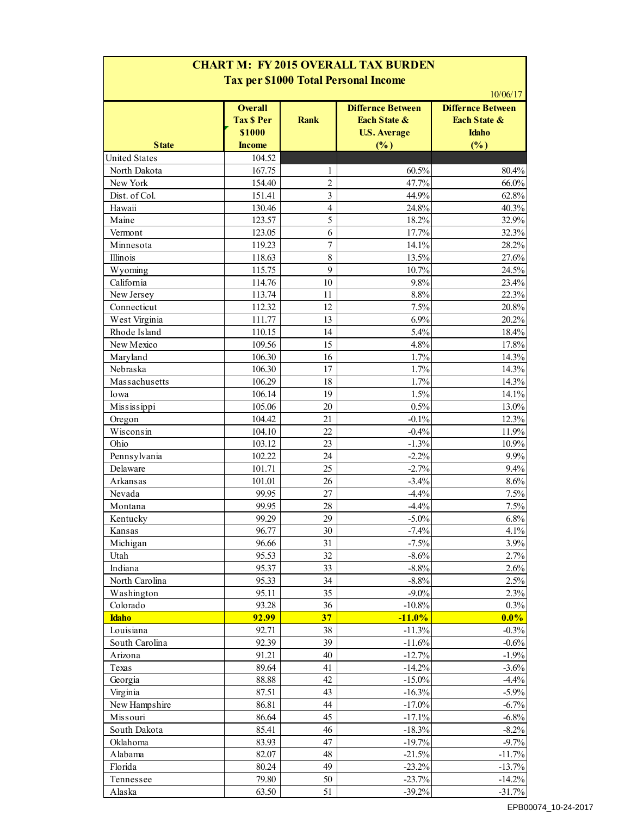| <b>Tax per \$1000 Total Personal Income</b> |                                               |         |                                                                            |                                                                                 |  |
|---------------------------------------------|-----------------------------------------------|---------|----------------------------------------------------------------------------|---------------------------------------------------------------------------------|--|
|                                             | <b>Overall</b><br><b>Tax \$ Per</b><br>\$1000 | Rank    | <b>Differnce Between</b><br><b>Each State &amp;</b><br><b>U.S. Average</b> | 10/06/17<br><b>Differnce Between</b><br><b>Fach State &amp;</b><br><b>Idaho</b> |  |
| <b>State</b>                                | <b>Income</b>                                 |         | (%)                                                                        | (%)                                                                             |  |
| <b>United States</b>                        | 104.52                                        |         |                                                                            |                                                                                 |  |
| North Dakota                                | 167.75                                        | 1       | 60.5%                                                                      | 80.4%                                                                           |  |
| New York                                    | 154.40                                        | 2       | 47.7%                                                                      | 66.0%                                                                           |  |
| Dist. of Col.                               | 151.41                                        | 3       | 44.9%                                                                      | 62.8%                                                                           |  |
| Hawaii                                      | 130.46                                        | 4       | 24.8%                                                                      | 40.3%                                                                           |  |
| Maine                                       | 123.57                                        | 5       | 18.2%                                                                      | 32.9%                                                                           |  |
| Vermont                                     | 123.05                                        | 6       | 17.7%                                                                      | 32.3%                                                                           |  |
| Minnesota                                   | 119.23                                        | 7       | 14.1%                                                                      | 28.2%                                                                           |  |
| Illinois                                    | 118.63                                        | $\,8\,$ | 13.5%                                                                      | 27.6%                                                                           |  |
| Wyoming                                     | 115.75                                        | 9       | 10.7%                                                                      | 24.5%                                                                           |  |
| California                                  | 114.76                                        | 10      | 9.8%                                                                       | 23.4%                                                                           |  |
| New Jersey                                  | 113.74                                        | 11      | 8.8%                                                                       | 22.3%                                                                           |  |
| Connecticut                                 | 112.32                                        | 12      | 7.5%                                                                       | 20.8%                                                                           |  |
| West Virginia                               | 111.77                                        | 13      | 6.9%                                                                       | 20.2%                                                                           |  |
| Rhode Island                                | 110.15                                        | 14      | 5.4%                                                                       | 18.4%                                                                           |  |
| New Mexico                                  | 109.56                                        | 15      | 4.8%                                                                       | 17.8%                                                                           |  |
| Maryland                                    | 106.30                                        | 16      | 1.7%                                                                       | 14.3%                                                                           |  |
| Nebraska                                    | 106.30                                        | 17      | 1.7%                                                                       | 14.3%                                                                           |  |
| Massachusetts                               | 106.29                                        | 18      | 1.7%                                                                       | 14.3%                                                                           |  |
|                                             | 106.14                                        | 19      | 1.5%                                                                       | 14.1%                                                                           |  |
| Iowa                                        |                                               |         | 0.5%                                                                       |                                                                                 |  |
| Mississippi                                 | 105.06                                        | 20      |                                                                            | 13.0%                                                                           |  |
| Oregon                                      | 104.42                                        | 21      | $-0.1%$                                                                    | 12.3%                                                                           |  |
| Wisconsin                                   | 104.10                                        | 22      | $-0.4%$                                                                    | 11.9%                                                                           |  |
| Ohio                                        | 103.12                                        | 23      | $-1.3%$                                                                    | 10.9%                                                                           |  |
| Pennsylvania                                | 102.22                                        | 24      | $-2.2%$                                                                    | 9.9%                                                                            |  |
| Delaware                                    | 101.71                                        | 25      | $-2.7%$                                                                    | 9.4%                                                                            |  |
| Arkansas                                    | 101.01                                        | 26      | $-3.4%$                                                                    | 8.6%                                                                            |  |
| Nevada                                      | 99.95                                         | 27      | $-4.4%$                                                                    | 7.5%                                                                            |  |
| Montana                                     | 99.95                                         | 28      | $-4.4%$                                                                    | 7.5%                                                                            |  |
| Kentucky                                    | 99.29                                         | 29      | $-5.0\%$                                                                   | 6.8%                                                                            |  |
| Kansas                                      | 96.77                                         | 30      | $-7.4%$                                                                    | 4.1%                                                                            |  |
| Michigan                                    | 96.66                                         | 31      | $-7.5%$                                                                    | 3.9%                                                                            |  |
| Utah                                        | 95.53                                         | 32      | $-8.6%$                                                                    | 2.7%                                                                            |  |
| Indiana                                     | 95.37                                         | 33      | $-8.8%$                                                                    | 2.6%                                                                            |  |
| North Carolina                              | 95.33                                         | 34      | $-8.8%$                                                                    | 2.5%                                                                            |  |
| Washington                                  | 95.11                                         | 35      | $-9.0\%$                                                                   | 2.3%                                                                            |  |
| Colorado                                    | 93.28                                         | 36      | $-10.8%$                                                                   | 0.3%                                                                            |  |
| <b>Idaho</b>                                | 92.99                                         | 37      | $-11.0%$                                                                   | $0.0\%$                                                                         |  |
| Louisiana                                   | 92.71                                         | 38      | $-11.3%$                                                                   | $-0.3%$                                                                         |  |
| South Carolina                              | 92.39                                         | 39      | $-11.6%$                                                                   | $-0.6%$                                                                         |  |
| Arizona                                     | 91.21                                         | 40      | $-12.7%$                                                                   | $-1.9%$                                                                         |  |
| Texas                                       | 89.64                                         | 41      | $-14.2%$                                                                   | $-3.6%$                                                                         |  |
| Georgia                                     | 88.88                                         | 42      | $-15.0\%$                                                                  | $-4.4%$                                                                         |  |
| Virginia                                    | 87.51                                         | 43      | $-16.3%$                                                                   | $-5.9%$                                                                         |  |
| New Hampshire                               | 86.81                                         | 44      | $-17.0\%$                                                                  | $-6.7%$                                                                         |  |
| Missouri                                    | 86.64                                         | 45      | $-17.1%$                                                                   | $-6.8%$                                                                         |  |
| South Dakota                                | 85.41                                         | 46      | $-18.3%$                                                                   | $-8.2%$                                                                         |  |
| Oklahoma                                    | 83.93                                         | 47      | $-19.7%$                                                                   | $-9.7%$                                                                         |  |
| Alabama                                     | 82.07                                         | 48      | $-21.5%$                                                                   | $-11.7%$                                                                        |  |
| Florida                                     | 80.24                                         | 49      | $-23.2%$                                                                   | $-13.7%$                                                                        |  |
| Tennessee                                   | 79.80                                         | 50      | $-23.7%$                                                                   | $-14.2%$                                                                        |  |
|                                             |                                               | 51      | $-39.2%$                                                                   | $-31.7%$                                                                        |  |
| Alaska                                      | 63.50                                         |         |                                                                            |                                                                                 |  |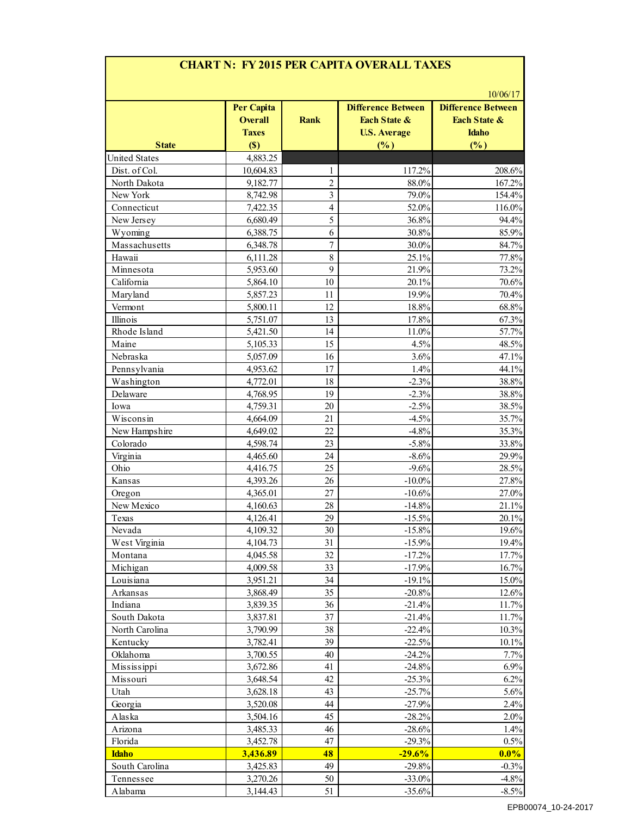|                      | <b>Per Capita</b> |                |                                                      |                                                                  |
|----------------------|-------------------|----------------|------------------------------------------------------|------------------------------------------------------------------|
|                      | <b>Overall</b>    | <b>Rank</b>    | <b>Difference Between</b><br><b>Each State &amp;</b> | 10/06/17<br><b>Difference Between</b><br><b>Each State &amp;</b> |
|                      | <b>Taxes</b>      |                | <b>U.S. Average</b>                                  | <b>Idaho</b>                                                     |
| <b>State</b>         | (S)               |                | (%)                                                  | (%)                                                              |
| <b>United States</b> | 4,883.25          |                |                                                      |                                                                  |
| Dist. of Col.        | 10,604.83         | 1              | 117.2%                                               | 208.6%                                                           |
| North Dakota         | 9,182.77          | $\overline{c}$ | 88.0%                                                | 167.2%                                                           |
| New York             | 8,742.98          | 3              | 79.0%                                                | 154.4%                                                           |
| Connecticut          | 7,422.35          | $\overline{4}$ | 52.0%                                                | 116.0%                                                           |
| New Jersey           | 6,680.49          | 5              | 36.8%                                                | 94.4%                                                            |
| Wyoming              | 6,388.75          | 6              | 30.8%                                                | 85.9%                                                            |
| Massachusetts        | 6,348.78          | 7              | 30.0%                                                | 84.7%                                                            |
| Hawaii               | 6,111.28          | 8              | 25.1%                                                | 77.8%                                                            |
| Minnesota            | 5,953.60          | 9              | 21.9%                                                | 73.2%                                                            |
| California           | 5,864.10          | 10             | 20.1%                                                | 70.6%                                                            |
| Maryland             | 5,857.23          | 11             | 19.9%                                                | 70.4%                                                            |
| Vermont              | 5,800.11          | 12             | 18.8%                                                | 68.8%                                                            |
| Illinois             | 5,751.07          | 13             | 17.8%                                                | 67.3%                                                            |
| Rhode Island         | 5,421.50          | 14             | 11.0%                                                | 57.7%                                                            |
| Maine                | 5,105.33          | 15             | 4.5%                                                 | 48.5%                                                            |
| Nebraska             | 5,057.09          | 16             | 3.6%                                                 | 47.1%                                                            |
| Pennsylvania         | 4,953.62          | 17             | 1.4%                                                 | 44.1%                                                            |
| Washington           |                   | 18             | $-2.3%$                                              | 38.8%                                                            |
|                      | 4,772.01          |                |                                                      |                                                                  |
| Delaware             | 4,768.95          | 19             | $-2.3%$                                              | 38.8%                                                            |
| Iowa                 | 4,759.31          | 20             | $-2.5%$                                              | 38.5%                                                            |
| Wisconsin            | 4,664.09          | 21             | $-4.5%$                                              | 35.7%                                                            |
| New Hampshire        | 4,649.02          | 22             | $-4.8%$                                              | 35.3%                                                            |
| Colorado             | 4,598.74          | 23             | $-5.8%$                                              | 33.8%                                                            |
| Virginia             | 4,465.60          | 24             | $-8.6%$                                              | 29.9%                                                            |
| Ohio                 | 4,416.75          | 25             | $-9.6%$                                              | 28.5%                                                            |
| Kansas               | 4,393.26          | 26             | $-10.0\%$                                            | 27.8%                                                            |
| Oregon               | 4,365.01          | 27             | $-10.6%$                                             | 27.0%                                                            |
| New Mexico           | 4,160.63          | 28             | $-14.8%$                                             | 21.1%                                                            |
| Texas                | 4,126.41          | 29             | $-15.5\%$                                            | $20.1\%$                                                         |
| Nevada               | 4,109.32          | 30             | $-15.8%$                                             | 19.6%                                                            |
| West Virginia        | 4,104.73          | 31             | $-15.9%$                                             | 19.4%                                                            |
| Montana              | 4,045.58          | 32             | $-17.2%$                                             | 17.7%                                                            |
| Michigan             | 4,009.58          | 33             | $-17.9%$                                             | 16.7%                                                            |
| Louisiana            | 3,951.21          | 34             | $-19.1%$                                             | 15.0%                                                            |
| Arkansas             | 3,868.49          | 35             | $-20.8%$                                             | 12.6%                                                            |
| Indiana              | 3,839.35          | 36             | $-21.4%$                                             | 11.7%                                                            |
| South Dakota         | 3,837.81          | 37             | $-21.4%$                                             | 11.7%                                                            |
| North Carolina       | 3,790.99          | 38             | $-22.4%$                                             | 10.3%                                                            |
| Kentucky             | 3,782.41          | 39             | $-22.5%$                                             | 10.1%                                                            |
| Oklahoma             | 3,700.55          | 40             | $-24.2%$                                             | 7.7%                                                             |
| Mississippi          | 3,672.86          | 41             | $-24.8%$                                             | 6.9%                                                             |
| Missouri             | 3,648.54          | 42             | $-25.3%$                                             | 6.2%                                                             |
|                      |                   |                |                                                      |                                                                  |
| Utah                 | 3,628.18          | 43             | $-25.7%$                                             | 5.6%                                                             |
| Georgia              | 3,520.08          | 44             | $-27.9%$                                             | 2.4%                                                             |
| Alaska               | 3,504.16          | 45             | $-28.2%$                                             | 2.0%                                                             |
| Arizona              | 3,485.33          | 46             | $-28.6%$                                             | 1.4%                                                             |
| Florida              | 3,452.78          | 47             | $-29.3%$                                             | 0.5%                                                             |
| <b>Idaho</b>         | 3,436.89          | 48             | $-29.6%$                                             | $0.0\%$                                                          |
| South Carolina       | 3,425.83          | 49             | $-29.8%$                                             | $-0.3%$                                                          |
| Tennessee            | 3,270.26          | 50             | $-33.0%$                                             | $-4.8%$                                                          |
| Alabama              | 3,144.43          | 51             | $-35.6%$                                             | $-8.5%$                                                          |